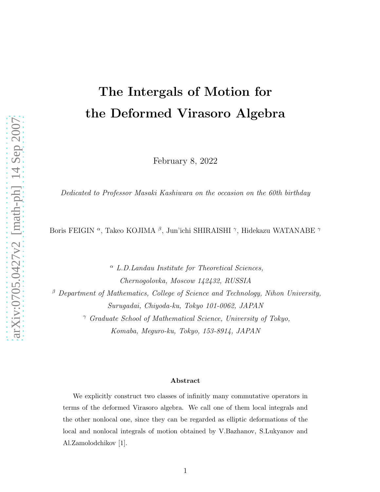# The Intergals of Motion for the Deformed Virasoro Algebra

February 8, 2022

Dedicated to Professor Masaki Kashiwara on the occasion on the 60th birthday

Boris FEIGIN <sup>α</sup>, Takeo KOJIMA <sup>β</sup>, Jun'ichi SHIRAISHI <sup>γ</sup>, Hidekazu WATANABE <sup>γ</sup>

 $\alpha$  L.D. Landau Institute for Theoretical Sciences, Chernogolovka, Moscow 142432, RUSSIA  $\beta$  Department of Mathematics, College of Science and Technology, Nihon University, Surugadai, Chiyoda-ku, Tokyo 101-0062, JAPAN <sup>γ</sup> Graduate School of Mathematical Science, University of Tokyo, Komaba, Meguro-ku, Tokyo, 153-8914, JAPAN

#### Abstract

We explicitly construct two classes of infinitly many commutative operators in terms of the deformed Virasoro algebra. We call one of them local integrals and the other nonlocal one, since they can be regarded as elliptic deformations of the local and nonlocal integrals of motion obtained by V.Bazhanov, S.Lukyanov and Al.Zamolodchikov [1].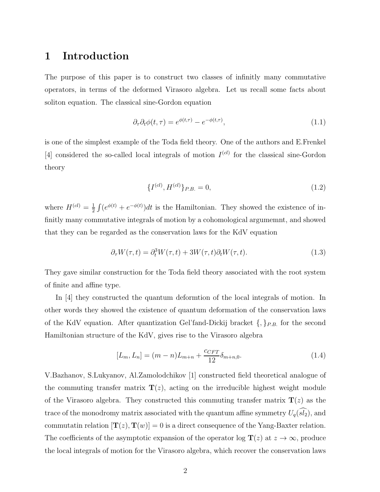## 1 Introduction

The purpose of this paper is to construct two classes of infinitly many commutative operators, in terms of the deformed Virasoro algebra. Let us recall some facts about soliton equation. The classical sine-Gordon equation

$$
\partial_{\tau}\partial_t\phi(t,\tau) = e^{\phi(t,\tau)} - e^{-\phi(t,\tau)},\tag{1.1}
$$

is one of the simplest example of the Toda field theory. One of the authors and E.Frenkel [4] considered the so-called local integrals of motion  $I^{(cl)}$  for the classical sine-Gordon theory

$$
\{I^{(cl)}, H^{(cl)}\}_{P.B.} = 0,\t\t(1.2)
$$

where  $H^{(cl)} = \frac{1}{2}$  $\frac{1}{2} \int (e^{\phi(t)} + e^{-\phi(t)}) dt$  is the Hamiltonian. They showed the existence of infinitly many commutative integrals of motion by a cohomological argumemnt, and showed that they can be regarded as the conservation laws for the KdV equation

$$
\partial_{\tau} W(\tau, t) = \partial_t^3 W(\tau, t) + 3W(\tau, t)\partial_t W(\tau, t). \tag{1.3}
$$

They gave similar construction for the Toda field theory associated with the root system of finite and affine type.

In [4] they constructed the quantum deformtion of the local integrals of motion. In other words they showed the existence of quantum deformation of the conservation laws of the KdV equation. After quantization Gel'fand-Dickij bracket  $\{,\}_{P.B.}$  for the second Hamiltonian structure of the KdV, gives rise to the Virasoro algebra

$$
[L_m, L_n] = (m - n)L_{m+n} + \frac{c_{CFT}}{12} \delta_{m+n,0}.
$$
\n(1.4)

V.Bazhanov, S.Lukyanov, Al.Zamolodchikov [1] constructed field theoretical analogue of the commuting transfer matrix  $\mathbf{T}(z)$ , acting on the irreducible highest weight module of the Virasoro algebra. They constructed this commuting transfer matrix  $\mathbf{T}(z)$  as the trace of the monodromy matrix associated with the quantum affine symmetry  $U_q(\widehat{sl_2})$ , and commutatin relation  $[\mathbf{T}(z), \mathbf{T}(w)] = 0$  is a direct consequence of the Yang-Baxter relation. The coefficients of the asymptotic expansion of the operator log  $\mathbf{T}(z)$  at  $z \to \infty$ , produce the local integrals of motion for the Virasoro algebra, which recover the conservation laws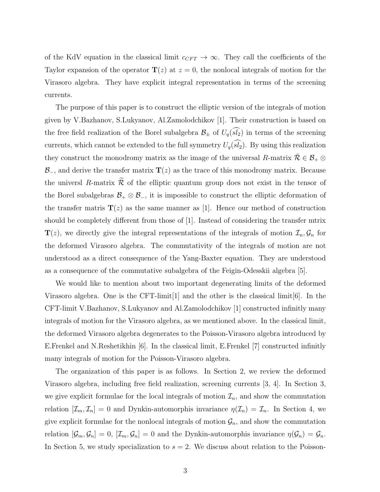of the KdV equation in the classical limit  $c_{CFT} \to \infty$ . They call the coefficients of the Taylor expansion of the operator  $\mathbf{T}(z)$  at  $z = 0$ , the nonlocal integrals of motion for the Virasoro algebra. They have explicit integral representation in terms of the screening currents.

The purpose of this paper is to construct the elliptic version of the integrals of motion given by V.Bazhanov, S.Lukyanov, Al.Zamolodchikov [1]. Their construction is based on the free field realization of the Borel subalgebra  $\mathcal{B}_{\pm}$  of  $U_q(\widehat{sl_2})$  in terms of the screening currents, which cannot be extended to the full symmetry  $U_q(\widehat{sl_2})$ . By using this realization they construct the monodromy matrix as the image of the universal R-matrix  $\overline{\mathcal{R}} \in \mathcal{B}_+ \otimes$  $\mathcal{B}_-$ , and derive the transfer matrix  $\mathbf{T}(z)$  as the trace of this monodromy matrix. Because the universl R-matrix  $\widetilde{\mathcal{R}}$  of the elliptic quantum group does not exist in the tensor of the Borel subalgebras  $\mathcal{B}_+ \otimes \mathcal{B}_-$ , it is impossible to construct the elliptic deformation of the transfer matrix  $\mathbf{T}(z)$  as the same manner as [1]. Hence our method of construction should be completely different from those of [1]. Instead of considering the transfer mtrix  $\mathbf{T}(z)$ , we directly give the integral representations of the integrals of motion  $\mathcal{I}_n, \mathcal{G}_n$  for the deformed Virasoro algebra. The commutativity of the integrals of motion are not understood as a direct consequence of the Yang-Baxter equation. They are understood as a consequence of the commutative subalgebra of the Feigin-Odesskii algebra [5].

We would like to mention about two important degenerating limits of the deformed Virasoro algebra. One is the CFT-limit<sup>[1]</sup> and the other is the classical limit<sup>[6]</sup>. In the CFT-limit V.Bazhanov, S.Lukyanov and Al.Zamolodchikov [1] constructed infinitly many integrals of motion for the Virasoro algebra, as we mentioned above. In the classical limit, the deformed Virasoro algebra degenerates to the Poisson-Virasoro algebra introduced by E.Frenkel and N.Reshetikhin [6]. In the classical limit, E.Frenkel [7] constructed infinitly many integrals of motion for the Poisson-Virasoro algebra.

The organization of this paper is as follows. In Section 2, we review the deformed Virasoro algebra, including free field realization, screening currents [3, 4]. In Section 3, we give explicit formulae for the local integrals of motion  $\mathcal{I}_n$ , and show the commutation relation  $[\mathcal{I}_m, \mathcal{I}_n] = 0$  and Dynkin-automorphis invariance  $\eta(\mathcal{I}_n) = \mathcal{I}_n$ . In Section 4, we give explicit formulae for the nonlocal integrals of motion  $\mathcal{G}_n$ , and show the commutation relation  $[\mathcal{G}_m, \mathcal{G}_n] = 0$ ,  $[\mathcal{I}_m, \mathcal{G}_n] = 0$  and the Dynkin-automorphis invariance  $\eta(\mathcal{G}_n) = \mathcal{G}_n$ . In Section 5, we study specialization to  $s = 2$ . We discuss about relation to the Poisson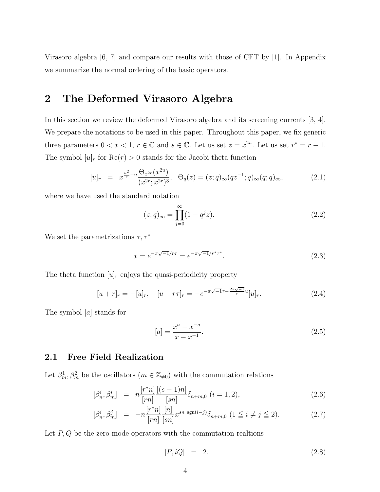Virasoro algebra [6, 7] and compare our results with those of CFT by [1]. In Appendix we summarize the normal ordering of the basic operators.

## 2 The Deformed Virasoro Algebra

In this section we review the deformed Virasoro algebra and its screening currents [3, 4]. We prepare the notations to be used in this paper. Throughout this paper, we fix generic three parameters  $0 < x < 1$ ,  $r \in \mathbb{C}$  and  $s \in \mathbb{C}$ . Let us set  $z = x^{2u}$ . Let us set  $r^* = r - 1$ . The symbol  $[u]_r$  for  $\text{Re}(r) > 0$  stands for the Jacobi theta function

$$
[u]_r = x^{\frac{u^2}{r} - u} \frac{\Theta_{x^{2r}}(x^{2u})}{(x^{2r}; x^{2r})^3}, \ \ \Theta_q(z) = (z; q)_{\infty} (qz^{-1}; q)_{\infty} (q; q)_{\infty}, \tag{2.1}
$$

where we have used the standard notation

$$
(z;q)_{\infty} = \prod_{j=0}^{\infty} (1 - q^j z). \tag{2.2}
$$

We set the parametrizations  $\tau,\tau^*$ 

$$
x = e^{-\pi\sqrt{-1}/r\tau} = e^{-\pi\sqrt{-1}/r^*\tau^*}.
$$
\n(2.3)

The theta function  $[u]_r$  enjoys the quasi-periodicity property

$$
[u+r]_r = -[u]_r, \quad [u+r\tau]_r = -e^{-\pi\sqrt{-1}\tau - \frac{2\pi\sqrt{-1}}{r}u}[u]_r.
$$
 (2.4)

The symbol [a] stands for

$$
[a] = \frac{x^a - x^{-a}}{x - x^{-1}}.\tag{2.5}
$$

### 2.1 Free Field Realization

Let  $\beta_m^1, \beta_m^2$  be the oscillators  $(m \in \mathbb{Z}_{\neq 0})$  with the commutation relations

$$
[\beta_n^i, \beta_m^i] = n \frac{[r^*n]}{[rn]} \frac{[(s-1)n]}{[sn]} \delta_{n+m,0} \ (i=1,2), \tag{2.6}
$$

$$
[\beta_n^i, \beta_m^j] = -n \frac{[r^*n]}{[rn]} \frac{[n]}{[sn]} x^{sn \operatorname{sgn}(i-j)} \delta_{n+m,0} \ (1 \le i \ne j \le 2). \tag{2.7}
$$

Let  $P, Q$  be the zero mode operators with the commutation realtions

$$
[P, iQ] = 2. \t(2.8)
$$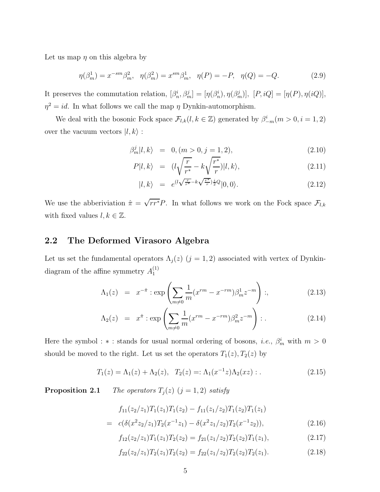Let us map  $\eta$  on this algebra by

$$
\eta(\beta_m^1) = x^{-sm}\beta_m^2, \quad \eta(\beta_m^2) = x^{sm}\beta_m^1, \quad \eta(P) = -P, \quad \eta(Q) = -Q. \tag{2.9}
$$

It preserves the commutation relation,  $[\beta_n^i, \beta_m^j] = [\eta(\beta_n^i), \eta(\beta_m^j)]$ ,  $[P, iQ] = [\eta(P), \eta(iQ)]$ ,  $\eta^2 = id$ . In what follows we call the map  $\eta$  Dynkin-automorphism.

We deal with the bosonic Fock space  $\mathcal{F}_{l,k}(l, k \in \mathbb{Z})$  generated by  $\beta_{-m}^i(m > 0, i = 1, 2)$ over the vacuum vectors  $|l, k\rangle$ :

$$
\beta_m^j |l, k\rangle = 0, (m > 0, j = 1, 2), \tag{2.10}
$$

$$
P|l,k\rangle = (l\sqrt{\frac{r}{r^*}} - k\sqrt{\frac{r^*}{r}})|l,k\rangle, \qquad (2.11)
$$

$$
|l,k\rangle = e^{(l\sqrt{\frac{r}{r^*}} - k\sqrt{\frac{r^*}{r}})\frac{i}{2}Q}|0,0\rangle.
$$
 (2.12)

We use the abberiviation  $\hat{\pi} = \sqrt{rr^*}P$ . In what follows we work on the Fock space  $\mathcal{F}_{l,k}$ with fixed values  $l, k \in \mathbb{Z}$ .

### 2.2 The Deformed Virasoro Algebra

Let us set the fundamental operators  $\Lambda_j(z)$   $(j = 1, 2)$  associated with vertex of Dynkindiagram of the affine symmetry  $A_1^{(1)}$ 1

$$
\Lambda_1(z) = x^{-\hat{\pi}} : \exp\left(\sum_{m \neq 0} \frac{1}{m} (x^{rm} - x^{-rm}) \beta_m^1 z^{-m}\right) :,\tag{2.13}
$$

$$
\Lambda_2(z) = x^{\hat{\pi}} : \exp\left(\sum_{m \neq 0} \frac{1}{m} (x^{rm} - x^{-rm}) \beta_m^2 z^{-m}\right) : . \tag{2.14}
$$

Here the symbol : \* : stands for usual normal ordering of bosons, *i.e.*,  $\beta_m^i$  with  $m > 0$ should be moved to the right. Let us set the operators  $T_1(z)$ ,  $T_2(z)$  by

$$
T_1(z) = \Lambda_1(z) + \Lambda_2(z), \quad T_2(z) =: \Lambda_1(x^{-1}z)\Lambda_2(xz) : .
$$
 (2.15)

**Proposition 2.1** The operators  $T_j(z)$   $(j = 1, 2)$  satisfy

$$
f_{11}(z_2/z_1)T_1(z_1)T_1(z_2) - f_{11}(z_1/z_2)T_1(z_2)T_1(z_1)
$$
  
=  $c(\delta(x^2z_2/z_1)T_2(x^{-1}z_1) - \delta(x^2z_1/z_2)T_2(x^{-1}z_2)),$  (2.16)

$$
f_{12}(z_2/z_1)T_1(z_1)T_2(z_2) = f_{21}(z_1/z_2)T_2(z_2)T_1(z_1),
$$
\n(2.17)

$$
f_{22}(z_2/z_1)T_2(z_1)T_2(z_2) = f_{22}(z_1/z_2)T_2(z_2)T_2(z_1).
$$
\n(2.18)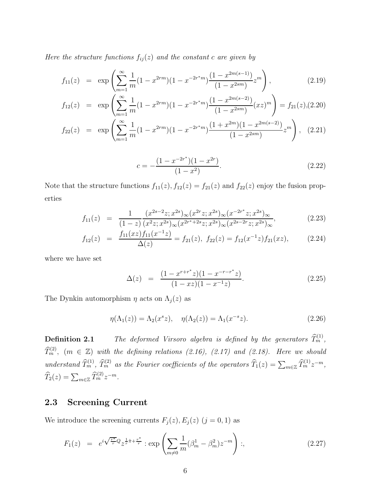Here the structure functions  $f_{ij}(z)$  and the constant c are given by

$$
f_{11}(z) = \exp\left(\sum_{m=1}^{\infty} \frac{1}{m} (1 - x^{2rm})(1 - x^{-2r^*m}) \frac{(1 - x^{2m(s-1)})}{(1 - x^{2sm})} z^m\right),\tag{2.19}
$$

$$
f_{12}(z) = \exp\left(\sum_{m=1}^{\infty} \frac{1}{m} (1 - x^{2rm})(1 - x^{-2r+m}) \frac{(1 - x^{2m(s-2)})}{(1 - x^{2sm})} (xz)^m\right) = f_{21}(z), (2.20)
$$

$$
f_{22}(z) = \exp\left(\sum_{m=1}^{\infty} \frac{1}{m} (1 - x^{2rm})(1 - x^{-2r+m}) \frac{(1 + x^{2m})(1 - x^{2m(s-2)})}{(1 - x^{2sm})} z^m\right), \quad (2.21)
$$

$$
c = -\frac{(1 - x^{-2r^*})(1 - x^{2r})}{(1 - x^2)}.
$$
\n(2.22)

Note that the structure functions  $f_{11}(z)$ ,  $f_{12}(z) = f_{21}(z)$  and  $f_{22}(z)$  enjoy the fusion properties

$$
f_{11}(z) = \frac{1}{(1-z)} \frac{(x^{2s-2}z; x^{2s})_{\infty} (x^{2r}z; x^{2s})_{\infty} (x^{-2r^*}z; x^{2s})_{\infty}}{(x^{2z}; x^{2s})_{\infty} (x^{2r^*+2s}z; x^{2s})_{\infty} (x^{2s-2r}z; x^{2s})_{\infty}},
$$
(2.23)

$$
f_{12}(z) = \frac{f_{11}(xz)f_{11}(x^{-1}z)}{\Delta(z)} = f_{21}(z), \ f_{22}(z) = f_{12}(x^{-1}z)f_{21}(xz), \tag{2.24}
$$

where we have set

$$
\Delta(z) = \frac{(1 - x^{r + r^*}z)(1 - x^{-r - r^*}z)}{(1 - xz)(1 - x^{-1}z)}.
$$
\n(2.25)

The Dynkin automorphism  $\eta$  acts on  $\Lambda_j(z)$  as

$$
\eta(\Lambda_1(z)) = \Lambda_2(x^s z), \quad \eta(\Lambda_2(z)) = \Lambda_1(x^{-s} z).
$$
\n(2.26)

**Definition 2.1** The deformed Virsoro algebra is defined by the generators  $\widehat{T}_m^{(1)}$ ,  $\widehat{T}^{(2)}_{m}$ ,  $(m \in \mathbb{Z})$  with the defining relations (2.16), (2.17) and (2.18). Here we should understand  $\widehat{T}_m^{(1)}$ ,  $\widehat{T}_m^{(2)}$  as the Fourier coefficients of the operators  $\widehat{T}_1(z) = \sum_{m \in \mathbb{Z}} \widehat{T}_m^{(1)} z^{-m}$ ,  $\widehat{T}_2(z) = \sum_{m \in \mathbb{Z}} \widehat{T}_m^{(2)} z^{-m}.$ 

### 2.3 Screening Current

We introduce the screening currents  $F_j(z)$ ,  $E_j(z)$   $(j = 0, 1)$  as

$$
F_1(z) = e^{i\sqrt{\frac{r^*}{r}}Q}z^{\frac{1}{r}\hat{\pi} + \frac{r^*}{r}} : \exp\left(\sum_{m \neq 0} \frac{1}{m}(\beta_m^1 - \beta_m^2)z^{-m}\right) : , \tag{2.27}
$$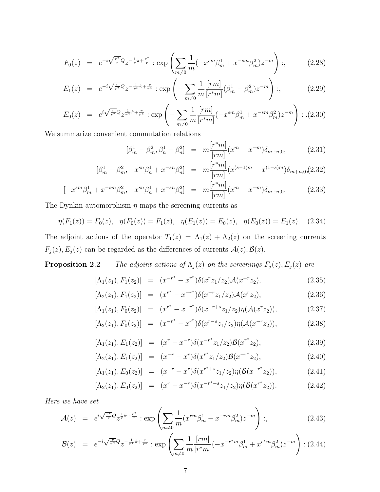$$
F_0(z) = e^{-i\sqrt{\frac{\tau^*}{r}}Q}z^{-\frac{1}{r}\hat{\pi} + \frac{\tau^*}{r}} : \exp\left(\sum_{m \neq 0} \frac{1}{m}(-x^{sm}\beta_m^1 + x^{-sm}\beta_m^2)z^{-m}\right) :,\tag{2.28}
$$

$$
E_1(z) = e^{-i\sqrt{\frac{r}{r^*}}Q}z^{-\frac{1}{r^*}\hat{\pi} + \frac{r}{r^*}} : \exp\left(-\sum_{m \neq 0} \frac{1}{m} \frac{[rm]}{[r^*m]} (\beta_m^1 - \beta_m^2) z^{-m}\right) :,\tag{2.29}
$$

$$
E_0(z) = e^{i\sqrt{\frac{r}{r^*}}Q} z^{\frac{1}{r^*}\hat{\pi} + \frac{r}{r^*}} : \exp\left(-\sum_{m \neq 0} \frac{1}{m} \frac{[rm]}{[r^*m]} (-x^{sm}\beta_m^1 + x^{-sm}\beta_m^2) z^{-m}\right) : . (2.30)
$$

We summarize convenient commutation relations

$$
[\beta_m^1 - \beta_m^2, \beta_n^1 - \beta_n^2] = m \frac{[r^*m]}{[rm]} (x^m + x^{-m}) \delta_{m+n,0}, \qquad (2.31)
$$

$$
[\beta_m^1 - \beta_m^2, -x^{sn}\beta_n^1 + x^{-sn}\beta_n^2] = m \frac{[r^*m]}{[rm]}(x^{(s-1)m} + x^{(1-s)m})\delta_{m+n,0}(2.32)
$$

$$
[-x^{sm}\beta_m^1 + x^{-sm}\beta_m^2, -x^{sn}\beta_n^1 + x^{-sn}\beta_n^2] = m \frac{[r^*m]}{[rm]}(x^m + x^{-m})\delta_{m+n,0}.
$$
 (2.33)

The Dynkin-automorphism  $\eta$  maps the screening currents as

$$
\eta(F_1(z)) = F_0(z), \quad \eta(F_0(z)) = F_1(z), \quad \eta(E_1(z)) = E_0(z), \quad \eta(E_0(z)) = E_1(z). \tag{2.34}
$$

The adjoint actions of the operator  $T_1(z) = \Lambda_1(z) + \Lambda_2(z)$  on the screening currents  $F_j(z), E_j(z)$  can be regarded as the differences of currents  $\mathcal{A}(z), \mathcal{B}(z)$ .

**Proposition 2.2** The adjoint actions of  $\Lambda_j(z)$  on the screenings  $F_j(z)$ ,  $E_j(z)$  are

$$
[\Lambda_1(z_1), F_1(z_2)] = (x^{-r^*} - x^{r^*}) \delta(x^r z_1/z_2) \mathcal{A}(x^{-r} z_2), \tag{2.35}
$$

$$
[\Lambda_2(z_1), F_1(z_2)] = (x^{r^*} - x^{-r^*}) \delta(x^{-r} z_1/z_2) \mathcal{A}(x^r z_2), \tag{2.36}
$$

$$
[\Lambda_1(z_1), F_0(z_2)] = (x^{r^*} - x^{-r^*}) \delta(x^{-r+s} z_1/z_2) \eta(\mathcal{A}(x^r z_2)), \tag{2.37}
$$

$$
[\Lambda_2(z_1), F_0(z_2)] = (x^{-r^*} - x^{r^*}) \delta(x^{r-s} z_1/z_2) \eta(\mathcal{A}(x^{-r} z_2)), \tag{2.38}
$$

$$
[\Lambda_1(z_1), E_1(z_2)] = (x^r - x^{-r})\delta(x^{-r^*}z_1/z_2)\mathcal{B}(x^{r^*}z_2), \qquad (2.39)
$$

$$
[\Lambda_2(z_1), E_1(z_2)] = (x^{-r} - x^r) \delta(x^{r*} z_1/z_2) \mathcal{B}(x^{-r*} z_2), \qquad (2.40)
$$

$$
[\Lambda_1(z_1), E_0(z_2)] = (x^{-r} - x^r) \delta(x^{r^*+s} z_1/z_2) \eta(\mathcal{B}(x^{-r^*} z_2)), \qquad (2.41)
$$

$$
[\Lambda_2(z_1), E_0(z_2)] = (x^r - x^{-r})\delta(x^{-r^*-s}z_1/z_2)\eta(\mathcal{B}(x^{r^*}z_2)). \tag{2.42}
$$

Here we have set

$$
\mathcal{A}(z) = e^{i\sqrt{\frac{r^*}{r}}Q}z^{\frac{1}{r}\hat{\pi} + \frac{r^*}{r}} : \exp\left(\sum_{m \neq 0} \frac{1}{m} (x^{rm} \beta_m^1 - x^{-rm} \beta_m^2) z^{-m}\right) :,\tag{2.43}
$$

$$
\mathcal{B}(z) = e^{-i\sqrt{\frac{r}{r^*}}Q}z^{-\frac{1}{r^*}\hat{\pi} + \frac{r}{r^*}} \exp\left(\sum_{m \neq 0} \frac{1}{m} \frac{[rm]}{[r^*m]}(-x^{-r^*m}\beta_m^1 + x^{r^*m}\beta_m^2)z^{-m}\right) : (2.44)
$$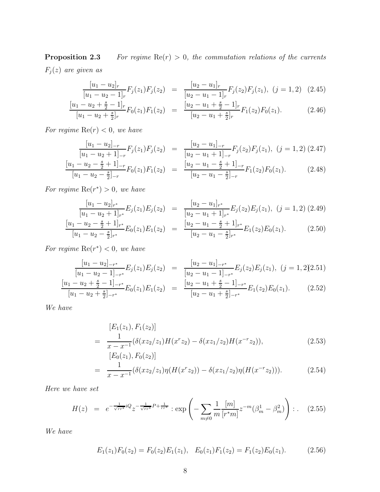**Proposition 2.3** For regime  $Re(r) > 0$ , the commutation relations of the currents  $F_j(z)$  are given as

$$
\frac{[u_1 - u_2]_r}{[u_1 - u_2 - 1]_r} F_j(z_1) F_j(z_2) = \frac{[u_2 - u_1]_r}{[u_2 - u_1 - 1]_r} F_j(z_2) F_j(z_1), (j = 1, 2) \quad (2.45)
$$

$$
\frac{[u_1 - u_2 + \frac{s}{2} - 1]_r}{[u_1 - u_2 + \frac{s}{2}]_r} F_0(z_1) F_1(z_2) = \frac{[u_2 - u_1 + \frac{s}{2} - 1]_r}{[u_2 - u_1 + \frac{s}{2}]_r} F_1(z_2) F_0(z_1).
$$
 (2.46)

For regime  $\text{Re}(r) < 0$ , we have

$$
\frac{[u_1 - u_2]_{-r}}{[u_1 - u_2 + 1]_{-r}} F_j(z_1) F_j(z_2) = \frac{[u_2 - u_1]_{-r}}{[u_2 - u_1 + 1]_{-r}} F_j(z_2) F_j(z_1), (j = 1, 2) (2.47)
$$
\n
$$
\frac{[u_1 - u_2 - \frac{s}{2} + 1]_{-r}}{[u_1 - u_2 - \frac{s}{2}]_{-r}} F_0(z_1) F_1(z_2) = \frac{[u_2 - u_1 - \frac{s}{2} + 1]_{-r}}{[u_2 - u_1 - \frac{s}{2}]_{-r}} F_1(z_2) F_0(z_1).
$$
\n(2.48)

For regime  $\text{Re}(r^*) > 0$ , we have

$$
\frac{[u_1 - u_2]_{r^*}}{[u_1 - u_2 + 1]_{r^*}} E_j(z_1) E_j(z_2) = \frac{[u_2 - u_1]_{r^*}}{[u_2 - u_1 + 1]_{r^*}} E_j(z_2) E_j(z_1), (j = 1, 2) (2.49)
$$
\n
$$
\frac{[u_1 - u_2 - \frac{s}{2} + 1]_{r^*}}{[u_1 - u_2 - \frac{s}{2}]_{r^*}} E_0(z_1) E_1(z_2) = \frac{[u_2 - u_1 - \frac{s}{2} + 1]_{r^*}}{[u_2 - u_1 - \frac{s}{2}]_{r^*}} E_1(z_2) E_0(z_1).
$$
\n(2.50)

For regime  $\text{Re}(r^*) < 0$ , we have

$$
\frac{[u_1 - u_2]_{-r^*}}{[u_1 - u_2 - 1]_{-r^*}} E_j(z_1) E_j(z_2) = \frac{[u_2 - u_1]_{-r^*}}{[u_2 - u_1 - 1]_{-r^*}} E_j(z_2) E_j(z_1), (j = 1, 2(2.51))
$$
\n
$$
\frac{[u_1 - u_2 + \frac{s}{2} - 1]_{-r^*}}{[u_1 - u_2 + \frac{s}{2}]_{-r^*}} E_0(z_1) E_1(z_2) = \frac{[u_2 - u_1 + \frac{s}{2} - 1]_{-r^*}}{[u_2 - u_1 + \frac{s}{2}]_{-r^*}} E_1(z_2) E_0(z_1).
$$
\n(2.52)

We have

$$
[E_1(z_1), F_1(z_2)]
$$
  
= 
$$
\frac{1}{x - x^{-1}} (\delta(xz_2/z_1)H(x^r z_2) - \delta(xz_1/z_2)H(x^{-r} z_2)),
$$
 (2.53)  

$$
[E_0(z_1), F_0(z_2)]
$$

$$
= \frac{1}{x - x^{-1}} (\delta(xz_2/z_1)\eta(H(x^r z_2)) - \delta(xz_1/z_2)\eta(H(x^{-r} z_2))). \qquad (2.54)
$$

Here we have set

$$
H(z) = e^{-\frac{1}{\sqrt{rr^*}}iQ} z^{-\frac{1}{\sqrt{rr^*}}P + \frac{1}{rr^*}} : \exp\left(-\sum_{m \neq 0} \frac{1}{m} \frac{[m]}{[r^*m]} z^{-m} (\beta_m^1 - \beta_m^2) \right) : . \quad (2.55)
$$

We have

$$
E_1(z_1)F_0(z_2) = F_0(z_2)E_1(z_1), \quad E_0(z_1)F_1(z_2) = F_1(z_2)E_0(z_1). \tag{2.56}
$$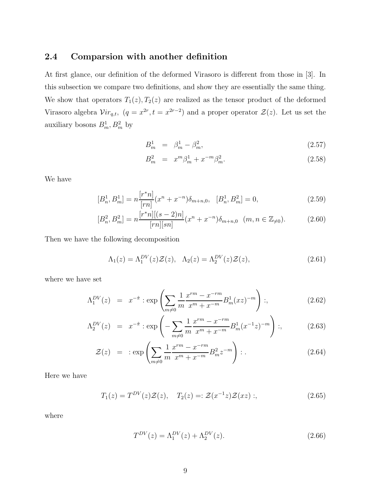### 2.4 Comparsion with another definition

At first glance, our definition of the deformed Virasoro is different from those in [3]. In this subsection we compare two definitions, and show they are essentially the same thing. We show that operators  $T_1(z)$ ,  $T_2(z)$  are realized as the tensor product of the deformed Virasoro algebra  $Vir_{q,t}$ ,  $(q = x^{2r}, t = x^{2r-2})$  and a proper operator  $\mathcal{Z}(z)$ . Let us set the auxiliary bosons  $B_m^1, B_m^2$  by

$$
B_m^1 = \beta_m^1 - \beta_m^2, \tag{2.57}
$$

$$
B_m^2 = x^m \beta_m^1 + x^{-m} \beta_m^2. \tag{2.58}
$$

We have

$$
[B_n^1, B_m^1] = n \frac{[r^*n]}{[rn]} (x^n + x^{-n}) \delta_{m+n,0}, \quad [B_n^1, B_m^2] = 0,
$$
\n(2.59)

$$
[B_n^2, B_m^2] = n \frac{[r^*n][(s-2)n]}{[rn][sn]} (x^n + x^{-n}) \delta_{m+n,0} \quad (m, n \in \mathbb{Z}_{\neq 0}).
$$
 (2.60)

Then we have the following decomposition

$$
\Lambda_1(z) = \Lambda_1^{DV}(z)\mathcal{Z}(z), \quad \Lambda_2(z) = \Lambda_2^{DV}(z)\mathcal{Z}(z),\tag{2.61}
$$

where we have set

$$
\Lambda_1^{DV}(z) = x^{-\hat{\pi}} : \exp\left(\sum_{m \neq 0} \frac{1}{m} \frac{x^{rm} - x^{-rm}}{x^m + x^{-m}} B_m^1(xz)^{-m}\right) :,\tag{2.62}
$$

$$
\Lambda_2^{DV}(z) = x^{-\hat{\pi}} : \exp\left(-\sum_{m \neq 0} \frac{1}{m} \frac{x^{rm} - x^{-rm}}{x^m + x^{-m}} B_m^1 (x^{-1} z)^{-m}\right) :,\tag{2.63}
$$

$$
\mathcal{Z}(z) = \exp\left(\sum_{m \neq 0} \frac{1}{m} \frac{x^{rm} - x^{-rm}}{x^m + x^{-m}} B_m^2 z^{-m}\right) : . \tag{2.64}
$$

Here we have

$$
T_1(z) = T^{DV}(z)\mathcal{Z}(z), \quad T_2(z) =: \mathcal{Z}(x^{-1}z)\mathcal{Z}(xz) ;
$$
\n
$$
(2.65)
$$

where

$$
T^{DV}(z) = \Lambda_1^{DV}(z) + \Lambda_2^{DV}(z).
$$
\n(2.66)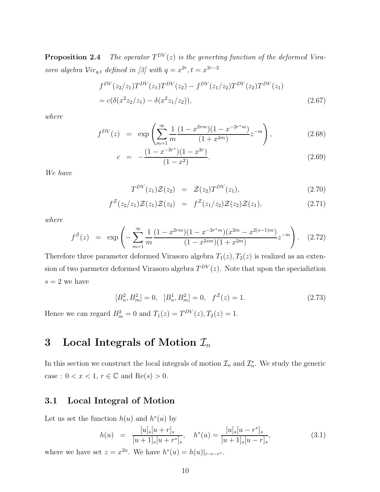Proposition 2.4 The operator  $T^{DV}(z)$  is the generting function of the deformed Virasoro algebra  $Vir_{q,t}$  defined in [3] with  $q = x^{2r}, t = x^{2r-2}$ 

$$
f^{DV}(z_2/z_1)T^{DV}(z_1)T^{DV}(z_2) - f^{DV}(z_1/z_2)T^{DV}(z_2)T^{DV}(z_1)
$$
  
=  $c(\delta(x^2z_2/z_1) - \delta(x^2z_1/z_2)),$  (2.67)

where

$$
f^{DV}(z) = \exp\left(\sum_{m=1}^{\infty} \frac{1}{m} \frac{(1 - x^{2rm})(1 - x^{-2r^*m})}{(1 + x^{2m})} z^{-m}\right),\tag{2.68}
$$

$$
c = -\frac{(1 - x^{-2r^*})(1 - x^{2r})}{(1 - x^2)}.
$$
\n(2.69)

We have

$$
T^{DV}(z_1)\mathcal{Z}(z_2) = \mathcal{Z}(z_2)T^{DV}(z_1), \qquad (2.70)
$$

$$
f^{\mathcal{Z}}(z_2/z_1)\mathcal{Z}(z_1)\mathcal{Z}(z_2) = f^{\mathcal{Z}}(z_1/z_2)\mathcal{Z}(z_2)\mathcal{Z}(z_1), \qquad (2.71)
$$

where

$$
f^{Z}(z) = \exp\left(-\sum_{m=1}^{\infty} \frac{1}{m} \frac{(1 - x^{2rm})(1 - x^{-2r^{*}m})(x^{2m} - x^{2(s-1)m})}{(1 - x^{2sm})(1 + x^{2m})} z^{-m}\right). \quad (2.72)
$$

Therefore three parameter deformed Virasoro algebra  $T_1(z)$ ,  $T_2(z)$  is realized as an extension of two parmeter deformed Virasoro algebra  $T^{DV}(z)$ . Note that upon the specializion  $s = 2$  we have

$$
[B_n^2, B_m^2] = 0, \quad [B_n^1, B_m^2] = 0, \quad f^{\mathcal{Z}}(z) = 1.
$$
 (2.73)

Hence we can regard  $B_m^2 = 0$  and  $T_1(z) = T^{DV}(z), T_2(z) = 1$ .

## 3 Local Integrals of Motion  $\mathcal{I}_n$

In this section we construct the local integrals of motion  $\mathcal{I}_n$  and  $\mathcal{I}_n^*$ . We study the generic case :  $0 < x < 1$ ,  $r \in \mathbb{C}$  and  $\text{Re}(s) > 0$ .

## 3.1 Local Integral of Motion

Let us set the function  $h(u)$  and  $h^*(u)$  by

$$
h(u) = \frac{[u]_s[u+r]_s}{[u+1]_s[u+r^*]_s}, \quad h^*(u) = \frac{[u]_s[u-r^*]_s}{[u+1]_s[u-r]_s},
$$
\n(3.1)

where we have set  $z = x^{2u}$ . We have  $h^*(u) = h(u)|_{r \to -r^*}$ .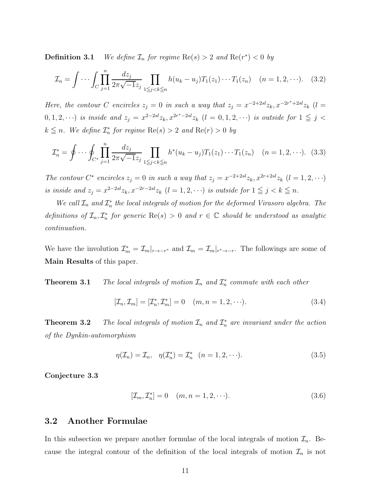**Definition 3.1** We define  $\mathcal{I}_n$  for regime  $\text{Re}(s) > 2$  and  $\text{Re}(r^*) < 0$  by

$$
\mathcal{I}_n = \int \cdots \int_C \prod_{j=1}^n \frac{dz_j}{2\pi \sqrt{-1}z_j} \prod_{1 \le j < k \le n} h(u_k - u_j) T_1(z_1) \cdots T_1(z_n) \quad (n = 1, 2, \cdots). \tag{3.2}
$$

Here, the contour C encircles  $z_j = 0$  in such a way that  $z_j = x^{-2+2sl} z_k, x^{-2r^*+2sl} z_k$  (l =  $(0,1,2,\dots)$  is inside and  $z_j = x^{2-2sl} z_k, x^{2r^*-2sl} z_k$   $(l = 0,1,2,\dots)$  is outside for  $1 \leq j < j$  $k \leq n$ . We define  $\mathcal{I}_n^*$  for regime  $\text{Re}(s) > 2$  and  $\text{Re}(r) > 0$  by

$$
\mathcal{I}_n^* = \oint \cdots \oint_{C^*} \prod_{j=1}^n \frac{dz_j}{2\pi\sqrt{-1}z_j} \prod_{1 \le j < k \le n} h^*(u_k - u_j) T_1(z_1) \cdots T_1(z_n) \quad (n = 1, 2, \cdots). \tag{3.3}
$$

The contour  $C^*$  encircles  $z_j = 0$  in such a way that  $z_j = x^{-2+2sl} z_k, x^{2r+2sl} z_k$   $(l = 1, 2, \cdots)$ is inside and  $z_j = x^{2-2sl} z_k, x^{-2r-2sl} z_k$   $(l = 1, 2, \cdots)$  is outside for  $1 \leq j < k \leq n$ .

We call  $\mathcal{I}_n$  and  $\mathcal{I}_n^*$  the local integrals of motion for the deformed Virasoro algebra. The definitions of  $\mathcal{I}_n, \mathcal{I}_n^*$  for generic  $\text{Re}(s) > 0$  and  $r \in \mathbb{C}$  should be understood as analytic continuation.

We have the involution  $\mathcal{I}_m^* = \mathcal{I}_m|_{r \to -r^*}$  and  $\mathcal{I}_m = \mathcal{I}_m|_{r^* \to -r}$ . The followings are some of Main Results of this paper.

**Theorem 3.1** The local integrals of motion  $\mathcal{I}_n$  and  $\mathcal{I}_n^*$  commute with each other

$$
[\mathcal{I}_n, \mathcal{I}_m] = [\mathcal{I}_n^*, \mathcal{I}_m^*] = 0 \quad (m, n = 1, 2, \cdots).
$$
 (3.4)

**Theorem 3.2** The local integrals of motion  $\mathcal{I}_n$  and  $\mathcal{I}_n^*$  are invariant under the action of the Dynkin-automorphism

$$
\eta(\mathcal{I}_n) = \mathcal{I}_n, \quad \eta(\mathcal{I}_n^*) = \mathcal{I}_n^* \quad (n = 1, 2, \cdots). \tag{3.5}
$$

Conjecture 3.3

$$
[\mathcal{I}_m, \mathcal{I}_n^*] = 0 \quad (m, n = 1, 2, \cdots). \tag{3.6}
$$

#### 3.2 Another Formulae

In this subsection we prepare another formulae of the local integrals of motion  $\mathcal{I}_n$ . Because the integral contour of the definition of the local integrals of motion  $\mathcal{I}_n$  is not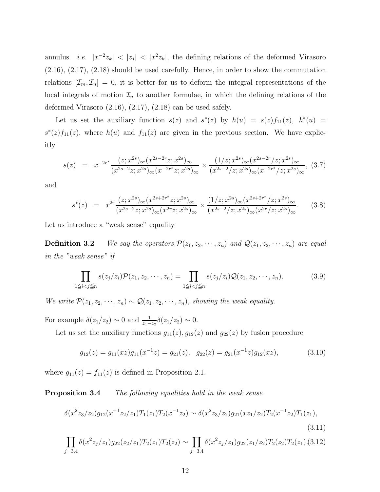annulus. *i.e.*  $|x^{-2}z_k| < |z_j| < |x^2z_k|$ , the defining relations of the deformed Virasoro (2.16), (2.17), (2.18) should be used carefully. Hence, in order to show the commutation relations  $[\mathcal{I}_m, \mathcal{I}_n] = 0$ , it is better for us to deform the integral representations of the local integrals of motion  $\mathcal{I}_n$  to another formulae, in which the defining relations of the deformed Virasoro  $(2.16)$ ,  $(2.17)$ ,  $(2.18)$  can be used safely.

Let us set the auxiliary function  $s(z)$  and  $s^*(z)$  by  $h(u) = s(z) f_{11}(z)$ ,  $h^*(u) =$  $s^*(z) f_{11}(z)$ , where  $h(u)$  and  $f_{11}(z)$  are given in the previous section. We have explicitly

$$
s(z) = x^{-2r^*} \frac{(z; x^{2s})_\infty (x^{2s-2r} z; x^{2s})_\infty}{(x^{2s-2} z; x^{2s})_\infty (x^{-2r^*} z; x^{2s})_\infty} \times \frac{(1/z; x^{2s})_\infty (x^{2s-2r}/z; x^{2s})_\infty}{(x^{2s-2}/z; x^{2s})_\infty (x^{-2r^*}/z; x^{2s})_\infty},
$$
(3.7)

and

$$
s^*(z) = x^{2r} \frac{(z; x^{2s})_\infty (x^{2s+2r^*} z; x^{2s})_\infty}{(x^{2s-2} z; x^{2s})_\infty (x^{2r} z; x^{2s})_\infty} \times \frac{(1/z; x^{2s})_\infty (x^{2s+2r^*}/z; x^{2s})_\infty}{(x^{2s-2}/z; x^{2s})_\infty (x^{2r}/z; x^{2s})_\infty}.
$$
(3.8)

Let us introduce a "weak sense" equality

**Definition 3.2** We say the operators  $\mathcal{P}(z_1, z_2, \dots, z_n)$  and  $\mathcal{Q}(z_1, z_2, \dots, z_n)$  are equal in the "weak sense" if

$$
\prod_{1 \leq i < j \leq n} s(z_j/z_i) \mathcal{P}(z_1, z_2, \cdots, z_n) = \prod_{1 \leq i < j \leq n} s(z_j/z_i) \mathcal{Q}(z_1, z_2, \cdots, z_n). \tag{3.9}
$$

We write  $\mathcal{P}(z_1, z_2, \dots, z_n) \sim \mathcal{Q}(z_1, z_2, \dots, z_n)$ , showing the weak equality.

For example  $\delta(z_1/z_2) \sim 0$  and  $\frac{1}{z_1 - z_2} \delta(z_1/z_2) \sim 0$ .

Let us set the auxiliary functions  $g_{11}(z)$ ,  $g_{12}(z)$  and  $g_{22}(z)$  by fusion procedure

$$
g_{12}(z) = g_{11}(xz)g_{11}(x^{-1}z) = g_{21}(z), \quad g_{22}(z) = g_{21}(x^{-1}z)g_{12}(xz), \tag{3.10}
$$

where  $g_{11}(z) = f_{11}(z)$  is defined in Proposition 2.1.

**Proposition 3.4** The following equalities hold in the weak sense

$$
\delta(x^2z_3/z_2)g_{12}(x^{-1}z_2/z_1)T_1(z_1)T_2(x^{-1}z_2) \sim \delta(x^2z_3/z_2)g_{21}(xz_1/z_2)T_2(x^{-1}z_2)T_1(z_1),\tag{3.11}
$$

$$
\prod_{j=3,4} \delta(x^2 z_j/z_1) g_{22}(z_2/z_1) T_2(z_1) T_2(z_2) \sim \prod_{j=3,4} \delta(x^2 z_j/z_1) g_{22}(z_1/z_2) T_2(z_2) T_2(z_1) . (3.12)
$$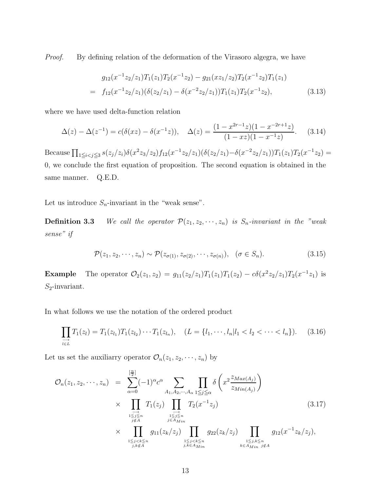Proof. By defining relation of the deformation of the Virasoro algegra, we have

$$
g_{12}(x^{-1}z_2/z_1)T_1(z_1)T_2(x^{-1}z_2) - g_{21}(xz_1/z_2)T_2(x^{-1}z_2)T_1(z_1)
$$
  
=  $f_{12}(x^{-1}z_2/z_1)(\delta(z_2/z_1) - \delta(x^{-2}z_2/z_1))T_1(z_1)T_2(x^{-1}z_2),$  (3.13)

where we have used delta-function relation

$$
\Delta(z) - \Delta(z^{-1}) = c(\delta(xz) - \delta(x^{-1}z)), \quad \Delta(z) = \frac{(1 - x^{2r-1}z)(1 - x^{-2r+1}z)}{(1 - xz)(1 - x^{-1}z)}.
$$
(3.14)

Because  $\prod_{1 \leq i < j \leq 3} s(z_j/z_i) \delta(x^2 z_3/z_2) f_{12}(x^{-1} z_2/z_1) (\delta(z_2/z_1) - \delta(x^{-2} z_2/z_1)) T_1(z_1) T_2(x^{-1} z_2) =$ 0, we conclude the first equation of proposition. The second equation is obtained in the same manner. Q.E.D.

Let us introduce  $S_n$ -invariant in the "weak sense".

**Definition 3.3** We call the operator  $\mathcal{P}(z_1, z_2, \dots, z_n)$  is  $S_n$ -invariant in the "weak" sense" if

$$
\mathcal{P}(z_1, z_2, \cdots, z_n) \sim \mathcal{P}(z_{\sigma(1)}, z_{\sigma(2)}, \cdots, z_{\sigma(n)}), \quad (\sigma \in S_n). \tag{3.15}
$$

**Example** The operator  $\mathcal{O}_2(z_1, z_2) = g_{11}(z_2/z_1)T_1(z_1)T_1(z_2) - c\delta(x^2z_2/z_1)T_2(x^{-1}z_1)$  is  $S_2$ -invariant.

In what follows we use the notation of the ordered product

$$
\prod_{\substack{i=1 \ i \in L}} T_1(z_i) = T_1(z_{l_1}) T_1(z_{l_2}) \cdots T_1(z_{l_n}), \quad (L = \{l_1, \cdots, l_n | l_1 < l_2 < \cdots < l_n\}). \tag{3.16}
$$

Let us set the auxiliarry operator  $\mathcal{O}_n(z_1, z_2, \dots, z_n)$  by

$$
\mathcal{O}_{n}(z_{1}, z_{2}, \cdots, z_{n}) = \sum_{\alpha=0}^{\left[\frac{n}{2}\right]} (-1)^{\alpha} c^{\alpha} \sum_{A_{1}, A_{2}, \cdots, A_{\alpha}} \prod_{1 \leq j \leq \alpha} \delta\left(x^{2} \frac{z_{Max(A_{j})}}{z_{Min(A_{j})}}\right)
$$
\n
$$
\times \prod_{\substack{1 \leq j \leq n \\ j \notin A}} T_{1}(z_{j}) \prod_{\substack{1 \leq j \leq n \\ j \in A_{Min}}} T_{2}(x^{-1}z_{j}) \qquad (3.17)
$$
\n
$$
\times \prod_{\substack{1 \leq j < k \leq n \\ j, k \notin A}} g_{11}(z_{k}/z_{j}) \prod_{\substack{1 \leq j < k \leq n \\ j, k \in A_{Min}}} g_{22}(z_{k}/z_{j}) \prod_{\substack{1 \leq j, k \leq n \\ k \in A_{Min}}} g_{12}(x^{-1}z_{k}/z_{j}),
$$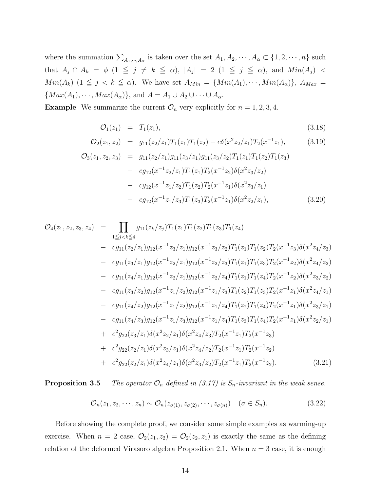where the summation  $\sum_{A_1,\dots,A_\alpha}$  is taken over the set  $A_1, A_2, \dots, A_\alpha \subset \{1, 2, \dots, n\}$  such that  $A_j \cap A_k = \phi$   $(1 \leq j \neq k \leq \alpha)$ ,  $|A_j| = 2$   $(1 \leq j \leq \alpha)$ , and  $Min(A_j) <$  $Min(A_k)$   $(1 \leq j < k \leq \alpha)$ . We have set  $A_{Min} = \{Min(A_1), \dots, Min(A_\alpha)\}, A_{Max} =$  $\{Max(A_1), \cdots, Max(A_\alpha)\}, \text{ and } A = A_1 \cup A_2 \cup \cdots \cup A_\alpha.$ 

**Example** We summarize the current  $\mathcal{O}_n$  very explicitly for  $n = 1, 2, 3, 4$ .

$$
\mathcal{O}_1(z_1) = T_1(z_1), \tag{3.18}
$$

$$
\mathcal{O}_2(z_1, z_2) = g_{11}(z_2/z_1)T_1(z_1)T_1(z_2) - c\delta(x^2z_2/z_1)T_2(x^{-1}z_1), \tag{3.19}
$$

$$
\mathcal{O}_3(z_1, z_2, z_3) = g_{11}(z_2/z_1)g_{11}(z_3/z_1)g_{11}(z_3/z_2)T_1(z_1)T_1(z_2)T_1(z_3)
$$
  
\n
$$
- cg_{12}(x^{-1}z_2/z_1)T_1(z_1)T_2(x^{-1}z_2)\delta(x^2z_3/z_2)
$$
  
\n
$$
- cg_{12}(x^{-1}z_1/z_2)T_1(z_2)T_2(x^{-1}z_1)\delta(x^2z_3/z_1)
$$
  
\n
$$
- cg_{12}(x^{-1}z_1/z_3)T_1(z_3)T_2(x^{-1}z_1)\delta(x^2z_2/z_1),
$$
\n(3.20)

$$
\mathcal{O}_{4}(z_{1}, z_{2}, z_{3}, z_{4}) = \prod_{1 \leq j < k \leq 4} g_{11}(z_{k}/z_{j}) T_{1}(z_{1}) T_{1}(z_{2}) T_{1}(z_{3}) T_{1}(z_{4})
$$
\n
$$
- cg_{11}(z_{2}/z_{1}) g_{12}(x^{-1}z_{3}/z_{1}) g_{12}(x^{-1}z_{3}/z_{2}) T_{1}(z_{1}) T_{1}(z_{2}) T_{2}(x^{-1}z_{3}) \delta(x^{2}z_{4}/z_{3})
$$
\n
$$
- cg_{11}(z_{3}/z_{1}) g_{12}(x^{-1}z_{2}/z_{1}) g_{12}(x^{-1}z_{2}/z_{3}) T_{1}(z_{1}) T_{1}(z_{3}) T_{2}(x^{-1}z_{2}) \delta(x^{2}z_{4}/z_{2})
$$
\n
$$
- cg_{11}(z_{4}/z_{1}) g_{12}(x^{-1}z_{2}/z_{1}) g_{12}(x^{-1}z_{2}/z_{4}) T_{1}(z_{1}) T_{1}(z_{4}) T_{2}(x^{-1}z_{2}) \delta(x^{2}z_{3}/z_{2})
$$
\n
$$
- cg_{11}(z_{3}/z_{2}) g_{12}(x^{-1}z_{1}/z_{2}) g_{12}(x^{-1}z_{1}/z_{3}) T_{1}(z_{2}) T_{1}(z_{3}) T_{2}(x^{-1}z_{1}) \delta(x^{2}z_{4}/z_{1})
$$
\n
$$
- cg_{11}(z_{4}/z_{2}) g_{12}(x^{-1}z_{1}/z_{2}) g_{12}(x^{-1}z_{1}/z_{4}) T_{1}(z_{2}) T_{1}(z_{4}) T_{2}(x^{-1}z_{1}) \delta(x^{2}z_{3}/z_{1})
$$
\n
$$
- cg_{11}(z_{4}/z_{3}) g_{12}(x^{-1}z_{1}/z_{3}) g_{12}(x^{-1}z_{1}/z_{4}) T_{1}(z_{3}) T_{1}(z_{4}) T_{2}(x^{-1}z_{1}) \delta(x^{2}z_{2}/z_{1})
$$
\n
$$
+ c^{2} g_{22}(z_{3}/z_{1}) \delta(x^{2}z_{2}/z_{1}) \delta(x^{2}z_{4}/z_{3}) T_{2}(x^{-1}z_{1}) T_{2}(
$$

**Proposition 3.5** The operator  $\mathcal{O}_n$  defined in (3.17) is  $S_n$ -invariant in the weak sense.

$$
\mathcal{O}_n(z_1, z_2, \cdots, z_n) \sim \mathcal{O}_n(z_{\sigma(1)}, z_{\sigma(2)}, \cdots, z_{\sigma(n)}) \quad (\sigma \in S_n). \tag{3.22}
$$

Before showing the complete proof, we consider some simple examples as warming-up exercise. When  $n = 2$  case,  $\mathcal{O}_2(z_1, z_2) = \mathcal{O}_2(z_2, z_1)$  is exactly the same as the defining relation of the deformed Virasoro algebra Proposition 2.1. When  $n = 3$  case, it is enough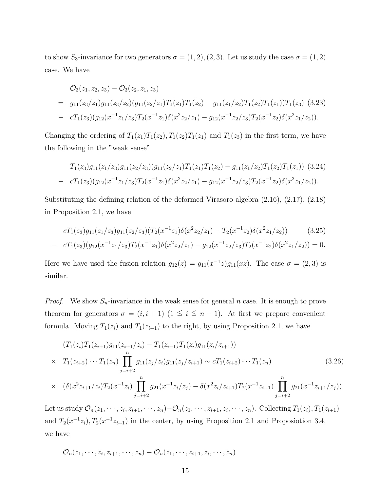to show S<sub>3</sub>-invariance for two generators  $\sigma = (1, 2), (2, 3)$ . Let us study the case  $\sigma = (1, 2)$ case. We have

$$
\mathcal{O}_3(z_1, z_2, z_3) - \mathcal{O}_3(z_2, z_1, z_3)
$$
\n
$$
= g_{11}(z_3/z_1)g_{11}(z_3/z_2)(g_{11}(z_2/z_1)T_1(z_1)T_1(z_2) - g_{11}(z_1/z_2)T_1(z_2)T_1(z_1))T_1(z_3)
$$
\n
$$
= cT_1(z_3)(g_{12}(x^{-1}z_1/z_3)T_2(x^{-1}z_1)\delta(x^2z_2/z_1) - g_{12}(x^{-1}z_2/z_3)T_2(x^{-1}z_2)\delta(x^2z_1/z_2)).
$$

Changing the ordering of  $T_1(z_1)T_1(z_2)$ ,  $T_1(z_2)T_1(z_1)$  and  $T_1(z_3)$  in the first term, we have the following in the "weak sense"

$$
T_1(z_3)g_{11}(z_1/z_3)g_{11}(z_2/z_3)(g_{11}(z_2/z_1)T_1(z_1)T_1(z_2) - g_{11}(z_1/z_2)T_1(z_2)T_1(z_1))
$$
 (3.24)  
- 
$$
cT_1(z_3)(g_{12}(x^{-1}z_1/z_3)T_2(x^{-1}z_1)\delta(x^2z_2/z_1) - g_{12}(x^{-1}z_2/z_3)T_2(x^{-1}z_2)\delta(x^2z_1/z_2)).
$$

Substituting the defining relation of the deformed Virasoro algebra (2.16), (2.17), (2.18) in Proposition 2.1, we have

$$
cT_1(z_3)g_{11}(z_1/z_3)g_{11}(z_2/z_3)(T_2(x^{-1}z_1)\delta(x^2z_2/z_1) - T_2(x^{-1}z_2)\delta(x^2z_1/z_2))
$$
 (3.25)

$$
- cT_1(z_3)(g_{12}(x^{-1}z_1/z_3)T_2(x^{-1}z_1)\delta(x^2z_2/z_1) - g_{12}(x^{-1}z_2/z_3)T_2(x^{-1}z_2)\delta(x^2z_1/z_2)) = 0.
$$

Here we have used the fusion relation  $g_{12}(z) = g_{11}(x^{-1}z)g_{11}(xz)$ . The case  $\sigma = (2,3)$  is similar.

*Proof.* We show  $S_n$ -invariance in the weak sense for general n case. It is enough to prove theorem for generators  $\sigma = (i, i + 1)$  (1  $\leq i \leq n - 1$ ). At first we prepare convenient formula. Moving  $T_1(z_i)$  and  $T_1(z_{i+1})$  to the right, by using Proposition 2.1, we have

$$
(T_1(z_i)T_1(z_{i+1})g_{11}(z_{i+1}/z_i) - T_1(z_{i+1})T_1(z_i)g_{11}(z_i/z_{i+1}))
$$
  
\n
$$
\times T_1(z_{i+2}) \cdots T_1(z_n) \prod_{j=i+2}^n g_{11}(z_j/z_i)g_{11}(z_j/z_{i+1}) \sim cT_1(z_{i+2}) \cdots T_1(z_n)
$$
(3.26)  
\n
$$
\times (\delta(x^2z_{i+1}/z_i)T_2(x^{-1}z_i) \prod_{j=i+2}^n g_{21}(x^{-1}z_i/z_j) - \delta(x^2z_i/z_{i+1})T_2(x^{-1}z_{i+1}) \prod_{j=i+2}^n g_{21}(x^{-1}z_{i+1}/z_j)).
$$

Let us study  $\mathcal{O}_n(z_1,\dots,z_i,z_{i+1},\dots,z_n) - \mathcal{O}_n(z_1,\dots,z_{i+1},z_i,\dots,z_n)$ . Collecting  $T_1(z_i), T_1(z_{i+1})$ and  $T_2(x^{-1}z_i)$ ,  $T_2(x^{-1}z_{i+1})$  in the center, by using Proposition 2.1 and Proposition 3.4, we have

$$
\mathcal{O}_n(z_1,\dots,z_i,z_{i+1},\dots,z_n)-\mathcal{O}_n(z_1,\dots,z_{i+1},z_i,\dots,z_n)
$$

 $j=i+2$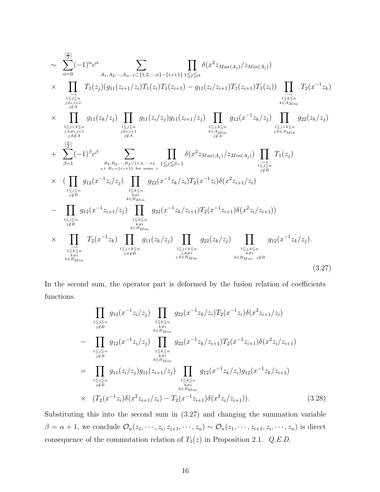$$
\sim \sum_{\alpha=0}^{\left[\frac{n}{2}\right]} (-1)^{\alpha} c^{\alpha} \sum_{\substack{A_1, A_2, \cdots, A_{\alpha-1} \subset \{1, 2, \cdots, n\} - \{i, i+1\} \\ j \leq \alpha \\ j \neq i, i+1}} \prod_{\substack{1 \leq j \leq n \\ j \neq i, i+1 \\ j \neq i, i+1}} f_1(z_j)(g_{11}(z_{i+1}/z_i)T_1(z_i)T_1(z_{i+1}) - g_{11}(z_i/z_{i+1})T_1(z_{i+1})T_1(z_i)) \prod_{\substack{1 \leq j \leq n \\ j \neq i, i+1 \\ j \neq i, i+1}} T_2(x^{-1}z_k)
$$
\n
$$
\times \prod_{\substack{1 \leq j < k \leq n \\ j \neq i, i+1 \\ j \neq i, i+1}} g_{11}(z_k/z_j) \prod_{\substack{1 \leq j \leq n \\ j \neq i, i+1 \\ j \neq i}} g_{11}(z_i/z_j)g_{11}(z_{i+1}/z_j) \prod_{\substack{1 \leq j < k \leq n \\ j \neq i, i+1 \\ j \neq i}} g_{12}(x^{-1}z_k/z_j)
$$
\n
$$
+ \sum_{\substack{\beta=1 \\ \beta=1}}^{\left[\frac{n}{2}\right]} (-1)^{\beta} c^{\beta} \sum_{\substack{B_1, B_2, \cdots, B_{\beta} \subset \{1, 2, \cdots, n\} \\ j \neq i, i+1 \} \\ k \in A_{N}i}} \prod_{\substack{1 \leq j \leq n \\ j \neq i \\ j \neq i}} \delta(x^2 z_{Max(A_j)}/z_{Min(A_j)}) \prod_{\substack{1 \leq j \leq k \leq n \\ j \neq i}} T_1(z_j)
$$
\n
$$
\times \prod_{\substack{1 \leq j \leq n \\ j \neq j \\ j \neq j}} g_{12}(x^{-1}z_i/z_j) \prod_{\substack{1 \leq k \leq n \\ k \neq i \\ k \neq i \\ j \neq i}} g_{22}(x^{-1}z_k/z_i)T_2(x^{-1}z_{i+1})\delta(x^2z_i/z_{i+1}))
$$
\n
$$
+ \prod_{\substack{1 \leq j
$$

In the second sum, the operator part is deformed by the fusion relation of coefficients functions.

$$
\prod_{\substack{1 \leq j \leq n \\ j \notin B}} g_{12}(x^{-1}z_i/z_j) \prod_{\substack{1 \leq k \leq n \\ k \neq i \\ k \neq i \\ k \in B_{Min}}} g_{22}(x^{-1}z_k/z_i) T_2(x^{-1}z_i)\delta(x^2z_{i+1}/z_i)
$$
\n
$$
- \prod_{\substack{1 \leq j \leq n \\ j \notin B}} g_{12}(x^{-1}z_i/z_j) \prod_{\substack{1 \leq k \leq n \\ k \neq i \\ k \in B_{Min}}} g_{22}(x^{-1}z_k/z_{i+1}) T_2(x^{-1}z_{i+1}) \delta(x^2z_i/z_{i+1})
$$
\n
$$
= \prod_{\substack{1 \leq j \leq n \\ j \notin B}} g_{11}(z_i/z_j) g_{11}(z_{i+1}/z_j) \prod_{\substack{1 \leq k \leq n \\ k \neq i \\ k \in B_{Min}}} g_{12}(x^{-1}z_k/z_i) g_{12}(x^{-1}z_k/z_{i+1})
$$
\n
$$
\times (T_2(x^{-1}z_i) \delta(x^2z_{i+1}/z_i) - T_2(x^{-1}z_{i+1}) \delta(x^2z_i/z_{i+1})). \tag{3.28}
$$

Substituting this into the second sum in (3.27) and changing the summation variable  $\beta = \alpha + 1$ , we conclude  $\mathcal{O}_n(z_1, \dots, z_i, z_{i+1}, \dots, z_n) \sim \mathcal{O}_n(z_1, \dots, z_{i+1}, z_i, \dots, z_n)$  is direct consequence of the commutation relation of  $T_1(z)$  in Proposition 2.1. Q.E.D.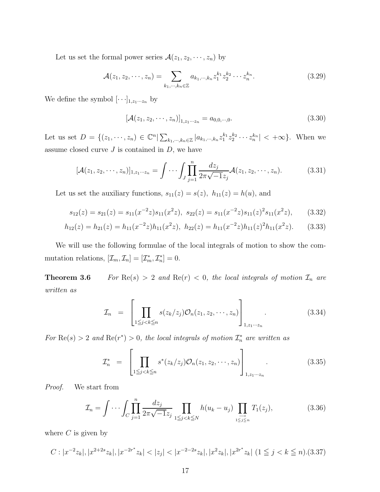Let us set the formal power series  $\mathcal{A}(z_1, z_2, \dots, z_n)$  by

$$
\mathcal{A}(z_1, z_2, \cdots, z_n) = \sum_{k_1, \cdots, k_n \in \mathbb{Z}} a_{k_1, \cdots, k_n} z_1^{k_1} z_2^{k_2} \cdots z_n^{k_n}.
$$
 (3.29)

We define the symbol  $[\cdot\cdot\cdot]_{1,z_1\cdots z_n}$  by

$$
\left[\mathcal{A}(z_1, z_2, \cdots, z_n)\right]_{1, z_1 \cdots z_n} = a_{0,0,\cdots,0}.\tag{3.30}
$$

Let us set  $D = \{(z_1, \dots, z_n) \in \mathbb{C}^n | \sum_{k_1, \dots, k_n \in \mathbb{Z}} |a_{k_1, \dots, k_n} z_1^{k_1} z_2^{k_2} \dots z_n^{k_n}| < +\infty\}$ . When we assume closed curve  $J$  is contained in  $D$ , we have

$$
[\mathcal{A}(z_1, z_2, \cdots, z_n)]_{1, z_1 \cdots z_n} = \int \cdots \int J \prod_{j=1}^n \frac{dz_j}{2\pi \sqrt{-1}z_j} \mathcal{A}(z_1, z_2, \cdots, z_n).
$$
 (3.31)

Let us set the auxiliary functions,  $s_{11}(z) = s(z)$ ,  $h_{11}(z) = h(u)$ , and

$$
s_{12}(z) = s_{21}(z) = s_{11}(x^{-2}z)s_{11}(x^2z), \ s_{22}(z) = s_{11}(x^{-2}z)s_{11}(z)^2s_{11}(x^2z), \qquad (3.32)
$$

$$
h_{12}(z) = h_{21}(z) = h_{11}(x^{-2}z)h_{11}(x^2z), \ h_{22}(z) = h_{11}(x^{-2}z)h_{11}(z)^2h_{11}(x^2z). \tag{3.33}
$$

We will use the following formulae of the local integrals of motion to show the commutation relations,  $[\mathcal{I}_m, \mathcal{I}_n] = [\mathcal{I}_m^*, \mathcal{I}_n^*] = 0.$ 

**Theorem 3.6** For  $\text{Re}(s) > 2$  and  $\text{Re}(r) < 0$ , the local integrals of motion  $\mathcal{I}_n$  are written as

$$
\mathcal{I}_n = \left[ \prod_{1 \leq j < k \leq n} s(z_k/z_j) \mathcal{O}_n(z_1, z_2, \cdots, z_n) \right]_{1, z_1 \cdots z_n} . \tag{3.34}
$$

For  $\text{Re}(s) > 2$  and  $\text{Re}(r^*) > 0$ , the local integrals of motion  $\mathcal{I}_n^*$  are written as

$$
\mathcal{I}_n^* = \left[ \prod_{1 \leq j < k \leq n} s^*(z_k/z_j) \mathcal{O}_n(z_1, z_2, \cdots, z_n) \right]_{1, z_1 \cdots z_n} . \tag{3.35}
$$

Proof. We start from

$$
\mathcal{I}_n = \int \cdots \int_C \prod_{j=1}^n \frac{dz_j}{2\pi\sqrt{-1}z_j} \prod_{1 \le j < k \le N} h(u_k - u_j) \prod_{1 \le j \le n} T_1(z_j),\tag{3.36}
$$

where  $C$  is given by

$$
C: |x^{-2}z_k|, |x^{2+2s}z_k|, |x^{-2r^*}z_k| < |z_j| < |x^{-2-2s}z_k|, |x^2z_k|, |x^{2r^*}z_k| \ (1 \leq j < k \leq n). \tag{3.37}
$$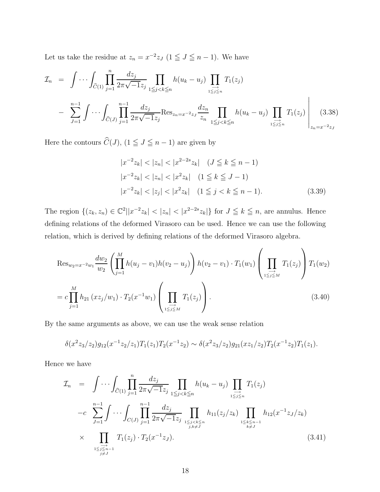Let us take the residue at  $z_n = x^{-2}z_j$   $(1 \leq J \leq n-1)$ . We have

$$
\mathcal{I}_n = \int \cdots \int_{\widehat{C}(1)} \prod_{j=1}^n \frac{dz_j}{2\pi \sqrt{-1}z_j} \prod_{1 \leq j < k \leq n} h(u_k - u_j) \prod_{1 \leq j \leq n} T_1(z_j)
$$
\n
$$
- \sum_{J=1}^{n-1} \int \cdots \int_{\widehat{C}(J)} \prod_{j=1}^{n-1} \frac{dz_j}{2\pi \sqrt{-1}z_j} \text{Res}_{z_n = x^{-2}z_j} \frac{dz_n}{z_n} \prod_{1 \leq j < k \leq n} h(u_k - u_j) \prod_{1 \leq j \leq n} T_1(z_j) \Bigg|_{z_n = x^{-2}z_j} (3.38)
$$

Here the contours  $\widehat{C}(J)$ ,  $(1 \leq J \leq n-1)$  are given by

$$
|x^{-2}z_k| < |z_n| < |x^{2-2s}z_k| \quad (J \le k \le n-1)
$$
\n
$$
|x^{-2}z_k| < |z_n| < |x^2z_k| \quad (1 \le k \le J-1)
$$
\n
$$
|x^{-2}z_k| < |z_j| < |x^2z_k| \quad (1 \le j < k \le n-1). \tag{3.39}
$$

The region  $\{(z_k, z_n) \in \mathbb{C}^2 | |x^{-2}z_k| < |z_n| < |x^{2-2s}z_k| \}$  for  $J \leq k \leq n$ , are annulus. Hence defining relations of the deformed Virasoro can be used. Hence we can use the following relation, which is derived by defining relations of the deformed Virasoro algebra.

$$
\operatorname{Res}_{w_2 = x^{-2}w_1} \frac{dw_2}{w_2} \left( \prod_{j=1}^M h(u_j - v_1)h(v_2 - u_j) \right) h(v_2 - v_1) \cdot T_1(w_1) \left( \prod_{1 \le j \le M} T_1(z_j) \right) T_1(w_2)
$$
  
= 
$$
c \prod_{j=1}^M h_{21} (xz_j/w_1) \cdot T_2(x^{-1}w_1) \left( \prod_{1 \le j \le M} T_1(z_j) \right).
$$
 (3.40)

By the same arguments as above, we can use the weak sense relation

$$
\delta(x^2z_3/z_2)g_{12}(x^{-1}z_2/z_1)T_1(z_1)T_2(x^{-1}z_2) \sim \delta(x^2z_3/z_2)g_{21}(xz_1/z_2)T_2(x^{-1}z_2)T_1(z_1).
$$

Hence we have

$$
\mathcal{I}_{n} = \int \cdots \int_{\widehat{C}(1)} \prod_{j=1}^{n} \frac{dz_{j}}{2\pi \sqrt{-1}z_{j}} \prod_{1 \leq j < k \leq n} h(u_{k} - u_{j}) \prod_{1 \leq j \leq n \atop 1 \leq j \leq n} T_{1}(z_{j})
$$
\n
$$
-c \sum_{J=1}^{n-1} \int \cdots \int_{C(J)} \prod_{j=1}^{n-1} \frac{dz_{j}}{2\pi \sqrt{-1}z_{j}} \prod_{1 \leq j < k \leq n \atop j,k \neq J} h_{11}(z_{j}/z_{k}) \prod_{1 \leq k \leq n-1 \atop k \neq J} h_{12}(x^{-1}z_{J}/z_{k})
$$
\n
$$
\times \prod_{1 \leq j \leq n-1 \atop j \neq J} T_{1}(z_{j}) \cdot T_{2}(x^{-1}z_{J}). \tag{3.41}
$$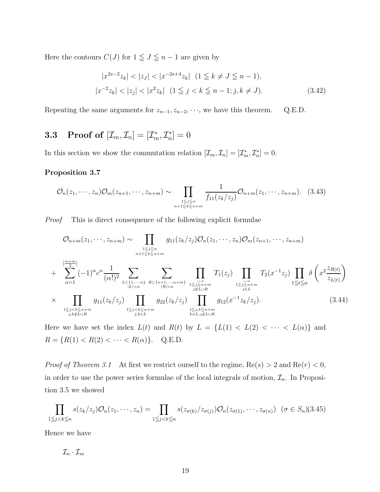Here the contours  $C(J)$  for  $1 \leq J \leq n-1$  are given by

$$
|x^{2s-2}z_k| < |z_j| < |x^{-2s+4}z_k| \quad (1 \le k \ne J \le n-1),
$$
\n
$$
|x^{-2}z_k| < |z_j| < |x^2z_k| \quad (1 \le j < k \le n-1; j, k \ne J). \tag{3.42}
$$

Repeating the same arguments for  $z_{n-1}, z_{n-2}, \dots$ , we have this theorem. Q.E.D.

## **3.3** Proof of  $[\mathcal{I}_m, \mathcal{I}_n] = [\mathcal{I}_m^*, \mathcal{I}_n^*] = 0$

In this section we show the commutation relation  $[\mathcal{I}_m, \mathcal{I}_n] = [\mathcal{I}_m^*, \mathcal{I}_n^*] = 0.$ 

#### Proposition 3.7

$$
\mathcal{O}_n(z_1,\dots,z_n)\mathcal{O}_m(z_{n+1},\dots,z_{n+m}) \sim \prod_{\substack{1 \leq j \leq n \\ n+1 \leq k \leq n+m}} \frac{1}{f_{11}(z_k/z_j)} \mathcal{O}_{n+m}(z_1,\dots,z_{n+m}). \quad (3.43)
$$

Proof This is direct consequence of the following explicit formulae

$$
\mathcal{O}_{n+m}(z_1, \dots, z_{n+m}) \sim \prod_{\substack{1 \le j \le n \\ n+1 \le k \le n+m}} g_{11}(z_k/z_j) \mathcal{O}_n(z_1, \dots, z_n) \mathcal{O}_m(z_{n+1}, \dots, z_{n+m})
$$
\n
$$
+ \sum_{\alpha=1}^{\left[\frac{n+m}{2}\right]} (-1)^{\alpha} c^{\alpha} \frac{1}{(\alpha!)^2} \sum_{\substack{L \subset \{1, \dots, n\} \\ |L| = \alpha}} \sum_{\substack{R \subset \{n+1, \dots, n+m\} \\ |R| = \alpha}} \sum_{\substack{1 \le j \le n+m \\ |R| = \alpha}} \prod_{\substack{1 \le j \le n+m \\ j \notin L \cup R}} T_1(z_j) \prod_{\substack{1 \le j \le n+m \\ j \in L}} T_2(x^{-1}z_j) \prod_{\substack{1 \le t \le \alpha \\ 1 \le j \le k \le n+m \\ j,k \in L \cup R}} \delta\left(x^2 \frac{z_{R(t)}}{z_{L(t)}}\right)
$$
\n
$$
\times \prod_{\substack{1 \le j < k \le n+m \\ j,k \in L \cup R}} g_{11}(z_k/z_j) \prod_{\substack{1 \le j < k \le n+m \\ j,k \in L}} g_{22}(z_k/z_j) \prod_{\substack{1 \le j,k \le n+m \\ k \in L, j \notin L \cup R}} g_{12}(x^{-1}z_k/z_j). \tag{3.44}
$$

Here we have set the index  $L(t)$  and  $R(t)$  by  $L = \{L(1) < L(2) < \cdots < L(\alpha)\}\)$  and  $R = \{R(1) < R(2) < \cdots < R(\alpha)\}.$  Q.E.D.

*Proof of Theorem 3.1* At first we restrict ourself to the regime,  $\text{Re}(s) > 2$  and  $\text{Re}(r) < 0$ , in order to use the power series formulae of the local integrals of motion,  $\mathcal{I}_n$ . In Proposition 3.5 we showed

$$
\prod_{1 \leq j < k \leq n} s(z_k/z_j) \mathcal{O}_n(z_1, \dots, z_n) = \prod_{1 \leq j < k \leq n} s(z_{\sigma(k)}/z_{\sigma(j)}) \mathcal{O}_n(z_{\sigma(1)}, \dots, z_{\sigma(n)}) \quad (\sigma \in S_n) \tag{3.45}
$$

Hence we have

 $\mathcal{I}_n \cdot \mathcal{I}_m$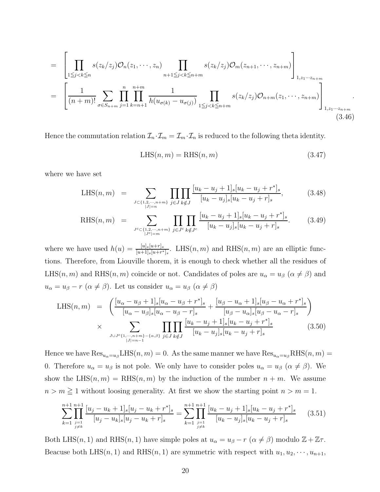$$
= \left[ \prod_{1 \leq j < k \leq n} s(z_k/z_j) \mathcal{O}_n(z_1, \dots, z_n) \prod_{n+1 \leq j < k \leq n+m} s(z_k/z_j) \mathcal{O}_m(z_{n+1}, \dots, z_{n+m}) \right]_{1, z_1 \dots z_{n+m}}
$$
\n
$$
= \left[ \frac{1}{(n+m)!} \sum_{\sigma \in S_{n+m}} \prod_{j=1}^n \prod_{k=n+1}^{n+m} \frac{1}{h(u_{\sigma(k)} - u_{\sigma(j)})} \prod_{1 \leq j < k \leq n+m} s(z_k/z_j) \mathcal{O}_{n+m}(z_1, \dots, z_{n+m}) \right]_{1, z_1 \dots z_{n+m}}
$$
\n(3.46)

Hence the commutation relation  $\mathcal{I}_n \cdot \mathcal{I}_m = \mathcal{I}_m \cdot \mathcal{I}_n$  is reduced to the following theta identity.

$$
LHS(n, m) = RHS(n, m)
$$
\n(3.47)

where we have set

LHS
$$
(n, m)
$$
 = 
$$
\sum_{\substack{J \subset \{1, 2, \cdots, n+m\} \\ |J| = n}} \prod_{j \in J} \prod_{k \notin J} \frac{[u_k - u_j + 1]_s [u_k - u_j + r^*]_s}{[u_k - u_j]_s [u_k - u_j + r]_s},
$$
(3.48)

RHS
$$
(n, m)
$$
 = 
$$
\sum_{J^c \subset \{1, 2, \cdots, n+m\} \atop |J^c|=m} \prod_{j \in J^c} \prod_{k \notin J^c} \frac{[u_k - u_j + 1]_s [u_k - u_j + r^*]_s}{[u_k - u_j]_s [u_k - u_j + r]_s}.
$$
 (3.49)

where we have used  $h(u) = \frac{[u]_s[u+r]_s}{[u+1]_s[u+r^*]_s}$ . LHS $(n,m)$  and RHS $(n,m)$  are an elliptic functions. Therefore, from Liouville thorem, it is enough to check whether all the residues of LHS(n, m) and RHS(n, m) coincide or not. Candidates of poles are  $u_{\alpha} = u_{\beta}$  ( $\alpha \neq \beta$ ) and  $u_{\alpha} = u_{\beta} - r \; (\alpha \neq \beta)$ . Let us consider  $u_{\alpha} = u_{\beta} \; (\alpha \neq \beta)$ 

LHS
$$
(n, m)
$$
 =  $\left( \frac{[u_{\alpha} - u_{\beta} + 1]_s [u_{\alpha} - u_{\beta} + r^*]_s}{[u_{\alpha} - u_{\beta}]_s [u_{\alpha} - u_{\beta} - r]_s} + \frac{[u_{\beta} - u_{\alpha} + 1]_s [u_{\beta} - u_{\alpha} + r^*]_s}{[u_{\beta} - u_{\alpha}]_s [u_{\beta} - u_{\alpha} - r]_s} \right)$   
  $\times \sum_{J \cup J^c \{1, \dots, n+m\} - \{\alpha, \beta\}} \prod_{j \in J} \prod_{k \notin J} \frac{[u_k - u_j + 1]_s [u_k - u_j + r^*]_s}{[u_k - u_j]_s [u_k - u_j + r]_s}$  (3.50)

Hence we have  $\text{Res}_{u_{\alpha}=u_{\beta}}\text{LHS}(n,m) = 0$ . As the same manner we have  $\text{Res}_{u_{\alpha}=u_{\beta}}\text{RHS}(n,m) = 0$ . 0. Therefore  $u_{\alpha} = u_{\beta}$  is not pole. We only have to consider poles  $u_{\alpha} = u_{\beta}$   $(\alpha \neq \beta)$ . We show the LHS $(n, m)$  = RHS $(n, m)$  by the induction of the number  $n + m$ . We assume  $n > m \geq 1$  without loosing generality. At first we show the starting point  $n > m = 1$ .

$$
\sum_{k=1}^{n+1} \prod_{\substack{j=1 \ j\neq k}}^{n+1} \frac{[u_j - u_k + 1]_s [u_j - u_k + r^*]_s}{[u_j - u_k]_s [u_j - u_k + r]_s} = \sum_{k=1}^{n+1} \prod_{\substack{j=1 \ j\neq k}}^{n+1} \frac{[u_k - u_j + 1]_s [u_k - u_j + r^*]_s}{[u_k - u_j]_s [u_k - u_j + r]_s} \tag{3.51}
$$

Both LHS(n, 1) and RHS(n, 1) have simple poles at  $u_{\alpha} = u_{\beta} - r$  ( $\alpha \neq \beta$ ) modulo  $\mathbb{Z} + \mathbb{Z}\tau$ . Beacuse both LHS(n, 1) and RHS(n, 1) are symmetric with respect with  $u_1, u_2, \dots, u_{n+1}$ ,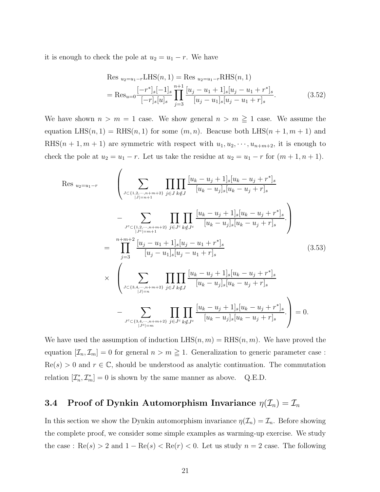it is enough to check the pole at  $u_2 = u_1 - r$ . We have

 $\lambda$ 

$$
\text{Res}_{u_2=u_1-r} \text{LHS}(n,1) = \text{Res}_{u_2=u_1-r} \text{RHS}(n,1)
$$
\n
$$
= \text{Res}_{u=0} \frac{[-r^*]_s[-1]_s}{[-r]_s[u]_s} \prod_{j=3}^{n+1} \frac{[u_j - u_1 + 1]_s[u_j - u_1 + r^*]_s}{[u_j - u_1]_s[u_j - u_1 + r]_s}.
$$
\n(3.52)

We have shown  $n > m = 1$  case. We show general  $n > m \ge 1$  case. We assume the equation  $LHS(n, 1) = RHS(n, 1)$  for some  $(m, n)$ . Beacuse both  $LHS(n + 1, m + 1)$  and RHS $(n + 1, m + 1)$  are symmetric with respect with  $u_1, u_2, \dots, u_{n+m+2}$ , it is enough to check the pole at  $u_2 = u_1 - r$ . Let us take the residue at  $u_2 = u_1 - r$  for  $(m + 1, n + 1)$ .

$$
\begin{split}\n\text{Res }_{u_{2}=u_{1}-r} \quad & \left( \sum_{\substack{J \subset \{1,2,\cdots,n+m+2\} \\ |J|=n+1}} \prod_{j \in J} \prod_{k \notin J} \frac{[u_{k}-u_{j}+1]_{s}[u_{k}-u_{j}+r^{*}]_{s}}{[u_{k}-u_{j}]_{s}[u_{k}-u_{j}+r]_{s}} - \sum_{\substack{J^{c} \subset \{1,2,\cdots,n+m+2\} \\ |J|=|m+1}} \prod_{j \in J^{c}} \prod_{k \notin J^{c}} \frac{[u_{k}-u_{j}+1]_{s}[u_{k}-u_{j}+r^{*}]_{s}}{[u_{k}-u_{j}]_{s}[u_{k}-u_{j}+r]_{s}} \right) \\
& = \prod_{j=3}^{n+m+2} \frac{[u_{j}-u_{1}+1]_{s}[u_{j}-u_{1}+r^{*}]_{s}}{[u_{j}-u_{1}]_{s}[u_{j}-u_{1}+r]_{s}} \quad (3.53) \\
& \times \left( \sum_{\substack{J \subset \{3,4,\cdots,n+m+2\} \\ |J|=n}} \prod_{j \in J} \prod_{k \notin J} \frac{[u_{k}-u_{j}+1]_{s}[u_{k}-u_{j}+r^{*}]_{s}}{[u_{k}-u_{j}]_{s}[u_{k}-u_{j}+r]_{s}} - \sum_{\substack{J^{c} \subset \{3,4,\cdots,n+m+2\} \\ |J^{c}|=m}} \prod_{j \in J^{c}} \prod_{k \notin J^{c}} \frac{[u_{k}-u_{j}+1]_{s}[u_{k}-u_{j}+r^{*}]_{s}}{[u_{k}-u_{j}]_{s}[u_{k}-u_{j}+r]_{s}} \right) = 0.\n\end{split}
$$

We have used the assumption of induction  $LHS(n, m) = RHS(n, m)$ . We have proved the equation  $[\mathcal{I}_n, \mathcal{I}_m] = 0$  for general  $n > m \geq 1$ . Generalization to generic parameter case:  $\text{Re}(s) > 0$  and  $r \in \mathbb{C}$ , should be understood as analytic continuation. The commutation relation  $[\mathcal{I}_n^*, \mathcal{I}_m^*]=0$  is shown by the same manner as above. Q.E.D.

## 3.4 Proof of Dynkin Automorphism Invariance  $\eta(\mathcal{I}_n) = \mathcal{I}_n$

In this section we show the Dynkin automorphism invariance  $\eta(\mathcal{I}_n) = \mathcal{I}_n$ . Before showing the complete proof, we consider some simple examples as warming-up exercise. We study the case :  $\text{Re}(s) > 2$  and  $1 - \text{Re}(s) < \text{Re}(r) < 0$ . Let us study  $n = 2$  case. The following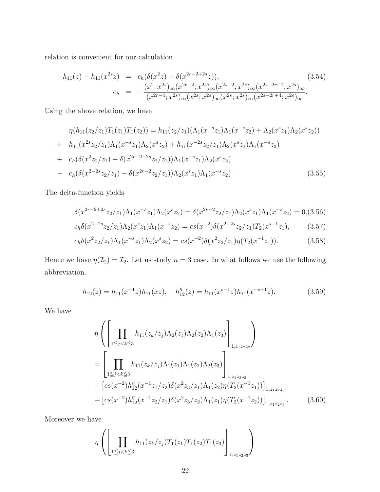relation is convenient for our calculation.

$$
h_{11}(z) - h_{11}(x^{2s}z) = c_h(\delta(x^2z) - \delta(x^{2r-2+2s}z)),
$$
\n
$$
c_h = -\frac{(x^2; x^{2s})_{\infty}(x^{2r-2}; x^{2s})_{\infty}(x^{2s-2}; x^{2s})_{\infty}(x^{2s-2r+2}; x^{2s})_{\infty}}{(x^{2r-4}; x^{2s})_{\infty}(x^{2s}; x^{2s})_{\infty}(x^{2s}; x^{2s})_{\infty}(x^{2s-2r+4}; x^{2s})_{\infty}}.
$$
\n(3.54)

Using the above relation, we have

$$
\eta(h_{11}(z_2/z_1)T_1(z_1)T_1(z_2)) = h_{11}(z_2/z_1)(\Lambda_1(x^{-s}z_1)\Lambda_1(x^{-s}z_2) + \Lambda_2(x^{s}z_1)\Lambda_2(x^{s}z_2)) \n+ h_{11}(x^{2s}z_2/z_1)\Lambda_1(x^{-s}z_1)\Lambda_2(x^{s}z_2) + h_{11}(x^{-2s}z_2/z_1)\Lambda_2(x^{s}z_1)\Lambda_1(x^{-s}z_2) \n+ c_h(\delta(x^{2}z_2/z_1) - \delta(x^{2r-2+2s}z_2/z_1))\Lambda_1(x^{-s}z_1)\Lambda_2(x^{s}z_2) \n- c_h(\delta(x^{2-2s}z_2/z_1) - \delta(x^{2r-2}z_2/z_1))\Lambda_2(x^{s}z_1)\Lambda_1(x^{-s}z_2).
$$
\n(3.55)

The delta-function yields

$$
\delta(x^{2r-2+2s}z_2/z_1)\Lambda_1(x^{-s}z_1)\Lambda_2(x^sz_2) = \delta(x^{2r-2}z_2/z_1)\Lambda_2(x^sz_1)\Lambda_1(x^{-s}z_2) = 0, (3.56)
$$

$$
c_h \delta(x^{2-2s} z_2/z_1) \Lambda_2(x^s z_1) \Lambda_1(x^{-s} z_2) = c_s(x^{-2}) \delta(x^{2-2s} z_2/z_1) T_2(x^{s-1} z_1), \tag{3.57}
$$

$$
c_h \delta(x^2 z_2/z_1) \Lambda_1(x^{-s} z_1) \Lambda_2(x^s z_2) = c_s(x^{-2}) \delta(x^2 z_2/z_1) \eta(T_2(x^{-1} z_1)). \tag{3.58}
$$

Hence we have  $\eta(\mathcal{I}_2) = \mathcal{I}_2$ . Let us study  $n = 3$  case. In what follows we use the following abbreviation.

$$
h_{12}(z) = h_{11}(x^{-1}z)h_{11}(xz), \quad h_{12}^{\eta}(z) = h_{11}(x^{s-1}z)h_{11}(x^{-s+1}z). \tag{3.59}
$$

We have

$$
\eta \left( \left[ \prod_{1 \leq j < k \leq 3} h_{11}(z_k/z_j) \Lambda_2(z_1) \Lambda_2(z_2) \Lambda_1(z_3) \right]_{1, z_1 z_2 z_3} \right)
$$
\n
$$
= \left[ \prod_{1 \leq j < k \leq 3} h_{11}(z_k/z_j) \Lambda_1(z_1) \Lambda_1(z_2) \Lambda_2(z_3) \right]_{1, z_1 z_2 z_3}
$$
\n
$$
+ \left[ cs(x^{-2}) h_{12}^{\eta}(x^{-1}z_1/z_2) \delta(x^2 z_3/z_1) \Lambda_1(z_2) \eta(T_2(x^{-1}z_1)) \right]_{1, z_1 z_2 z_3}
$$
\n
$$
+ \left[ cs(x^{-2}) h_{12}^{\eta}(x^{-1}z_2/z_1) \delta(x^2 z_3/z_2) \Lambda_1(z_1) \eta(T_2(x^{-1}z_2)) \right]_{1, z_1 z_2 z_3} . \tag{3.60}
$$

Moreover we have

$$
\eta \left( \left[ \prod_{1 \leq j < k \leq 3} h_{11}(z_k/z_j) T_1(z_1) T_1(z_2) T_1(z_3) \right]_{1, z_1 z_2 z_3} \right)
$$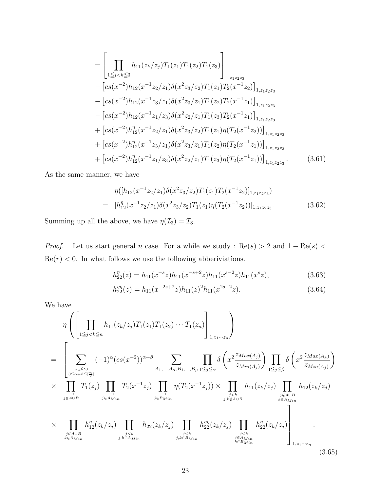$$
= \left[\prod_{1\leq j  
– 
$$
\left[cs(x^{-2})h_{12}(x^{-1}z_2/z_1)\delta(x^2z_3/z_2)T_1(z_1)T_2(x^{-1}z_2)\right]_{1,z_1z_2z_3}
$$
  
– 
$$
\left[cs(x^{-2})h_{12}(x^{-1}z_3/z_1)\delta(x^2z_3/z_1)T_1(z_2)T_2(x^{-1}z_1)\right]_{1,z_1z_2z_3}
$$
  
– 
$$
\left[cs(x^{-2})h_{12}(x^{-1}z_1/z_3)\delta(x^2z_2/z_1)T_1(z_3)T_2(x^{-1}z_1)\right]_{1,z_1z_2z_3}
$$
  
+ 
$$
\left[cs(x^{-2})h_{12}^{\eta}(x^{-1}z_2/z_1)\delta(x^2z_3/z_2)T_1(z_1)\eta(T_2(x^{-1}z_2))\right]_{1,z_1z_2z_3}
$$
  
+ 
$$
\left[cs(x^{-2})h_{12}^{\eta}(x^{-1}z_3/z_1)\delta(x^2z_3/z_1)T_1(z_2)\eta(T_2(x^{-1}z_1))\right]_{1,z_1z_2z_3}
$$
  
+ 
$$
\left[cs(x^{-2})h_{12}^{\eta}(x^{-1}z_1/z_3)\delta(x^2z_2/z_1)T_1(z_3)\eta(T_2(x^{-1}z_1))\right]_{1,z_1z_2z_3}.
$$
 (3.61)
$$

As the same manner, we have

$$
\eta([h_{12}(x^{-1}z_2/z_1)\delta(x^2z_3/z_2)T_1(z_1)T_2(x^{-1}z_2)]_{1,z_1z_2z_3})
$$
\n
$$
= [h_{12}^{\eta}(x^{-1}z_2/z_1)\delta(x^2z_3/z_2)T_1(z_1)\eta(T_2(x^{-1}z_2))]_{1,z_1z_2z_3}.
$$
\n(3.62)

Summing up all the above, we have  $\eta(\mathcal{I}_3) = \mathcal{I}_3$ .

*Proof.* Let us start general n case. For a while we study : Re(s) > 2 and  $1 - \text{Re}(s)$  <  $Re(r) < 0$ . In what follows we use the following abberiviations.

$$
h_{22}^{\eta}(z) = h_{11}(x^{-s}z)h_{11}(x^{-s+2}z)h_{11}(x^{s-2}z)h_{11}(x^{s}z), \qquad (3.63)
$$

$$
h_{22}^{\eta\eta}(z) = h_{11}(x^{-2s+2}z)h_{11}(z)^2h_{11}(x^{2s-2}z). \tag{3.64}
$$

We have

$$
\eta \left( \left[ \prod_{1 \leq j < k \leq n} h_{11}(z_k/z_j) T_1(z_1) T_1(z_2) \cdots T_1(z_n) \right]_{1, z_1 \cdots z_n} \right)
$$
\n
$$
= \left[ \sum_{\substack{\alpha, \beta \geq 0 \\ 0 \leq \alpha + \beta \leq \lfloor \frac{n}{2} \rfloor \\ j \notin A \cup B}} (-1)^{\alpha} (cs(x^{-2}))^{\alpha + \beta} \sum_{A_1, \cdots, A_{\alpha}, B_1, \cdots, B_{\beta}} \prod_{1 \leq j \leq \alpha} \delta \left( x^2 \frac{z_{Max(A_j)}}{z_{Min(A_j)}} \right) \prod_{1 \leq j \leq \beta} \delta \left( x^2 \frac{z_{Max(A_k)}}{z_{Min(A_j)}} \right)
$$
\n
$$
\times \prod_{\substack{j \neq A \cup B \\ j \notin A \cup B}} T_1(z_j) \prod_{j \in A_{Min}} T_2(x^{-1}z_j) \prod_{\substack{j \neq k \\ j \in B_{Min}}} \eta(T_2(x^{-1}z_j)) \times \prod_{\substack{j < k \\ j, k \notin A \cup B}} h_{11}(z_k/z_j) \prod_{\substack{j \notin A \cup B \\ k \in A_{Min}}} h_{12}(z_k/z_j)
$$
\n
$$
\times \prod_{\substack{j \notin A \cup B \\ j \in B_{Min}}} h_{12}^{\eta}(z_k/z_j) \prod_{\substack{j < k \\ j, k \in B_{Min}}} h_{22}(z_k/z_j) \prod_{\substack{j < k \\ j, k \in B_{Min}}} h_{22}^{\eta\eta}(z_k/z_j) \prod_{\substack{j < k \\ k \in B_{Min}}} h_{22}^{\eta\eta}(z_k/z_j) \prod_{\substack{j < k \\ k \in B_{Min}}} h_{22}^{\eta\eta}(z_k/z_j) \prod_{\substack{j, k \in A_{Min} \\ k \in B_{Min}}} h_{12}^{\eta\eta}(z_k/z_j) \right) \tag{3.65}
$$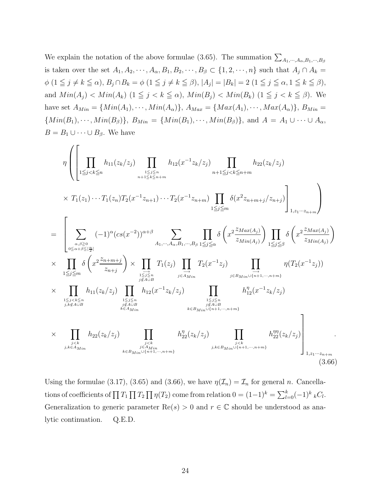We explain the notation of the above formulae (3.65). The summation  $\sum_{A_1,\dots,A_{\alpha},B_1,\dots,B_{\beta}}$ is taken over the set  $A_1, A_2, \dots, A_\alpha, B_1, B_2, \dots, B_\beta \subset \{1, 2, \dots, n\}$  such that  $A_j \cap A_k =$  $\phi$   $(1 \leq j \neq k \leq \alpha)$ ,  $B_j \cap B_k = \phi$   $(1 \leq j \neq k \leq \beta)$ ,  $|A_j| = |B_k| = 2$   $(1 \leq j \leq \alpha, 1 \leq k \leq \beta)$ , and  $Min(A_j) < Min(A_k)$  (1  $\leq j < k \leq \alpha$ ),  $Min(B_j) < Min(B_k)$  (1  $\leq j < k \leq \beta$ ). We have set  $A_{Min} = \{Min(A_1), \dots, Min(A_\alpha)\}, A_{Max} = \{Max(A_1), \dots, Max(A_\alpha)\}, B_{Min} = \{Min(A_1), \dots, Min(A_\alpha)\}$  ${Min(B_1), \dots, Min(B_\beta)}, B_{Min} = {Min(B_1), \dots, Min(B_\beta)}, \text{ and } A = A_1 \cup \dots \cup A_\alpha,$  $B = B_1 \cup \cdots \cup B_\beta$ . We have

$$
\eta \left( \left[ \prod_{1 \leq j < k \leq n} h_{11}(z_k/z_j) \prod_{1 \leq j \leq n \atop n+1 \leq k \leq n+m} h_{12}(x^{-1}z_k/z_j) \prod_{n+1 \leq j < k \leq n+m} h_{22}(z_k/z_j) \right] \times T_1(z_1) \cdots T_1(z_n) T_2(x^{-1}z_{n+1}) \cdots T_2(x^{-1}z_{n+m}) \prod_{1 \leq j \leq m} \delta(x^2 z_{n+m+j}/z_{n+j}) \right]_{1, z_1 \cdots z_n + m}
$$
\n
$$
= \left[ \sum_{\substack{a,\beta \geq 0 \\ \alpha \leq a+\beta \leq |\frac{n}{2}|}} (-1)^{\alpha} (cs(x^{-2}))^{\alpha+\beta} \sum_{A_1, \cdots, A_\alpha, B_1, \cdots, B_\beta} \prod_{1 \leq j \leq \alpha} \delta\left(x^2 \frac{z_{Max(A_j)}}{z_{Min(A_j)}}\right) \prod_{1 \leq j \leq \beta} \delta\left(x^2 \frac{z_{Max(A_j)}}{z_{Min(A_j)}}\right) \right)
$$
\n
$$
\times \prod_{\substack{1 \leq j \leq m \\ \lambda \leq j \leq m}} h_{11}(z_k/z_j) \prod_{\substack{1 \leq j \leq n \\ \beta \notin A \sqcup B}} h_{12}(x^{-1}z_k/z_j) \prod_{\substack{j \leq j \leq n \\ \beta \notin A \sqcup B}} h_{12}(x^{-1}z_k/z_j) \prod_{\substack{j \leq j \leq n \\ \beta \notin A \sqcup B}} h_{12}^{\gamma}(x^{-1}z_k/z_j) \prod_{\substack{j \leq j \leq n \\ \beta \notin A \sqcup B}} h_{12}^{\gamma}(x^{-1}z_k/z_j) \prod_{\substack{j \leq j \leq n \\ \beta \notin A \sqcup B}} h_{12}^{\gamma}(x^{-1}z_k/z_j) \prod_{\substack{j \leq k \leq n \\ \beta \notin A \sqcup B}} h_{22}^{\gamma}(z_k/z_j) \prod_{\substack{j \leq k \leq n \\ \beta \notin A \sqcup B}} h_{22}^{\gamma}(z_k/z_j) \prod_{\substack{j \leq k \leq n \\ \beta \notin A \sqcup B}} h_{22}^{\gamma}(z_k/z_j) \prod
$$

Using the formulae (3.17), (3.65) and (3.66), we have  $\eta(\mathcal{I}_n) = \mathcal{I}_n$  for general n. Cancellations of coefficients of  $\prod T_1 \prod T_2 \prod \eta(T_2)$  come from relation  $0 = (1-1)^k = \sum_{l=0}^k (-1)^k {}_k C_l$ . Generalization to generic parameter  $\text{Re}(s) > 0$  and  $r \in \mathbb{C}$  should be understood as analytic continuation. Q.E.D.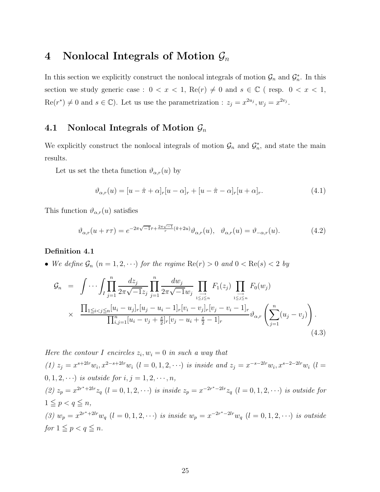## 4 Nonlocal Integrals of Motion  $\mathcal{G}_n$

In this section we explicitly construct the nonlocal integrals of motion  $\mathcal{G}_n$  and  $\mathcal{G}_n^*$ . In this section we study generic case :  $0 < x < 1$ ,  $Re(r) \neq 0$  and  $s \in \mathbb{C}$  (resp.  $0 < x < 1$ ,  $\text{Re}(r^*) \neq 0$  and  $s \in \mathbb{C}$ ). Let us use the parametrization :  $z_j = x^{2u_j}$ ,  $w_j = x^{2v_j}$ .

## 4.1 Nonlocal Integrals of Motion  $\mathcal{G}_n$

We explicitly construct the nonlocal integrals of motion  $\mathcal{G}_n$  and  $\mathcal{G}_n^*$ , and state the main results.

Let us set the theta function  $\vartheta_{\alpha,r}(u)$  by

$$
\vartheta_{\alpha,r}(u) = [u - \hat{\pi} + \alpha]_r [u - \alpha]_r + [u - \hat{\pi} - \alpha]_r [u + \alpha]_r.
$$
\n(4.1)

This function  $\vartheta_{\alpha,r}(u)$  satisfies

$$
\vartheta_{\alpha,r}(u+r\tau) = e^{-2\pi\sqrt{-1}\tau + \frac{2\pi\sqrt{-1}}{r}(\hat{\pi}+2u)} \vartheta_{\alpha,r}(u), \quad \vartheta_{\alpha,r}(u) = \vartheta_{-\alpha,r}(u). \tag{4.2}
$$

#### Definition 4.1

• We define  $\mathcal{G}_n$   $(n = 1, 2, \cdots)$  for the regime  $\text{Re}(r) > 0$  and  $0 < \text{Re}(s) < 2$  by

$$
\mathcal{G}_n = \int \cdots \int \prod_{j=1}^n \frac{dz_j}{2\pi \sqrt{-1}z_j} \prod_{j=1}^n \frac{dw_j}{2\pi \sqrt{-1}w_j} \prod_{1 \leq j \leq n \atop 1 \leq j \leq n} F_1(z_j) \prod_{1 \leq j \leq n \atop 1 \leq j \leq n} F_0(w_j)
$$
  
 
$$
\times \frac{\prod_{1 \leq i < j \leq n} [u_i - u_j]_r [u_j - u_i - 1]_r [v_i - v_j]_r [v_j - v_i - 1]_r}{\prod_{i,j=1}^n [u_i - v_j + \frac{s}{2}]_r [v_j - u_i + \frac{s}{2} - 1]_r} \vartheta_{\alpha,r} \left( \sum_{j=1}^n (u_j - v_j) \right).
$$
\n(4.3)

Here the contour I encircles  $z_i, w_i = 0$  in such a way that (1)  $z_j = x^{s+2lr} w_i, x^{2-s+2lr} w_i$  (l = 0, 1, 2, · · ·) is inside and  $z_j = x^{-s-2lr} w_i, x^{s-2-2lr} w_i$  (l = 0, 1, 2,  $\cdots$ ) is outside for  $i, j = 1, 2, \dots, n$ , (2)  $z_p = x^{2r^* + 2lr} z_q$   $(l = 0, 1, 2, \cdots)$  is inside  $z_p = x^{-2r^* - 2lr} z_q$   $(l = 0, 1, 2, \cdots)$  is outside for  $1 \leq p < q \leq n$ , (3)  $w_p = x^{2r^* + 2lr} w_q$   $(l = 0, 1, 2, \cdots)$  is inside  $w_p = x^{-2r^* - 2lr} w_q$   $(l = 0, 1, 2, \cdots)$  is outside for  $1 \leq p < q \leq n$ .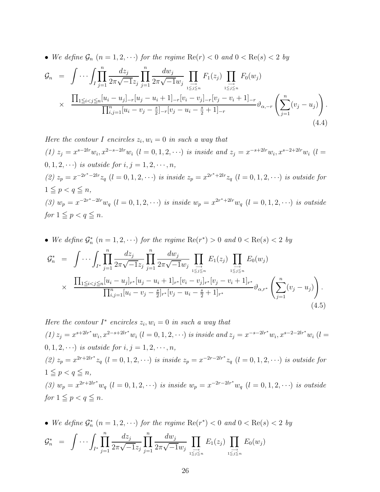• We define  $\mathcal{G}_n$   $(n = 1, 2, \cdots)$  for the regime  $\text{Re}(r) < 0$  and  $0 < \text{Re}(s) < 2$  by

$$
\mathcal{G}_n = \int \cdots \int \prod_{j=1}^n \frac{dz_j}{2\pi \sqrt{-1}z_j} \prod_{j=1}^n \frac{dw_j}{2\pi \sqrt{-1}w_j} \prod_{1 \leq j \leq n \atop 1 \leq j \leq n} F_1(z_j) \prod_{1 \leq j \leq n \atop 1 \leq j \leq n} F_0(w_j)
$$
\n
$$
\times \frac{\prod_{1 \leq i < j \leq n} [u_i - u_j]_{-r} [u_j - u_i + 1]_{-r} [v_i - v_j]_{-r} [v_j - v_i + 1]_{-r}}{\prod_{i,j=1}^n [u_i - v_j - \frac{s}{2}]_{-r} [v_j - u_i - \frac{s}{2} + 1]_{-r}} \vartheta_{\alpha, -r} \left( \sum_{j=1}^n (v_j - u_j) \right).
$$
\n(4.4)

Here the contour I encircles  $z_i, w_i = 0$  in such a way that (1)  $z_j = x^{s-2lr} w_i, x^{2-s-2lr} w_i$  (l = 0, 1, 2, · · ·) is inside and  $z_j = x^{-s+2lr} w_i, x^{s-2+2lr} w_i$  (l =  $0, 1, 2, \cdots$ ) is outside for  $i, j = 1, 2, \cdots, n$ , (2)  $z_p = x^{-2r^* - 2lr} z_q$  (l = 0, 1, 2, · · ) is inside  $z_p = x^{2r^* + 2lr} z_q$  (l = 0, 1, 2, · · ) is outside for  $1 \leq p < q \leq n$ , (3)  $w_p = x^{-2r^* - 2lr} w_q$   $(l = 0, 1, 2, \cdots)$  is inside  $w_p = x^{2r^* + 2lr} w_q$   $(l = 0, 1, 2, \cdots)$  is outside for  $1 \leq p < q \leq n$ .

• We define  $\mathcal{G}_n^*$   $(n = 1, 2, \cdots)$  for the regime  $\text{Re}(r^*) > 0$  and  $0 < \text{Re}(s) < 2$  by

$$
\mathcal{G}_{n}^{*} = \int \cdots \int_{I^{*}} \prod_{j=1}^{n} \frac{dz_{j}}{2\pi \sqrt{-1}z_{j}} \prod_{j=1}^{n} \frac{dw_{j}}{2\pi \sqrt{-1}w_{j}} \prod_{1 \leq j \leq n} E_{1}(z_{j}) \prod_{1 \leq j \leq n} E_{0}(w_{j})
$$
\n
$$
\times \frac{\prod_{1 \leq i < j \leq n} [u_{i} - u_{j}]_{r^{*}} [u_{j} - u_{i} + 1]_{r^{*}} [v_{i} - v_{j}]_{r^{*}} [v_{j} - v_{i} + 1]_{r^{*}}}{\prod_{i,j=1}^{n} [u_{i} - v_{j} - \frac{s}{2}]_{r^{*}} [v_{j} - u_{i} - \frac{s}{2} + 1]_{r^{*}}} \vartheta_{\alpha,r^{*}} \left( \sum_{j=1}^{n} (v_{j} - u_{j}) \right). \tag{4.5}
$$

Here the contour  $I^*$  encircles  $z_i, w_i = 0$  in such a way that  $(1) z_j = x^{s+2lr^*} w_i, x^{2-s+2lr^*} w_i$   $(l = 0, 1, 2, \cdots)$  is inside and  $z_j = x^{-s-2lr^*} w_i, x^{s-2-2lr^*} w_i$   $(l = 0, 1, 2, \cdots)$  $0, 1, 2, \cdots$ ) is outside for  $i, j = 1, 2, \cdots, n$ , (2)  $z_p = x^{2r+2lr^*} z_q$   $(l = 0, 1, 2, \cdots)$  is inside  $z_p = x^{-2r-2lr^*} z_q$   $(l = 0, 1, 2, \cdots)$  is outside for  $1 \leq p < q \leq n$ , (3)  $w_p = x^{2r+2lr^*} w_q$   $(l = 0, 1, 2, \cdots)$  is inside  $w_p = x^{-2r-2lr^*} w_q$   $(l = 0, 1, 2, \cdots)$  is outside for  $1 \leq p < q \leq n$ .

• We define  $\mathcal{G}_n^*$   $(n = 1, 2, \cdots)$  for the regime  $\text{Re}(r^*) < 0$  and  $0 < \text{Re}(s) < 2$  by

$$
\mathcal{G}_n^* = \int \cdots \int_{I^*} \prod_{j=1}^n \frac{dz_j}{2\pi \sqrt{-1}z_j} \prod_{j=1}^n \frac{dw_j}{2\pi \sqrt{-1}w_j} \prod_{1 \leq j \leq n \atop 1 \leq j \leq n} E_1(z_j) \prod_{1 \leq j \leq n \atop 1 \leq j \leq n} E_0(w_j)
$$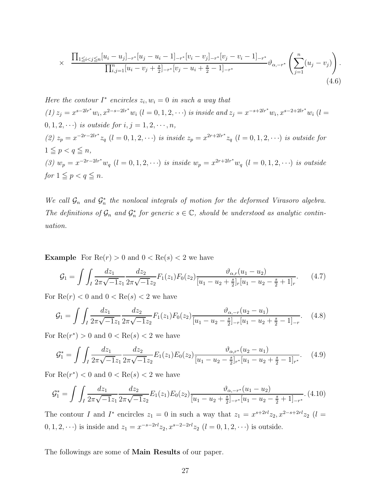$$
\times \frac{\prod_{1 \leq i < j \leq n} [u_i - u_j]_{-r^*} [u_j - u_i - 1]_{-r^*} [v_i - v_j]_{-r^*} [v_j - v_i - 1]_{-r^*}}{\prod_{i,j=1}^n [u_i - v_j + \frac{s}{2}]_{-r^*} [v_j - u_i + \frac{s}{2} - 1]_{-r^*}} \vartheta_{\alpha, -r^*} \left( \sum_{j=1}^n (u_j - v_j) \right).
$$
\n(4.6)

Here the contour  $I^*$  encircles  $z_i, w_i = 0$  in such a way that  $(1) z_j = x^{s-2lr^*} w_i, x^{2-s-2lr^*} w_i$   $(l = 0, 1, 2, \cdots)$  is inside and  $z_j = x^{-s+2lr^*} w_i, x^{s-2+2lr^*} w_i$   $(l = 0, 1, 2, \cdots)$ 0, 1, 2,  $\cdots$ ) is outside for  $i, j = 1, 2, \cdots, n$ , (2)  $z_p = x^{-2r-2lr^*} z_q$  (l = 0, 1, 2, · · ·) is inside  $z_p = x^{2r+2lr^*} z_q$  (l = 0, 1, 2, · · ·) is outside for  $1 \leq p < q \leq n$ , (3)  $w_p = x^{-2r-2lr^*} w_q$   $(l = 0, 1, 2, \cdots)$  is inside  $w_p = x^{2r+2lr^*} w_q$   $(l = 0, 1, 2, \cdots)$  is outside for  $1 \leq p < q \leq n$ .

We call  $\mathcal{G}_n$  and  $\mathcal{G}_n^*$  the nonlocal integrals of motion for the deformed Virasoro algebra. The definitions of  $\mathcal{G}_n$  and  $\mathcal{G}_n^*$  for generic  $s \in \mathbb{C}$ , should be understood as analytic continuation.

**Example** For  $Re(r) > 0$  and  $0 < Re(s) < 2$  we have

$$
\mathcal{G}_1 = \int \int_I \frac{dz_1}{2\pi\sqrt{-1}z_1} \frac{dz_2}{2\pi\sqrt{-1}z_2} F_1(z_1) F_0(z_2) \frac{\vartheta_{\alpha,r}(u_1 - u_2)}{[u_1 - u_2 + \frac{s}{2}]_r [u_1 - u_2 - \frac{s}{2} + 1]_r}.
$$
 (4.7)

For  $\text{Re}(r) < 0$  and  $0 < \text{Re}(s) < 2$  we have

$$
\mathcal{G}_1 = \int \int_I \frac{dz_1}{2\pi\sqrt{-1}z_1} \frac{dz_2}{2\pi\sqrt{-1}z_2} F_1(z_1) F_0(z_2) \frac{\vartheta_{\alpha,-r}(u_2 - u_1)}{[u_1 - u_2 - \frac{s}{2}]_{-r}[u_1 - u_2 + \frac{s}{2} - 1]_{-r}}. \tag{4.8}
$$

For  $\text{Re}(r^*) > 0$  and  $0 < \text{Re}(s) < 2$  we have

$$
\mathcal{G}_1^* = \int \int_I \frac{dz_1}{2\pi\sqrt{-1}z_1} \frac{dz_2}{2\pi\sqrt{-1}z_2} E_1(z_1) E_0(z_2) \frac{\vartheta_{\alpha,r^*}(u_2 - u_1)}{[u_1 - u_2 - \frac{s}{2}]_{r^*}[u_1 - u_2 + \frac{s}{2} - 1]_{r^*}}.
$$
(4.9)

For  $\text{Re}(r^*) < 0$  and  $0 < \text{Re}(s) < 2$  we have

$$
\mathcal{G}_1^* = \int \int_I \frac{dz_1}{2\pi\sqrt{-1}z_1} \frac{dz_2}{2\pi\sqrt{-1}z_2} E_1(z_1) E_0(z_2) \frac{\vartheta_{\alpha,-r^*}(u_1 - u_2)}{[u_1 - u_2 + \frac{s}{2}]_{-r^*}[u_1 - u_2 - \frac{s}{2} + 1]_{-r^*}}. (4.10)
$$

The contour I and I<sup>\*</sup> encircles  $z_1 = 0$  in such a way that  $z_1 = x^{s+2rl}z_2, x^{2-s+2rl}z_2$  (l =  $(0, 1, 2, \cdots)$  is inside and  $z_1 = x^{-s-2rl} z_2, x^{s-2-2rl} z_2$   $(l = 0, 1, 2, \cdots)$  is outside.

The followings are some of Main Results of our paper.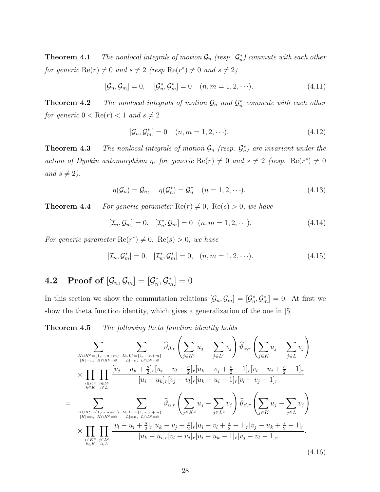**Theorem 4.1** The nonlocal integrals of motion  $\mathcal{G}_n$  (resp.  $\mathcal{G}_n^*$ ) commute with each other for generic  $\text{Re}(r) \neq 0$  and  $s \neq 2$  (resp  $\text{Re}(r^*) \neq 0$  and  $s \neq 2$ )

$$
[\mathcal{G}_n, \mathcal{G}_m] = 0, \quad [\mathcal{G}_n^*, \mathcal{G}_m^*] = 0 \quad (n, m = 1, 2, \cdots). \tag{4.11}
$$

**Theorem 4.2** The nonlocal integrals of motion  $\mathcal{G}_n$  and  $\mathcal{G}_n^*$  commute with each other for generic  $0 < \text{Re}(r) < 1$  and  $s \neq 2$ 

$$
[\mathcal{G}_n, \mathcal{G}_m^*] = 0 \quad (n, m = 1, 2, \cdots). \tag{4.12}
$$

**Theorem 4.3** The nonlocal integrals of motion  $\mathcal{G}_n$  (resp.  $\mathcal{G}_n^*$ ) are invariant under the action of Dynkin automorphism  $\eta$ , for generic  $\text{Re}(r) \neq 0$  and  $s \neq 2$  (resp.  $\text{Re}(r^*) \neq 0$ and  $s \neq 2$ ).

$$
\eta(\mathcal{G}_n) = \mathcal{G}_n, \quad \eta(\mathcal{G}_n^*) = \mathcal{G}_n^* \quad (n = 1, 2, \cdots). \tag{4.13}
$$

**Theorem 4.4** For generic parameter  $\text{Re}(r) \neq 0$ ,  $\text{Re}(s) > 0$ , we have

$$
[\mathcal{I}_n, \mathcal{G}_m] = 0, \quad [\mathcal{I}_n^*, \mathcal{G}_m] = 0 \quad (n, m = 1, 2, \cdots). \tag{4.14}
$$

For generic parameter  $\text{Re}(r^*) \neq 0$ ,  $\text{Re}(s) > 0$ , we have

$$
[\mathcal{I}_n, \mathcal{G}_m^*] = 0, \quad [\mathcal{I}_n^*, \mathcal{G}_m^*] = 0, \quad (n, m = 1, 2, \cdots). \tag{4.15}
$$

## 4.2 Proof of  $[\mathcal{G}_n,\mathcal{G}_m] = [\mathcal{G}_n^*,\mathcal{G}_m^*]=0$

In this section we show the commutation relations  $[\mathcal{G}_n, \mathcal{G}_m] = [\mathcal{G}_n^*, \mathcal{G}_m^*] = 0$ . At first we show the theta function identity, which gives a generalization of the one in [5].

**Theorem 4.5** The following theta function identity holds

$$
\sum_{\substack{K \cup K^{c} = \{1, \dots, n+m\} \\ |K| = n, K \cap K^{c} = g}} \sum_{\substack{l \in L^{c} \\ |L| = n, L \cap L^{c} = g}} \widehat{\vartheta}_{\beta,r} \left( \sum_{j \in K^{c}} u_{j} - \sum_{j \in L^{c}} v_{j} \right) \widehat{\vartheta}_{\alpha,r} \left( \sum_{j \in K} u_{j} - \sum_{j \in L} v_{j} \right) \times \prod_{\substack{i \in K^{c} \\ i \in L^{c}}} \prod_{\substack{l \in L^{c} \\ l \in L}} \frac{[v_{j} - u_{k} + \frac{s}{2}]_{r}[u_{i} - v_{l} + \frac{s}{2}]_{r}[u_{k} - v_{j} + \frac{s}{2} - 1]_{r}[v_{l} - u_{i} + \frac{s}{2} - 1]_{r}}{[u_{i} - u_{k}]_{r}[v_{j} - v_{l}]_{r}[u_{k} - u_{i} - 1]_{r}[v_{l} - v_{j} - 1]_{r}} \n= \sum_{\substack{K \cup K^{c} = \{1, \dots, n+m\} \\ |K| = n, K \cap K^{c} = g}} \sum_{\substack{l \in L^{c} \\ |L| = n, L \cap L^{c} = g}} \widehat{\vartheta}_{\alpha,r} \left( \sum_{j \in K^{c}} u_{j} - \sum_{j \in L^{c}} v_{j} \right) \widehat{\vartheta}_{\beta,r} \left( \sum_{j \in K} u_{j} - \sum_{j \in L} v_{j} \right) \times \prod_{\substack{i \in K^{c} \\ i \in L^{c}}} \prod_{\substack{j \in L^{c} \\ l \in L}} \frac{[v_{l} - u_{i} + \frac{s}{2}]_{r}[u_{k} - v_{j} + \frac{s}{2}]_{r}[u_{i} - v_{l} + \frac{s}{2} - 1]_{r}[v_{j} - u_{k} + \frac{s}{2} - 1]_{r}}{[u_{k} - u_{i}]_{r}[v_{l} - v_{j}]_{r}[u_{i} - u_{k} - 1]_{r}[v_{j} - v_{l} - 1]_{r}}.
$$
\n(4.16)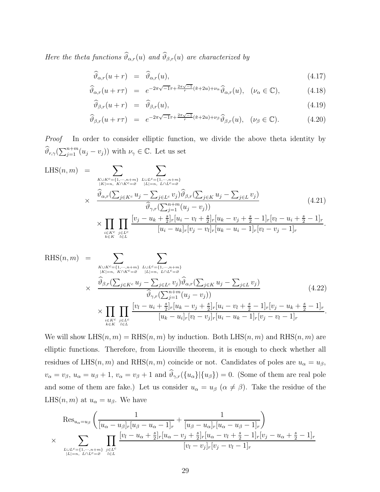Here the theta functions  $\widehat{\vartheta}_{\alpha,r}(u)$  and  $\widehat{\vartheta}_{\beta,r}(u)$  are characterized by

$$
\widehat{\vartheta}_{\alpha,r}(u+r) = \widehat{\vartheta}_{\alpha,r}(u), \qquad (4.17)
$$

$$
\widehat{\vartheta}_{\alpha,r}(u+r\tau) = e^{-2\pi\sqrt{-1}\tau + \frac{2\pi\sqrt{-1}}{r}(\hat{\pi}+2u)+\nu_{\alpha}}\widehat{\vartheta}_{\alpha,r}(u), \quad (\nu_{\alpha} \in \mathbb{C}), \tag{4.18}
$$

$$
\widehat{\vartheta}_{\beta,r}(u+r) = \widehat{\vartheta}_{\beta,r}(u), \qquad (4.19)
$$

$$
\widehat{\vartheta}_{\beta,r}(u+r\tau) = e^{-2\pi\sqrt{-1}\tau + \frac{2\pi\sqrt{-1}}{r}(\hat{\pi}+2u)+\nu_{\beta}}\widehat{\vartheta}_{\beta,r}(u), \quad (\nu_{\beta} \in \mathbb{C}). \tag{4.20}
$$

Proof In order to consider elliptic function, we divide the above theta identity by  $\widehat{\vartheta}_{r,\gamma}(\sum_{j=1}^{n+m} (u_j - v_j))$  with  $\nu_\gamma \in \mathbb{C}$ . Let us set

LHS
$$
(n, m)
$$
 = 
$$
\sum_{\substack{K \cup K^{c} = \{1, \dots, n+m\} \\ |K| = n, K \cap K^{c} = \varnothing}} \sum_{\substack{L \cup L^{c} = \{1, \dots, n+m\} \\ |L| = n, L \cap L^{c} = \varnothing}} \sum_{\substack{L \mid l \mid n, L \cap L^{c} = \varnothing \\ \widehat{\vartheta}_{\alpha,r}(\sum_{j \in K^{c}} u_{j} - \sum_{j \in L^{c}} v_{j}) \widehat{\vartheta}_{\beta,r}(\sum_{j \in K} u_{j} - \sum_{j \in L} v_{j})} \widehat{\vartheta}_{\gamma,r}(\sum_{j=1}^{n+m} (u_{j} - v_{j}))} \times \prod_{\substack{i \in K^{c} \\ i \in K}} \prod_{l \in L^{c}} \frac{[v_{j} - u_{k} + \frac{s}{2}]_{r}[u_{i} - v_{l} + \frac{s}{2}]_{r}[u_{k} - v_{j} + \frac{s}{2} - 1]_{r}[v_{l} - u_{i} + \frac{s}{2} - 1]_{r}}{[u_{i} - u_{k}]_{r}[v_{j} - v_{l}]_{r}[u_{k} - u_{i} - 1]_{r}[v_{l} - v_{j} - 1]_{r}}.
$$
(4.21)

RHS(n, m) = X <sup>K</sup>∪Kc={1,···,n+m} <sup>|</sup>K|=n, K∩Kc=<sup>∅</sup> X <sup>L</sup>∪Lc={1,···,n+m} <sup>|</sup>L|=n, L∩Lc=<sup>∅</sup> × ϑb β,r( P <sup>j</sup>∈K<sup>c</sup> u<sup>j</sup> − P <sup>j</sup>∈L<sup>c</sup> v<sup>j</sup> )ϑb α,r( P <sup>j</sup>∈<sup>K</sup> u<sup>j</sup> − P j∈L v<sup>j</sup> ) ϑb γ,r( P<sup>n</sup>+<sup>m</sup> <sup>j</sup>=1 (u<sup>j</sup> − v<sup>j</sup> )) (4.22) × Y <sup>i</sup>∈Kc k∈K Y <sup>j</sup>∈Lc l∈L [v<sup>l</sup> − u<sup>i</sup> + s 2 ]r[u<sup>k</sup> − v<sup>j</sup> + s 2 ]r[u<sup>i</sup> − v<sup>l</sup> + s <sup>2</sup> − 1]r[v<sup>j</sup> − u<sup>k</sup> + s <sup>2</sup> − 1]<sup>r</sup> [u<sup>k</sup> − u<sup>i</sup> ]r[v<sup>l</sup> − v<sup>j</sup> ]r[u<sup>i</sup> − u<sup>k</sup> − 1]r[v<sup>j</sup> − v<sup>l</sup> − 1]<sup>r</sup> .

We will show  $LHS(n, m) = RHS(n, m)$  by induction. Both  $LHS(n, m)$  and  $RHS(n, m)$  are elliptic functions. Therefore, from Liouville theorem, it is enough to check whether all residues of LHS(n, m) and RHS(n, m) coincide or not. Candidates of poles are  $u_{\alpha} = u_{\beta}$ ,  $v_{\alpha} = v_{\beta}, u_{\alpha} = u_{\beta} + 1, v_{\alpha} = v_{\beta} + 1$  and  $\widehat{\vartheta}_{\gamma,r}(\{u_{\alpha}\}|\{u_{\beta}\}) = 0$ . (Some of them are real pole and some of them are fake.) Let us consider  $u_{\alpha} = u_{\beta}$   $(\alpha \neq \beta)$ . Take the residue of the LHS $(n, m)$  at  $u_{\alpha} = u_{\beta}$ . We have

$$
\operatorname{Res}_{u_{\alpha}=u_{\beta}}\left(\frac{1}{[u_{\alpha}-u_{\beta}]_{r}[u_{\beta}-u_{\alpha}-1]_{r}}+\frac{1}{[u_{\beta}-u_{\alpha}]_{r}[u_{\alpha}-u_{\beta}-1]_{r}}\right) \times \sum_{\substack{L\cup L^{c}=\{1,\cdots,n+m\}\\|L|=n,\ L\cap L^{c}=\beta}}\prod_{i\in L}\frac{[v_{l}-u_{\alpha}+\frac{s}{2}]_{r}[u_{\alpha}-v_{j}+\frac{s}{2}]_{r}[u_{\alpha}-v_{l}+\frac{s}{2}-1]_{r}[v_{j}-u_{\alpha}+\frac{s}{2}-1]_{r}}{[v_{l}-v_{j}]_{r}[v_{j}-v_{l}-1]_{r}}
$$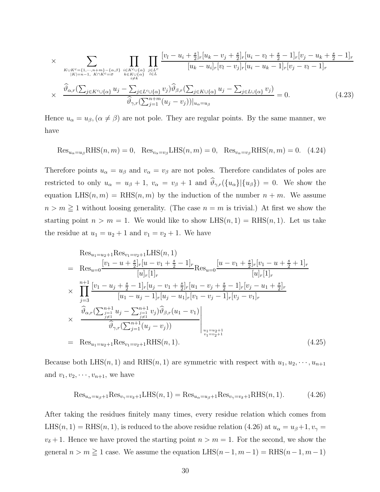$$
\times \sum_{\substack{K \cup K^{c} = \{1, \dots, n+m\} - \{\alpha, \beta\} \\ |K| = n-1, K \cap K^{c} = \beta}} \prod_{\substack{i \in K^{c} \cup \{\alpha\} \\ k \in K \cup \{\alpha\} \\ i \neq k}} \prod_{j \in L^{c}} \frac{[v_{l} - u_{i} + \frac{s}{2}]_{r} [u_{k} - v_{j} + \frac{s}{2}]_{r} [u_{i} - v_{l} + \frac{s}{2} - 1]_{r} [v_{j} - u_{k} + \frac{s}{2} - 1]_{r}}{[u_{k} - u_{i}]_{r} [v_{l} - v_{j}]_{r} [u_{i} - u_{k} - 1]_{r} [v_{j} - v_{l} - 1]_{r}}
$$
\n
$$
\times \frac{\widehat{\vartheta}_{\alpha,r}(\sum_{j \in K^{c} \cup \{\alpha\}} u_{j} - \sum_{j \in L^{c} \cup \{\alpha\}} v_{j}) \widehat{\vartheta}_{\beta,r}(\sum_{j \in K^{c} \cup \{\alpha\}} u_{j} - \sum_{j \in L^{c} \cup \{\alpha\}} v_{j})}{\widehat{\vartheta}_{\gamma,r}(\sum_{j=1}^{n+m} (u_{j} - v_{j}))|_{u_{\alpha} = u_{\beta}}}
$$
\n
$$
(4.23)
$$

Hence  $u_{\alpha} = u_{\beta}, (\alpha \neq \beta)$  are not pole. They are regular points. By the same manner, we have

$$
\text{Res}_{u_{\alpha}=u_{\beta}}\text{RHS}(n,m) = 0, \quad \text{Res}_{v_{\alpha}=v_{\beta}}\text{LHS}(n,m) = 0, \quad \text{Res}_{v_{\alpha}=v_{\beta}}\text{RHS}(n,m) = 0. \quad (4.24)
$$

Therefore points  $u_{\alpha} = u_{\beta}$  and  $v_{\alpha} = v_{\beta}$  are not poles. Therefore candidates of poles are restricted to only  $u_{\alpha} = u_{\beta} + 1$ ,  $v_{\alpha} = v_{\beta} + 1$  and  $\hat{\vartheta}_{\gamma,r}(\{u_{\alpha}\}|\{u_{\beta}\}) = 0$ . We show the equation  $LHS(n, m) = RHS(n, m)$  by the induction of the number  $n + m$ . We assume  $n > m \geq 1$  without loosing generality. (The case  $n = m$  is trivial.) At first we show the starting point  $n > m = 1$ . We would like to show LHS $(n, 1) = \text{RHS}(n, 1)$ . Let us take the residue at  $u_1 = u_2 + 1$  and  $v_1 = v_2 + 1$ . We have

$$
Res_{u_1=u_2+1} Res_{v_1=v_2+1} LHS(n, 1)
$$
\n
$$
= Res_{u=0} \frac{[v_1 - u + \frac{s}{2}]_r [u - v_1 + \frac{s}{2} - 1]_r}{[u]_r [1]_r} Res_{u=0} \frac{[u - v_1 + \frac{s}{2}]_r [v_1 - u + \frac{s}{2} + 1]_r}{[u]_r [1]_r}
$$
\n
$$
\times \prod_{j=3}^{n+1} \frac{[v_1 - u_j + \frac{s}{2} - 1]_r [u_j - v_1 + \frac{s}{2}]_r [u_1 - v_j + \frac{s}{2} - 1]_r [v_j - u_1 + \frac{s}{2}]_r}{[u_1 - u_j - 1]_r [u_j - u_1]_r [v_1 - v_j - 1]_r [v_j - v_1]_r}
$$
\n
$$
\hat{\vartheta}_{\alpha, r} (\sum_{\substack{j=1 \ j \neq 1}}^{n+1} u_j - \sum_{\substack{j=1 \ j \neq 1}}^{n+1} v_j) \hat{\vartheta}_{\beta, r} (u_1 - v_1)
$$
\n
$$
\hat{\vartheta}_{\gamma, r} (\sum_{j=1}^{n+1} (u_j - v_j))
$$
\n
$$
= Res_{u_1=u_2+1} Res_{v_1=v_2+1} RHS(n, 1).
$$
\n(4.25)

Because both LHS(n, 1) and RHS(n, 1) are symmetric with respect with  $u_1, u_2, \dots, u_{n+1}$ and  $v_1, v_2, \dots, v_{n+1}$ , we have

$$
\text{Res}_{u_{\alpha}=u_{\beta}+1}\text{Res}_{v_{\gamma}=v_{\delta}+1}\text{LHS}(n,1) = \text{Res}_{u_{\alpha}=u_{\beta}+1}\text{Res}_{v_{\gamma}=v_{\delta}+1}\text{RHS}(n,1). \tag{4.26}
$$

After taking the residues finitely many times, every residue relation which comes from LHS(n, 1) = RHS(n, 1), is reduced to the above residue relation (4.26) at  $u_{\alpha} = u_{\beta} + 1, v_{\gamma} =$  $v_{\delta}+1$ . Hence we have proved the starting point  $n > m = 1$ . For the second, we show the general  $n > m \ge 1$  case. We assume the equation LHS $(n-1, m-1) =$ RHS $(n-1, m-1)$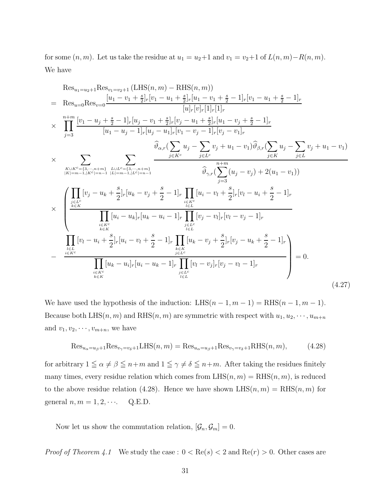for some  $(n, m)$ . Let us take the residue at  $u_1 = u_2+1$  and  $v_1 = v_2+1$  of  $L(n, m)-R(n, m)$ . We have

$$
Res_{u_1=u_2+1} Res_{v_1=v_2+1} (LHS(n, m) - RHS(n, m))
$$
\n
$$
= Res_{u=0} Res_{v=0} \frac{[u_1 - v_1 + \frac{s}{2}]_r [v_1 - u_1 + \frac{s}{2}]_r [u_1 - v_1 + \frac{s}{2} - 1]_r [v_1 - u_1 + \frac{s}{2} - 1]_r}{[u_1[v_1[v_1]_r[1]_r[1]_r}]_r}
$$
\n
$$
\times \prod_{j=3}^{n+m} \frac{[v_1 - u_j + \frac{s}{2} - 1]_r [u_j - v_1 + \frac{s}{2}]_r [v_j - u_1 + \frac{s}{2}]_r [u_1 - v_j + \frac{s}{2} - 1]_r}{[u_1 - u_j - 1]_r [u_j - u_1]_r [v_1 - v_j - 1]_r [v_j - v_1]_r}
$$
\n
$$
\times \sum_{\substack{K \cup K^c = \{3, \ldots, n+m\} \\ |K| = m - 1, |K| = n - 1}} \frac{\widehat{\vartheta}_{\alpha, r} (\sum_{j \in K} u_j - \sum_{j \in L^c} v_j + u_1 - v_1) \widehat{\vartheta}_{\beta, r} (\sum_{j \in K} u_j - \sum_{j \in L} v_j + u_1 - v_1)}{\widehat{\vartheta}_{\gamma, r} (\sum_{j \in S} u_j - v_j) + 2(u_1 - v_1))}
$$
\n
$$
\times \left( \prod_{\substack{j \in L^c \\ k \in K}} [v_j - u_k + \frac{s}{2}]_r [u_k - v_j + \frac{s}{2} - 1]_r \prod_{\substack{i \in K^c \\ i \in L}} [u_i - u_k]_r [u_k - u_i - 1]_r \prod_{\substack{i \in L \\ i \in L}} [v_j - v_l]_r [v_l - v_j - 1]_r} {\prod_{\substack{i \in L \\ i \in L \\ i \in L}} [v_l - u_i + \frac{s}{2}]_r [u_i - v_l + \frac{s}{2} - 1]_r \prod_{\substack{j \in L^c \\ i \in L}} [u_j - v_j]_r [v_j - u_k + \frac{s}{2} - 1]_r}
$$
\n
$$
- \frac{\prod_{\substack{i \in L \\ i \
$$

We have used the hypothesis of the induction: LHS $(n-1, m-1) =$ RHS $(n-1, m-1)$ . Because both LHS(n, m) and RHS(n, m) are symmetric with respect with  $u_1, u_2, \dots, u_{m+n}$ and  $v_1, v_2, \cdots, v_{m+n}$ , we have

$$
\text{Res}_{u_{\alpha}=u_{\beta}+1}\text{Res}_{v_{\gamma}=v_{\delta}+1}\text{LHS}(n,m) = \text{Res}_{u_{\alpha}=u_{\beta}+1}\text{Res}_{v_{\gamma}=v_{\delta}+1}\text{RHS}(n,m),\tag{4.28}
$$

for arbitrary  $1 \leqq \alpha \neq \beta \leqq n+m$  and  $1 \leqq \gamma \neq \delta \leqq n+m$ . After taking the residues finitely many times, every residue relation which comes from  $LHS(n, m) = RHS(n, m)$ , is reduced to the above residue relation (4.28). Hence we have shown  $LHS(n, m) = RHS(n, m)$  for general  $n, m = 1, 2, \cdots$  Q.E.D.

Now let us show the commutation relation,  $[\mathcal{G}_n, \mathcal{G}_m] = 0$ .

*Proof of Theorem 4.1* We study the case :  $0 < \text{Re}(s) < 2$  and  $\text{Re}(r) > 0$ . Other cases are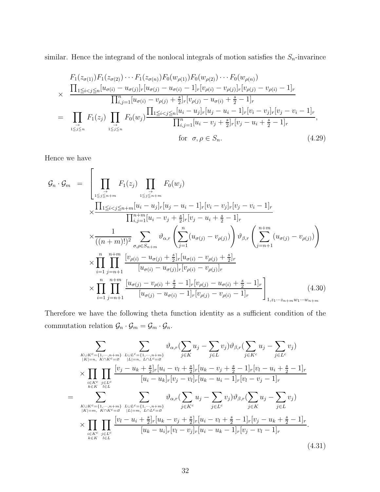similar. Hence the integrand of the nonlocal integrals of motion satisfies the  $S_n$ -invarince

$$
F_1(z_{\sigma(1)})F_1(z_{\sigma(2)})\cdots F_1(z_{\sigma(n)})F_0(w_{\rho(1)})F_0(w_{\rho(2)})\cdots F_0(w_{\rho(n)})
$$
  
\n
$$
\times \frac{\prod_{1\leq i < j \leq n} [u_{\sigma(i)} - u_{\sigma(j)}]_r [u_{\sigma(j)} - u_{\sigma(i)} - 1]_r [v_{\rho(i)} - v_{\rho(j)}]_r [v_{\rho(j)} - v_{\rho(i)} - 1]_r}{\prod_{i,j=1}^n [u_{\sigma(i)} - v_{\rho(j)} + \frac{s}{2}]_r [v_{\rho(j)} - u_{\sigma(i)} + \frac{s}{2} - 1]_r}
$$
  
\n
$$
= \prod_{1\leq j \leq n} F_1(z_j) \prod_{1\leq j \leq n} F_0(w_j) \frac{\prod_{1\leq i < j \leq n} [u_i - u_j]_r [u_j - u_i - 1]_r [v_i - v_j]_r [v_j - v_i - 1]_r}{\prod_{i,j=1}^n [u_i - v_j + \frac{s}{2}]_r [v_j - u_i + \frac{s}{2} - 1]_r},
$$
  
\nfor  $\sigma, \rho \in S_n$ . (4.29)

Hence we have

$$
\mathcal{G}_{n} \cdot \mathcal{G}_{m} = \left[ \prod_{1 \leq j \leq n+m} F_{1}(z_{j}) \prod_{1 \leq j \leq n+m} F_{0}(w_{j}) \right] \times \frac{\prod_{1 \leq i < j \leq n+m} [u_{i} - u_{j}]_{r}[u_{j} - u_{i} - 1]_{r}[v_{i} - v_{j}]_{r}[v_{j} - v_{i} - 1]_{r}}{\prod_{i,j=1}^{n+m} [u_{i} - v_{j} + \frac{s}{2}]_{r}[v_{j} - u_{i} + \frac{s}{2} - 1]_{r}} \times \frac{1}{((n+m)!)^{2}} \sum_{\sigma,\rho \in S_{n+m}} \vartheta_{\alpha,r} \left( \sum_{j=1}^{n} (u_{\sigma(j)} - v_{\rho(j)}) \right) \vartheta_{\beta,r} \left( \sum_{j=n+1}^{n+m} (u_{\sigma(j)} - v_{\rho(j)}) \right) \times \prod_{i=1}^{n} \prod_{j=n+1}^{n+m} \frac{[v_{\rho(i)} - u_{\sigma(j)} + \frac{s}{2}]_{r}[u_{\sigma(i)} - v_{\rho(j)} + \frac{s}{2}]_{r}}{[u_{\sigma(i)} - u_{\sigma(j)}]_{r}[v_{\rho(i)} - v_{\rho(j)}]_{r}} \times \prod_{i=1}^{n} \prod_{j=n+1}^{n+m} \frac{[u_{\sigma(j)} - v_{\rho(i)} + \frac{s}{2} - 1]_{r}[v_{\rho(j)} - u_{\sigma(i)} + \frac{s}{2} - 1]_{r}}{[u_{\sigma(j)} - u_{\sigma(i)} - 1]_{r}[v_{\rho(j)} - v_{\rho(i)} - 1]_{r}} \right]_{1, z_{1}...z_{n+m}} (4.30)
$$

Therefore we have the following theta function identity as a sufficient condition of the commutation relation  $\mathcal{G}_n \cdot \mathcal{G}_m = \mathcal{G}_m \cdot \mathcal{G}_n$ .

$$
\sum_{\substack{K\cup K^{c}=\{1,\cdots,n+m\}\\|K|=n,\ K\cap K^{c}\in\mathcal{S}}}\n\sum_{\substack{l\cup L^{c}=\{1,\cdots,n+m\}\\|L|=n,\ L\cap L^{c}\in\mathcal{S}}}\n\vartheta_{\alpha,r}(\sum_{j\in K}u_{j}-\sum_{j\in L}v_{j})\vartheta_{\beta,r}(\sum_{j\in K}u_{j}-\sum_{j\in L^{c}}v_{j})\n\\
\times \prod_{\substack{i\in K^{c}\\i\in K}}\n\prod_{\substack{j\in L^{c}\\i\in L^{c}}} \frac{[v_{j}-u_{k}+\frac{s}{2}]_{r}[u_{i}-v_{l}+\frac{s}{2}]_{r}[u_{k}-v_{j}+\frac{s}{2}-1]_{r}[v_{l}-u_{i}+\frac{s}{2}-1]_{r}}{[u_{i}-u_{k}]_{r}[v_{j}-v_{l}]_{r}[u_{k}-u_{i}-1]_{r}[v_{l}-v_{j}-1]_{r}}\n\\
=\sum_{\substack{K\cup K^{c}=\{1,\cdots,n+m\}\\|K|=m,\ K\cap K^{c}\in\mathcal{S}}}\n\sum_{\substack{l\in L^{c}|\{L|=m,\ L\cap L^{c}\in\mathcal{S}\\|L|=m,\ L\cap L^{c}\in\mathcal{S}}}\n\vartheta_{\alpha,r}(\sum_{j\in K}u_{j}-\sum_{j\in L^{c}}v_{j})\vartheta_{\beta,r}(\sum_{j\in K}u_{j}-\sum_{j\in L}v_{j})\n\\
\times \prod_{i\in K^{c}}\n\prod_{j\in L^{c}}\n\frac{[v_{l}-u_{i}+\frac{s}{2}]_{r}[u_{k}-v_{j}+\frac{s}{2}]_{r}[u_{i}-v_{l}+\frac{s}{2}-1]_{r}[v_{j}-u_{k}+\frac{s}{2}-1]_{r}}{[u_{k}-u_{i}]_{r}[v_{l}-v_{j}]_{r}[u_{i}-u_{k}-1]_{r}[v_{j}-v_{l}-1]_{r}}.\n\tag{4.31}
$$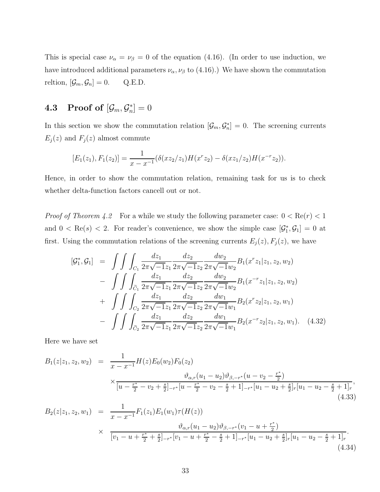This is special case  $\nu_{\alpha} = \nu_{\beta} = 0$  of the equation (4.16). (In order to use induction, we have introduced additional parameters  $\nu_{\alpha}$ ,  $\nu_{\beta}$  to (4.16).) We have shown the commutation reltion,  $[\mathcal{G}_m, \mathcal{G}_n] = 0$ . Q.E.D.

## $\textbf{4.3} \quad \textbf{Proof of } [\mathcal{G}_m, \mathcal{G}^*_n] = 0$

In this section we show the commutation relation  $[\mathcal{G}_m, \mathcal{G}_n^*] = 0$ . The screening currents  $E_j(z)$  and  $F_j(z)$  almost commute

$$
[E_1(z_1), F_1(z_2)] = \frac{1}{x - x^{-1}} (\delta(xz_2/z_1)H(x^r z_2) - \delta(xz_1/z_2)H(x^{-r} z_2)).
$$

Hence, in order to show the commutation relation, remaining task for us is to check whether delta-function factors cancell out or not.

*Proof of Theorem 4.2* For a while we study the following parameter case:  $0 < \text{Re}(r) < 1$ and  $0 < \text{Re}(s) < 2$ . For reader's convenience, we show the simple case  $[\mathcal{G}_1^*, \mathcal{G}_1] = 0$  at first. Using the commutation relations of the screening currents  $E_j(z)$ ,  $F_j(z)$ , we have

$$
[\mathcal{G}_{1}^{*}, \mathcal{G}_{1}] = \int \int \int_{C_{1}} \frac{dz_{1}}{2\pi\sqrt{-1}z_{1}} \frac{dz_{2}}{2\pi\sqrt{-1}z_{2}} \frac{dw_{2}}{2\pi\sqrt{-1}w_{2}} B_{1}(x^{r}z_{1}|z_{1}, z_{2}, w_{2})
$$

$$
- \int \int \int_{\tilde{C}_{1}} \frac{dz_{1}}{2\pi\sqrt{-1}z_{1}} \frac{dz_{2}}{2\pi\sqrt{-1}z_{2}} \frac{dw_{2}}{2\pi\sqrt{-1}w_{2}} B_{1}(x^{-r}z_{1}|z_{1}, z_{2}, w_{2})
$$

$$
+ \int \int \int_{C_{2}} \frac{dz_{1}}{2\pi\sqrt{-1}z_{1}} \frac{dz_{2}}{2\pi\sqrt{-1}z_{2}} \frac{dw_{1}}{2\pi\sqrt{-1}w_{1}} B_{2}(x^{r}z_{2}|z_{1}, z_{2}, w_{1})
$$

$$
- \int \int \int_{\tilde{C}_{2}} \frac{dz_{1}}{2\pi\sqrt{-1}z_{1}} \frac{dz_{2}}{2\pi\sqrt{-1}z_{2}} \frac{dw_{1}}{2\pi\sqrt{-1}w_{1}} B_{2}(x^{-r}z_{2}|z_{1}, z_{2}, w_{1}). \quad (4.32)
$$

Here we have set

$$
B_{1}(z|z_{1}, z_{2}, w_{2}) = \frac{1}{x - x^{-1}} H(z) E_{0}(w_{2}) F_{0}(z_{2})
$$
  

$$
\times \frac{\vartheta_{\alpha,r}(u_{1} - u_{2}) \vartheta_{\beta,-r^{*}}(u - v_{2} - \frac{r^{*}}{2})}{[u - \frac{r^{*}}{2} - v_{2} + \frac{s}{2}]_{-r^{*}} [u - \frac{r^{*}}{2} - v_{2} - \frac{s}{2} + 1]_{-r^{*}} [u_{1} - u_{2} + \frac{s}{2}]_{r} [u_{1} - u_{2} - \frac{s}{2} + 1]_{r} },
$$
  

$$
B_{2}(z|z_{1}, z_{2}, w_{1}) = \frac{1}{x - x^{-1}} F_{1}(z_{1}) E_{1}(w_{1}) \tau(H(z))
$$
  

$$
\times \frac{\vartheta_{\alpha,r}(u_{1} - u_{2}) \vartheta_{\beta,-r^{*}}(v_{1} - u + \frac{r^{*}}{2})}{[v_{1} - u + \frac{r^{*}}{2} + \frac{s}{2}]_{-r^{*}} [v_{1} - u + \frac{r^{*}}{2} - \frac{s}{2} + 1]_{-r^{*}} [u_{1} - u_{2} + \frac{s}{2}]_{r} [u_{1} - u_{2} - \frac{s}{2} + 1]_{r} }.
$$
  
(4.33)

(4.34)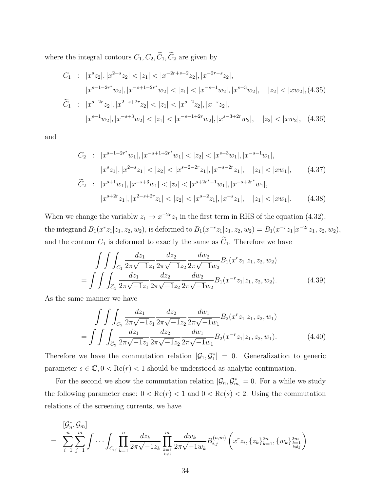where the integral contours  $C_1, C_2, \widetilde{C}_1, \widetilde{C}_2$  are given by

$$
C_{1} : |x^{s}z_{2}|, |x^{2-s}z_{2}| < |z_{1}| < |x^{-2r+s-2}z_{2}|, |x^{-2r-s}z_{2}|,
$$
  
\n
$$
|x^{s-1-2r^{*}}w_{2}|, |x^{-s+1-2r^{*}}w_{2}| < |z_{1}| < |x^{-s-1}w_{2}|, |x^{s-3}w_{2}|, |z_{2}| < |xw_{2}|, (4.35)
$$
  
\n
$$
\widetilde{C}_{1} : |x^{s+2r}z_{2}|, |x^{2-s+2r}z_{2}| < |z_{1}| < |x^{s-2}z_{2}|, |x^{-s}z_{2}|,
$$
  
\n
$$
|x^{s+1}w_{2}|, |x^{-s+3}w_{2}| < |z_{1}| < |x^{-s-1+2r}w_{2}|, |x^{s-3+2r}w_{2}|, |z_{2}| < |xw_{2}|, (4.36)
$$

and

$$
C_2: |x^{s-1-2r^*}w_1|, |x^{-s+1+2r^*}w_1| < |z_2| < |x^{s-3}w_1|, |x^{-s-1}w_1|,
$$
  
\n
$$
|x^s z_1|, |x^{2-s} z_1| < |z_2| < |x^{s-2-2r} z_1|, |x^{-s-2r} z_1|, |z_1| < |x w_1|,
$$
  
\n
$$
\tilde{C}_2: |x^{s+1}w_1|, |x^{-s+3}w_1| < |z_2| < |x^{s+2r^*-1}w_1|, |x^{-s+2r^*}w_1|,
$$
  
\n
$$
|x^{s+2r} z_1|, |x^{2-s+2r} z_1| < |z_2| < |x^{s-2} z_1|, |x^{-s} z_1|, |z_1| < |x w_1|.
$$
\n(4.38)

When we change the variablw  $z_1 \to x^{-2r} z_1$  in the first term in RHS of the equation (4.32), the integrand  $B_1(x^r z_1 | z_1, z_2, w_2)$ , is deformed to  $B_1(x^{-r} z_1 | z_1, z_2, w_2) = B_1(x^{-r} z_1 | x^{-2r} z_1, z_2, w_2)$ , and the contour  $C_1$  is deformed to exactly the same as  $\widetilde{C}_1$ . Therefore we have

$$
\int \int \int_{C_1} \frac{dz_1}{2\pi \sqrt{-1}z_1} \frac{dz_2}{2\pi \sqrt{-1}z_2} \frac{dw_2}{2\pi \sqrt{-1}w_2} B_1(x^r z_1 | z_1, z_2, w_2)
$$

$$
= \int \int \int_{\widetilde{C}_1} \frac{dz_1}{2\pi \sqrt{-1}z_1} \frac{dz_2}{2\pi \sqrt{-1}z_2} \frac{dw_2}{2\pi \sqrt{-1}w_2} B_1(x^{-r} z_1 | z_1, z_2, w_2). \tag{4.39}
$$

As the same manner we have

$$
\int \int \int_{C_2} \frac{dz_1}{2\pi \sqrt{-1}z_1} \frac{dz_2}{2\pi \sqrt{-1}z_2} \frac{dw_1}{2\pi \sqrt{-1}w_1} B_2(x^r z_1 | z_1, z_2, w_1)
$$

$$
= \int \int \int_{\widetilde{C}_2} \frac{dz_1}{2\pi \sqrt{-1}z_1} \frac{dz_2}{2\pi \sqrt{-1}z_2} \frac{dw_1}{2\pi \sqrt{-1}w_1} B_2(x^{-r} z_1 | z_1, z_2, w_1). \tag{4.40}
$$

Therefore we have the commutation relation  $[\mathcal{G}_1, \mathcal{G}_1^*] = 0$ . Generalization to generic parameter  $s \in \mathbb{C}, 0 < \text{Re}(r) < 1$  should be understood as analytic continuation.

For the second we show the commutation relation  $[\mathcal{G}_n, \mathcal{G}_m^*] = 0$ . For a while we study the following parameter case:  $0 < \text{Re}(r) < 1$  and  $0 < \text{Re}(s) < 2$ . Using the commutation relations of the screening currents, we have

$$
= \sum_{i=1}^{n} \sum_{j=1}^{m} \int \cdots \int_{C_{ij}} \prod_{k=1}^{n} \frac{dz_k}{2\pi \sqrt{-1}z_k} \prod_{\substack{k=1 \ k \neq i}}^{m} \frac{dw_k}{2\pi \sqrt{-1}w_k} B_{i,j}^{(n,m)} \left( x^r z_i, \{z_k\}_{k=1}^{2n}, \{w_k\}_{k=1}^{2m} \right)
$$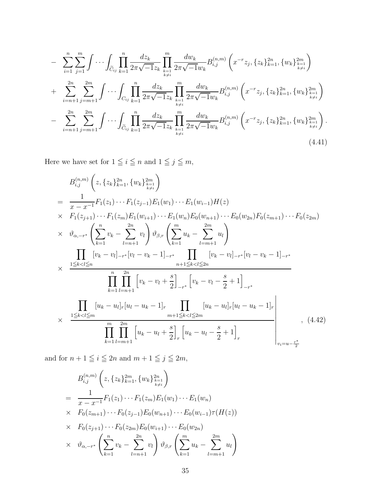$$
- \sum_{i=1}^{n} \sum_{j=1}^{m} \int \cdots \int_{\tilde{C}_{ij}} \prod_{k=1}^{n} \frac{dz_k}{2\pi \sqrt{-1}z_k} \prod_{k=1}^{m} \frac{dw_k}{2\pi \sqrt{-1}w_k} B_{i,j}^{(n,m)} \left( x^{-r} z_j, \{z_k\}_{k=1}^{2n}, \{w_k\}_{k=1}^{2m} \right) + \sum_{i=n+1}^{2n} \sum_{j=m+1}^{2m} \int \cdots \int_{C_{ij}} \prod_{k=1}^{n} \frac{dz_k}{2\pi \sqrt{-1}z_k} \prod_{k=1}^{m} \frac{dw_k}{2\pi \sqrt{-1}w_k} B_{i,j}^{(n,m)} \left( x^{-r} z_j, \{z_k\}_{k=1}^{2n}, \{w_k\}_{k=1}^{2m} \right) - \sum_{i=n+1}^{2n} \sum_{j=m+1}^{2m} \int \cdots \int_{\tilde{C}_{ij}} \prod_{k=1}^{n} \frac{dz_k}{2\pi \sqrt{-1}z_k} \prod_{k=1}^{m} \frac{dw_k}{2\pi \sqrt{-1}w_k} B_{i,j}^{(n,m)} \left( x^{-r} z_j, \{z_k\}_{k=1}^{2n}, \{w_k\}_{k=1}^{2m} \right). \tag{4.41}
$$

Here we have set for  $1 \leq i \leq n$  and  $1 \leq j \leq m$ ,

$$
B_{i,j}^{(n,m)}\left(z,\{z_k\}_{k=1}^{2n},\{w_k\}_{k=1}^{2m}\right)
$$
\n
$$
= \frac{1}{x-x^{-1}}F_1(z_1)\cdots F_1(z_{j-1})E_1(w_1)\cdots E_1(w_{i-1})H(z)
$$
\n
$$
\times F_1(z_{j+1})\cdots F_1(z_m)E_1(w_{i+1})\cdots E_1(w_n)E_0(w_{n+1})\cdots E_0(w_{2n})F_0(z_{m+1})\cdots F_0(z_{2m})
$$
\n
$$
\times \vartheta_{\alpha,-r^*}\left(\sum_{k=1}^n v_k - \sum_{l=n+1}^{2n} v_l\right)\vartheta_{\beta,r}\left(\sum_{k=1}^m u_k - \sum_{l=m+1}^{2m} u_l\right)
$$
\n
$$
\times \frac{\prod_{1\leq k\n
$$
\times \frac{\prod_{1\leq k
$$
$$

and for  $n + 1 \leq i \leq 2n$  and  $m + 1 \leq j \leq 2m$ ,

$$
B_{i,j}^{(n,m)}\left(z, \{z_k\}_{k=1}^{2m}, \{w_k\}_{k=1}^{2n}\right)
$$
  
= 
$$
\frac{1}{x - x^{-1}} F_1(z_1) \cdots F_1(z_m) E_1(w_1) \cdots E_1(w_n)
$$
  
× 
$$
F_0(z_{m+1}) \cdots F_0(z_{j-1}) E_0(w_{n+1}) \cdots E_0(w_{i-1}) \tau(H(z))
$$
  
× 
$$
F_0(z_{j+1}) \cdots F_0(z_{2m}) E_0(w_{i+1}) \cdots E_0(w_{2n})
$$
  
× 
$$
\vartheta_{\alpha, -r^*}\left(\sum_{k=1}^n v_k - \sum_{l=n+1}^{2n} v_l\right) \vartheta_{\beta, r}\left(\sum_{k=1}^m u_k - \sum_{l=m+1}^{2m} u_l\right)
$$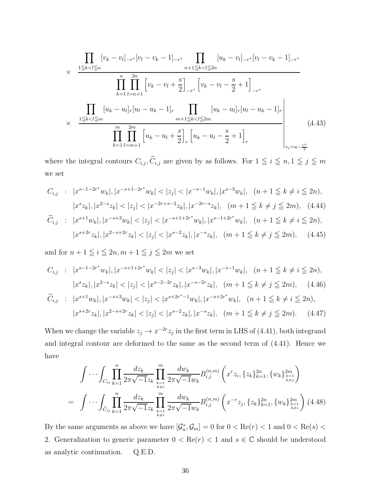$$
\times \frac{\prod_{1 \leq k < l \leq n} [v_k - v_l]_{-r^*} [v_l - v_k - 1]_{-r^*}}{\prod_{k=1}^n \prod_{l=n+1}^{2n} \left[ v_k - v_l + \frac{s}{2} \right]_{-r^*} [v_k - v_l - \frac{s}{2} + 1]_{-r^*}} \frac{\prod_{k=1}^n \prod_{l=n+1}^{2n} \left[ v_k - v_l + \frac{s}{2} \right]_{-r^*} [v_k - v_l - \frac{s}{2} + 1]_{-r^*}}{\prod_{k=1}^n \prod_{l=m+1}^{2n} \left[ u_k - u_l \right]_r [u_l - u_k - 1]_r} \frac{\prod_{m+1 \leq k < l \leq 2m} [u_k - u_l]_r [u_l - u_k - 1]_r}{\prod_{k=1}^m \prod_{l=m+1}^{2m} \left[ u_k - u_l + \frac{s}{2} \right]_r \left[ u_k - u_l - \frac{s}{2} + 1 \right]_r} \tag{4.43}
$$

where the integral contours  $C_{i,j}$ ,  $\tilde{C}_{i,j}$  are given by as follows. For  $1 \leq i \leq n, 1 \leq j \leq m$ we set

$$
C_{i,j} : |x^{s-1-2r^*}w_k|, |x^{-s+1-2r^*}w_k| < |z_j| < |x^{-s-1}w_k|, |x^{s-3}w_k|, \quad (n+1 \le k \ne i \le 2n),
$$
\n
$$
|x^s z_k|, |x^{2-s} z_k| < |z_j| < |x^{-2r+s-2}z_k|, |x^{-2r-s}z_k|, \quad (m+1 \le k \ne j \le 2m), \quad (4.44)
$$
\n
$$
\widetilde{C}_{i,j} : |x^{s+1}w_k|, |x^{-s+3}w_k| < |z_j| < |x^{-s+1+2r^*}w_k|, |x^{s-1+2r^*}w_k|, \quad (n+1 \le k \ne i \le 2n),
$$
\n
$$
|x^{s+2r}z_k|, |x^{2-s+2r}z_k| < |z_j| < |x^{s-2}z_k|, |x^{-s}z_k|, \quad (m+1 \le k \ne j \le 2m), \quad (4.45)
$$

and for  $n + 1 \leq i \leq 2n, m + 1 \leq j \leq 2m$  we set

$$
C_{i,j} : |x^{s-1-2r^*}w_k|, |x^{-s+1+2r^*}w_k| < |z_j| < |x^{s-3}w_k|, |x^{-s-1}w_k|, \quad (n+1 \le k \ne i \le 2n),
$$
\n
$$
|x^s z_k|, |x^{2-s} z_k| < |z_j| < |x^{s-2-2r} z_k|, |x^{-s-2r} z_k|, \quad (m+1 \le k \ne j \le 2m), \quad (4.46)
$$
\n
$$
\widetilde{C}_{i,j} : |x^{s+1}w_k|, |x^{-s+3}w_k| < |z_j| < |x^{s+2r^*-1}w_k|, |x^{-s+2r^*}w_k|, \quad (n+1 \le k \ne i \le 2n),
$$
\n
$$
|x^{s+2r} z_k|, |x^{2-s+2r} z_k| < |z_j| < |x^{s-2} z_k|, |x^{-s} z_k|, \quad (m+1 \le k \ne j \le 2m). \quad (4.47)
$$

When we change the variable  $z_j \to x^{-2r} z_j$  in the first term in LHS of (4.41), both integrand and integral contour are deformed to the same as the second term of (4.41). Hence we have

$$
\int \cdots \int_{C_{ij}} \prod_{k=1}^{n} \frac{dz_k}{2\pi \sqrt{-1}z_k} \prod_{\substack{k=1 \ k \neq i}}^{m} \frac{dw_k}{2\pi \sqrt{-1}w_k} B_{i,j}^{(n,m)} \left( x^r z_i, \{z_k\}_{k=1}^{2n}, \{w_k\}_{k=1}^{2m} \right)
$$
\n
$$
= \int \cdots \int_{\widetilde{C}_{ij}} \prod_{k=1}^{n} \frac{dz_k}{2\pi \sqrt{-1}z_k} \prod_{\substack{k=1 \ k \neq i}}^{m} \frac{dw_k}{2\pi \sqrt{-1}w_k} B_{i,j}^{(n,m)} \left( x^{-r} z_j, \{z_k\}_{k=1}^{2n}, \{w_k\}_{k=1}^{2m} \right) (4.48)
$$

By the same arguments as above we have  $[\mathcal{G}_n^*, \mathcal{G}_m] = 0$  for  $0 < \text{Re}(r) < 1$  and  $0 < \text{Re}(s) <$ 2. Generalization to generic parameter  $0 < \text{Re}(r) < 1$  and  $s \in \mathbb{C}$  should be understood as analytic continuation. Q.E.D.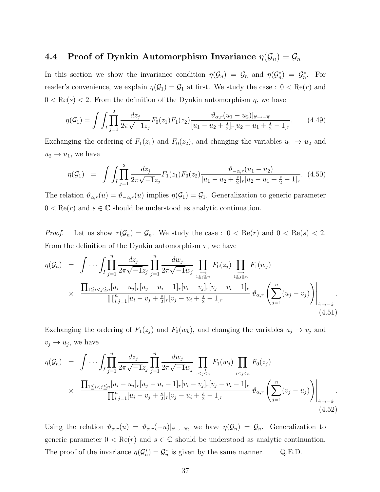## 4.4 Proof of Dynkin Automorphism Invariance  $\eta(\mathcal{G}_n) = \mathcal{G}_n$

In this section we show the invariance condition  $\eta(\mathcal{G}_n) = \mathcal{G}_n$  and  $\eta(\mathcal{G}_n^*) = \mathcal{G}_n^*$ . For reader's convenience, we explain  $\eta(\mathcal{G}_1) = \mathcal{G}_1$  at first. We study the case :  $0 < \text{Re}(r)$  and  $0 < \text{Re}(s) < 2$ . From the definition of the Dynkin automorphism  $\eta$ , we have

$$
\eta(\mathcal{G}_1) = \int \int_I \prod_{j=1}^2 \frac{dz_j}{2\pi\sqrt{-1}z_j} F_0(z_1) F_1(z_2) \frac{\vartheta_{\alpha,r}(u_1 - u_2)|_{\widehat{\pi}\to-\widehat{\pi}}}{[u_1 - u_2 + \frac{s}{2}]_r [u_2 - u_1 + \frac{s}{2} - 1]_r}.
$$
(4.49)

Exchanging the ordering of  $F_1(z_1)$  and  $F_0(z_2)$ , and changing the variables  $u_1 \rightarrow u_2$  and  $u_2 \rightarrow u_1$ , we have

$$
\eta(\mathcal{G}_1) = \int \int_I \prod_{j=1}^2 \frac{dz_j}{2\pi\sqrt{-1}z_j} F_1(z_1) F_0(z_2) \frac{\vartheta_{-\alpha,r}(u_1 - u_2)}{[u_1 - u_2 + \frac{s}{2}]_r [u_2 - u_1 + \frac{s}{2} - 1]_r} . \tag{4.50}
$$

The relation  $\vartheta_{\alpha,r}(u) = \vartheta_{-\alpha,r}(u)$  implies  $\eta(\mathcal{G}_1) = \mathcal{G}_1$ . Generalization to generic parameter  $0 < \text{Re}(r)$  and  $s \in \mathbb{C}$  should be understood as analytic continuation.

*Proof.* Let us show  $\tau(\mathcal{G}_n) = \mathcal{G}_n$ . We study the case :  $0 < \text{Re}(r)$  and  $0 < \text{Re}(s) < 2$ . From the definition of the Dynkin automorphism  $\tau$ , we have

$$
\eta(\mathcal{G}_n) = \int \cdots \int \prod_{j=1}^n \frac{dz_j}{2\pi \sqrt{-1}z_j} \prod_{j=1}^n \frac{dw_j}{2\pi \sqrt{-1}w_j} \prod_{1 \leq j \leq n} F_0(z_j) \prod_{1 \leq j \leq n} F_1(w_j)
$$
  
 
$$
\times \frac{\prod_{1 \leq i < j \leq n} [u_i - u_j]_r [u_j - u_i - 1]_r [v_i - v_j]_r [v_j - v_i - 1]_r}{\prod_{i,j=1}^n [u_i - v_j + \frac{s}{2}]_r [v_j - u_i + \frac{s}{2} - 1]_r} \vartheta_{\alpha,r} \left( \sum_{j=1}^n (u_j - v_j) \right) \Big|_{\hat{\pi} \to -\hat{\pi}}
$$
\n(4.51)

Exchanging the ordering of  $F_1(z_j)$  and  $F_0(w_k)$ , and changing the variables  $u_j \to v_j$  and  $v_j \to u_j$ , we have

$$
\eta(\mathcal{G}_n) = \int \cdots \int \prod_{j=1}^n \frac{dz_j}{2\pi \sqrt{-1}z_j} \prod_{j=1}^n \frac{dw_j}{2\pi \sqrt{-1}w_j} \prod_{1 \leq j \leq n \atop 1 \leq j \leq n} F_1(w_j) \prod_{1 \leq j \leq n \atop 1 \leq j \leq n} F_0(z_j)
$$
  
 
$$
\times \frac{\prod_{1 \leq i < j \leq n} [u_i - u_j]_r [u_j - u_i - 1]_r [v_i - v_j]_r [v_j - v_i - 1]_r}{\prod_{i,j=1}^n [u_i - v_j + \frac{s}{2}]_r [v_j - u_i + \frac{s}{2} - 1]_r} \vartheta_{\alpha,r} \left( \sum_{j=1}^n (v_j - u_j) \right) \Big|_{\hat{\pi} \to -\hat{\pi}}.
$$
\n(4.52)

Using the relation  $\vartheta_{\alpha,r}(u) = \vartheta_{\alpha,r}(-u)|_{\hat{\pi}\to-\hat{\pi}},$  we have  $\eta(\mathcal{G}_n) = \mathcal{G}_n$ . Generalization to generic parameter  $0 < \text{Re}(r)$  and  $s \in \mathbb{C}$  should be understood as analytic continuation. The proof of the invariance  $\eta(\mathcal{G}_n^*) = \mathcal{G}_n^*$  is given by the same manner. Q.E.D.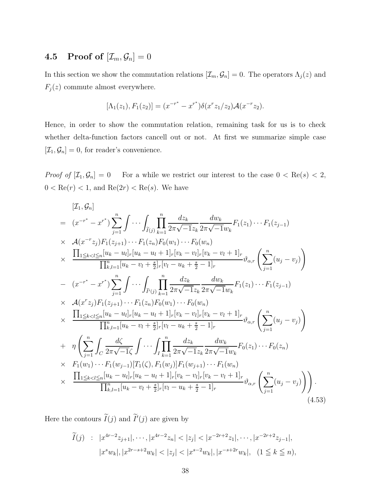## **4.5** Proof of  $[\mathcal{I}_m, \mathcal{G}_n] = 0$

In this section we show the commutation relations  $[\mathcal{I}_m, \mathcal{G}_n] = 0$ . The operators  $\Lambda_j(z)$  and  $F_j(z)$  commute almost everywhere.

$$
[\Lambda_1(z_1), F_1(z_2)] = (x^{-r^*} - x^{r^*})\delta(x^r z_1/z_2) \mathcal{A}(x^{-r} z_2).
$$

Hence, in order to show the commutation relation, remaining task for us is to check whether delta-function factors cancell out or not. At first we summarize simple case  $[\mathcal{I}_1, \mathcal{G}_n] = 0$ , for reader's convenience.

*Proof of*  $[\mathcal{I}_1, \mathcal{G}_n] = 0$  For a while we restrict our interest to the case  $0 < \text{Re}(s) < 2$ ,  $0 < \text{Re}(r) < 1$ , and  $\text{Re}(2r) < \text{Re}(s)$ . We have

$$
[T_{1}, G_{n}]
$$
\n
$$
= (x^{-r^{*}} - x^{r^{*}}) \sum_{j=1}^{n} \int \cdots \int_{\tilde{I}(j)} \prod_{k=1}^{n} \frac{dz_{k}}{2\pi \sqrt{-1}z_{k}} \frac{dw_{k}}{2\pi \sqrt{-1}w_{k}} F_{1}(z_{1}) \cdots F_{1}(z_{j-1})
$$
\n
$$
\times A(x^{-r}z_{j})F_{1}(z_{j+1}) \cdots F_{1}(z_{n})F_{0}(w_{1}) \cdots F_{0}(w_{n})
$$
\n
$$
\times \prod_{1 \leq k < l \leq n} [u_{k} - u_{l}]_{r}[u_{k} - u_{l} + 1]_{r}[v_{k} - v_{l}]_{r}[v_{k} - v_{l} + 1]_{r} \vartheta_{\alpha,r} \left( \sum_{j=1}^{n} (u_{j} - v_{j}) \right)
$$
\n
$$
- (x^{-r^{*}} - x^{r^{*}}) \sum_{j=1}^{n} \int \cdots \int_{\tilde{I}'(j)} \prod_{k=1}^{n} \frac{dz_{k}}{2\pi \sqrt{-1}z_{k}} \frac{dw_{k}}{2\pi \sqrt{-1}w_{k}} F_{1}(z_{1}) \cdots F_{1}(z_{j-1})
$$
\n
$$
\times A(x^{r}z_{j})F_{1}(z_{j+1}) \cdots F_{1}(z_{n})F_{0}(w_{1}) \cdots F_{0}(w_{n})
$$
\n
$$
\times \prod_{1 \leq k < l \leq n} [u_{k} - u_{l}]_{r}[u_{k} - u_{l} + 1]_{r}[v_{k} - v_{l}]_{r}[v_{k} - v_{l} + 1]_{r} \vartheta_{\alpha,r} \left( \sum_{j=1}^{n} (u_{j} - v_{j}) \right)
$$
\n
$$
+ \eta \left( \sum_{j=1}^{n} \int_{C} \frac{d\zeta}{2\pi \sqrt{-1}\zeta} \int \cdots \int_{I} \prod_{k=1}^{n} \frac{dz_{k}}{2\pi \sqrt{-1}z_{k}} \frac{dw_{k}}{2\pi \sqrt{-1}w_{k}} F_{0}(z_{1}) \cdots F_{0}(z_{n}) \right)
$$
\n
$$
+ \eta \left(
$$

Here the contours  $I(j)$  and  $I'(j)$  are given by

$$
\widetilde{I}(j) \quad : \quad |x^{4r-2}z_{j+1}|, \cdots, |x^{4r-2}z_n| < |z_j| < |x^{-2r+2}z_1|, \cdots, |x^{-2r+2}z_{j-1}|,
$$
\n
$$
|x^s w_k|, |x^{2r-s+2}w_k| < |z_j| < |x^{s-2}w_k|, |x^{-s+2r}w_k|, \quad (1 \le k \le n),
$$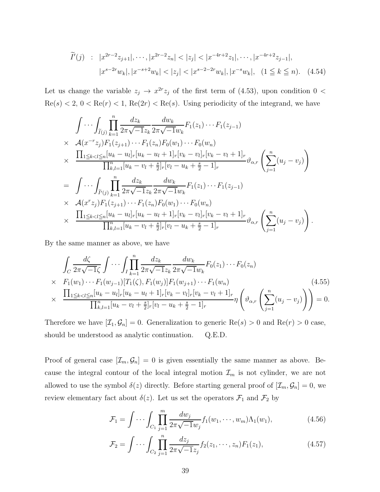$$
\widetilde{I}'(j) \quad : \quad |x^{2r-2}z_{j+1}|, \cdots, |x^{2r-2}z_n| < |z_j| < |x^{-4r+2}z_1|, \cdots, |x^{-4r+2}z_{j-1}|, \\
 |x^{s-2r}w_k|, |x^{-s+2}w_k| < |z_j| < |x^{s-2-2r}w_k|, |x^{-s}w_k|, \quad (1 \le k \le n). \tag{4.54}
$$

Let us change the variable  $z_j \to x^{2r} z_j$  of the first term of (4.53), upon condition  $0 <$  $\text{Re}(s) < 2, 0 < \text{Re}(r) < 1, \text{Re}(2r) < \text{Re}(s)$ . Using periodicity of the integrand, we have

$$
\int \cdots \int_{\tilde{I}(j)} \prod_{k=1}^{n} \frac{dz_k}{2\pi \sqrt{-1}z_k} \frac{dw_k}{2\pi \sqrt{-1}w_k} F_1(z_1) \cdots F_1(z_{j-1})
$$
\n
$$
\times \quad \mathcal{A}(x^{-r}z_j) F_1(z_{j+1}) \cdots F_1(z_n) F_0(w_1) \cdots F_0(w_n)
$$
\n
$$
\times \quad \frac{\prod_{1 \leq k < l \leq n} [u_k - u_l]_r [u_k - u_l + 1]_r [v_k - v_l]_r [v_k - v_l + 1]_r}{\prod_{k,l=1}^{n} [u_k - v_l + \frac{s}{2}]_r [v_l - u_k + \frac{s}{2} - 1]_r} \vartheta_{\alpha,r} \left( \sum_{j=1}^n (u_j - v_j) \right)
$$
\n
$$
= \int \cdots \int_{\tilde{I}'(j)} \prod_{k=1}^n \frac{dz_k}{2\pi \sqrt{-1}z_k} \frac{dw_k}{2\pi \sqrt{-1}w_k} F_1(z_1) \cdots F_1(z_{j-1})
$$
\n
$$
\times \quad \mathcal{A}(x^r z_j) F_1(z_{j+1}) \cdots F_1(z_n) F_0(w_1) \cdots F_0(w_n)
$$
\n
$$
\times \quad \frac{\prod_{1 \leq k < l \leq n} [u_k - u_l]_r [u_k - u_l + 1]_r [v_k - v_l]_r [v_k - v_l + 1]_r}{\prod_{k,l=1}^n [u_k - v_l + \frac{s}{2}]_r [v_l - u_k + \frac{s}{2} - 1]_r} \vartheta_{\alpha,r} \left( \sum_{j=1}^n (u_j - v_j) \right).
$$

By the same manner as above, we have

$$
\int_{C} \frac{d\zeta}{2\pi\sqrt{-1}\zeta} \int \cdots \int_{I} \prod_{k=1}^{n} \frac{dz_{k}}{2\pi\sqrt{-1}z_{k}} \frac{dw_{k}}{2\pi\sqrt{-1}w_{k}} F_{0}(z_{1}) \cdots F_{0}(z_{n})
$$
\n
$$
\times \quad F_{1}(w_{1}) \cdots F_{1}(w_{j-1}) [T_{1}(\zeta), F_{1}(w_{j})] F_{1}(w_{j+1}) \cdots F_{1}(w_{n})
$$
\n
$$
\times \quad \frac{\prod_{1 \leq k < l \leq n} [u_{k} - u_{l}]_{r} [u_{k} - u_{l} + 1]_{r} [v_{k} - v_{l}]_{r} [v_{k} - v_{l} + 1]_{r}}{\prod_{k,l=1}^{n} [u_{k} - v_{l} + \frac{s}{2}]_{r} [v_{l} - u_{k} + \frac{s}{2} - 1]_{r}} \eta \left( \vartheta_{\alpha,r} \left( \sum_{j=1}^{n} (u_{j} - v_{j}) \right) \right) = 0.
$$
\n(4.55)

Therefore we have  $[\mathcal{I}_1, \mathcal{G}_n] = 0$ . Generalization to generic  $\text{Re}(s) > 0$  and  $\text{Re}(r) > 0$  case, should be understood as analytic continuation. Q.E.D.

Proof of general case  $[\mathcal{I}_m, \mathcal{G}_n] = 0$  is given essentially the same manner as above. Because the integral contour of the local integral motion  $\mathcal{I}_m$  is not cylinder, we are not allowed to use the symbol  $\delta(z)$  directly. Before starting general proof of  $[\mathcal{I}_m, \mathcal{G}_n] = 0$ , we review elementary fact about  $\delta(z)$ . Let us set the operators  $\mathcal{F}_1$  and  $\mathcal{F}_2$  by

$$
\mathcal{F}_1 = \int \cdots \int_{C_1} \prod_{j=1}^m \frac{dw_j}{2\pi\sqrt{-1}w_j} f_1(w_1, \cdots, w_m) \Lambda_1(w_1), \tag{4.56}
$$

$$
\mathcal{F}_2 = \int \cdots \int_{C_2} \prod_{j=1}^n \frac{dz_j}{2\pi\sqrt{-1}z_j} f_2(z_1, \cdots, z_n) F_1(z_1), \tag{4.57}
$$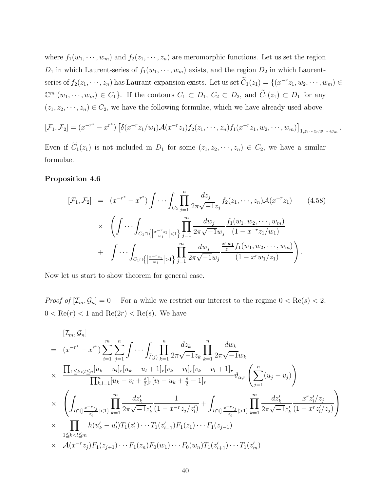where  $f_1(w_1, \dots, w_m)$  and  $f_2(z_1, \dots, z_n)$  are meromorphic functions. Let us set the region  $D_1$  in which Laurent-series of  $f_1(w_1, \dots, w_m)$  exists, and the region  $D_2$  in which Laurentseries of  $f_2(z_1, \dots, z_n)$  has Laurant-expansion exists. Let us set  $C_1(z_1) = \{(x^{-r}z_1, w_2, \dots, w_m) \in$  $\mathbb{C}^m | (w_1, \dots, w_m) \in C_1$ . If the contours  $C_1 \subset D_1$ ,  $C_2 \subset D_2$ , and  $\widetilde{C}_1(z_1) \subset D_1$  for any  $(z_1, z_2, \dots, z_n) \in C_2$ , we have the following formulae, which we have already used above.

$$
[\mathcal{F}_1, \mathcal{F}_2] = (x^{-r^*} - x^{r^*}) \left[ \delta(x^{-r} z_1/w_1) \mathcal{A}(x^{-r} z_1) f_2(z_1, \dots, z_n) f_1(x^{-r} z_1, w_2, \dots, w_m) \right]_{1, z_1 \dots z_n w_1 \dots w_m}.
$$

Even if  $\widetilde{C}_1(z_1)$  is not included in  $D_1$  for some  $(z_1, z_2, \dots, z_n) \in C_2$ , we have a similar formulae.

#### Proposition 4.6

$$
[\mathcal{F}_1, \mathcal{F}_2] = (x^{-r^*} - x^{r^*}) \int \cdots \int_{C_2} \prod_{j=1}^n \frac{dz_j}{2\pi \sqrt{-1}z_j} f_2(z_1, \dots, z_n) \mathcal{A}(x^{-r}z_1) \qquad (4.58)
$$
  
 
$$
\times \left( \int \cdots \int_{C_1 \cap \left\{ \left| \frac{x^{-r}z_1}{w_1} \right| < 1 \right\}} \prod_{j=1}^m \frac{dw_j}{2\pi \sqrt{-1}w_j} \frac{f_1(w_1, w_2, \dots, w_m)}{(1 - x^{-r}z_1/w_1)} \right. \\ \left. + \int \cdots \int_{C_1 \cap \left\{ \left| \frac{x^{-r}z_1}{w_1} \right| > 1 \right\}} \prod_{j=1}^m \frac{dw_j}{2\pi \sqrt{-1}w_j} \frac{\frac{x^r w_1}{z_1} f_1(w_1, w_2, \dots, w_m)}{(1 - x^r w_1/z_1)} \right) .
$$

Now let us start to show theorem for general case.

*Proof of*  $[\mathcal{I}_m, \mathcal{G}_n] = 0$  For a while we restrict our interest to the regime  $0 < \text{Re}(s) < 2$ ,  $0 < \text{Re}(r) < 1$  and  $\text{Re}(2r) < \text{Re}(s)$ . We have

$$
[\mathcal{I}_m, \mathcal{G}_n]
$$
\n
$$
= (x^{-r^*} - x^{r^*}) \sum_{i=1}^m \sum_{j=1}^n \int \cdots \int_{\tilde{I}(j)} \prod_{k=1}^n \frac{dz_k}{2\pi \sqrt{-1}z_k} \prod_{k=1}^n \frac{dw_k}{2\pi \sqrt{-1}w_k}
$$
\n
$$
\times \frac{\prod_{1 \le k < l \le n} [u_k - u_l]_r [u_k - u_l + 1]_r [v_k - v_l]_r [v_k - v_l + 1]_r}{\prod_{k,l=1}^n [u_k - v_l + \frac{s}{2}]_r [v_l - u_k + \frac{s}{2} - 1]_r} \vartheta_{\alpha,r} \left( \sum_{j=1}^n (u_j - v_j) \right)
$$
\n
$$
\times \left( \int_{I \cap \{|\frac{x^{-r}z_j}{z_i}| < 1\}} \prod_{k=1}^m \frac{dz'_k}{2\pi \sqrt{-1}z'_k} \frac{1}{(1 - x^{-r}z_j/z'_l)} + \int_{I \cap \{|\frac{x^{-r}z_j}{z'_i}| > 1\}} \prod_{k=1}^m \frac{dz'_k}{2\pi \sqrt{-1}z'_k} \frac{x^r z'_l/z_j}{(1 - x^r z'_l/z_j)} \right)
$$
\n
$$
\times \prod_{1 \le k < l \le m} h(u'_k - u'_l) T_1(z'_1) \cdots T_1(z'_{i-1}) F_1(z_1) \cdots F_1(z_{j-1})
$$
\n
$$
\times \mathcal{A}(x^{-r}z_j) F_1(z_{j+1}) \cdots F_1(z_n) F_0(w_1) \cdots F_0(w_n) T_1(z'_{i+1}) \cdots T_1(z'_m)
$$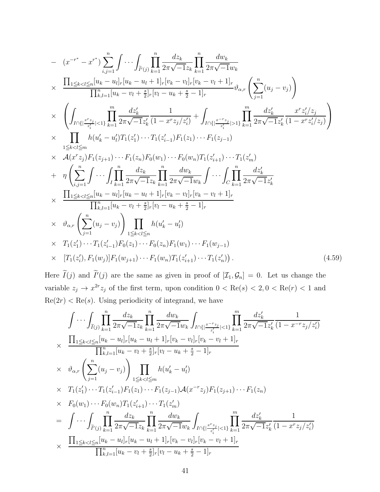$$
= (x^{-r^{*}} - x^{r^{*}}) \sum_{i,j=1}^{n} \int \cdots \int_{\tilde{I}^{r}(j)} \prod_{k=1}^{n} \frac{dz_{k}}{2\pi \sqrt{-1}z_{k}} \prod_{k=1}^{n} \frac{dw_{k}}{2\pi \sqrt{-1}w_{k}}
$$
  
\n
$$
\times \frac{\prod_{1 \leq k < l \leq n} [u_{k} - u_{l}]_{r}[u_{k} - u_{l} + 1]_{r}[v_{k} - v_{l}]_{r}[v_{k} - v_{l} + 1]_{r}}{\prod_{k,l=1}^{n} [u_{k} - v_{l} + \frac{s}{2}]_{r}[v_{l} - u_{k} + \frac{s}{2} - 1]_{r}} \vartheta_{\alpha,r} \left( \sum_{j=1}^{n} (u_{j} - v_{j}) \right)
$$
  
\n
$$
\times \left( \int_{I \cap \{\left| \frac{x^{r}z_{j}}{z_{i}^{j}} \right| < 1 \}} \prod_{k=1}^{m} \frac{dz_{k}^{j}}{2\pi \sqrt{-1}z_{k}^{j}} \frac{1}{(1 - x^{r}z_{j}/z_{i}^{j})} + \int_{I \cap \{\left| \frac{x^{r}z_{j}}{z_{i}^{j}} \right| > 1 \}} \prod_{k=1}^{m} \frac{dz_{k}^{j}}{2\pi \sqrt{-1}z_{k}^{j}} \frac{x^{r}z_{i}^{j}/z_{j}}{(1 - x^{r}z_{i}^{j}/z_{j})} \right)
$$
  
\n
$$
\times \prod_{1 \leq k < l \leq m} h(u_{k}^{l} - u_{l}^{l}) T_{1}(z_{1}^{l}) \cdots T_{1}(z_{l-1}^{l}) F_{1}(z_{1}) \cdots F_{1}(z_{j-1})
$$
  
\n
$$
\times A(x^{r}z_{j}) F_{1}(z_{j+1}) \cdots F_{1}(z_{n}) F_{0}(w_{1}) \cdots F_{0}(w_{n}) T_{1}(z_{i+1}^{l}) \cdots T_{1}(z_{m}^{l})
$$
  
\n
$$
+ \eta \left( \sum_{i,j=1}^{n} \int \cdots \int_{I} \prod_{k=1}^{n} \frac{dz_{k}}{2\pi \sqrt{-1}z_{k
$$

Here  $I(j)$  and  $I'(j)$  are the same as given in proof of  $[\mathcal{I}_1, \mathcal{G}_n] = 0$ . Let us change the variable  $z_j \to x^{2r} z_j$  of the first term, upon condition  $0 < \text{Re}(s) < 2, 0 < \text{Re}(r) < 1$  and  $Re(2r) < Re(s)$ . Using periodicity of integrand, we have

$$
\int \cdots \int_{\tilde{I}(j)} \prod_{k=1}^{n} \frac{dz_k}{2\pi \sqrt{-1}z_k} \prod_{k=1}^{n} \frac{dw_k}{2\pi \sqrt{-1}w_k} \int_{I \cap \{\left|\frac{x-z_j}{z_i}\right| < 1\}} \prod_{k=1}^{m} \frac{dz'_k}{2\pi \sqrt{-1}z'_k} \frac{1}{(1 - x^{-r}z_j/z'_i)}
$$
\n
$$
\times \frac{\prod_{1 \leq k < l \leq n} [u_k - u_l]_r [u_k - u_l + 1]_r [v_k - v_l]_r [v_k - v_l + 1]_r}{\prod_{k,l=1}^{n} [u_k - v_l + \frac{s}{2}]_r [v_l - u_k + \frac{s}{2} - 1]_r}
$$
\n
$$
\times \vartheta_{\alpha,r} \left( \sum_{j=1}^{n} (u_j - v_j) \right) \prod_{1 \leq k < l \leq m} h(u'_k - u'_l)
$$
\n
$$
\times T_1(z'_1) \cdots T_1(z'_{i-1}) F_1(z_1) \cdots F_1(z_{j-1}) \mathcal{A}(x^{-r}z_j) F_1(z_{j+1}) \cdots F_1(z_n)
$$
\n
$$
\times F_0(w_1) \cdots F_0(w_n) T_1(z'_{i+1}) \cdots T_1(z'_m)
$$
\n
$$
= \int \cdots \int_{\tilde{I}'(j)} \prod_{k=1}^{n} \frac{dz_k}{2\pi \sqrt{-1}z_k} \prod_{k=1}^{n} \frac{dw_k}{2\pi \sqrt{-1}w_k} \int_{I \cap \{\left|\frac{x^r z_j}{z'_i}\right| < 1\}} \prod_{k=1}^{m} \frac{dz'_k}{2\pi \sqrt{-1}z'_k} \frac{1}{(1 - x^r z_j/z'_i)}
$$
\n
$$
\times \frac{\prod_{1 \leq k < l \leq n} [u_k - u_l]_r [u_k - u_l + 1]_r [v_k - v_l]_r [v_k - v_l + 1]_r}{\prod_{k,l=1}^{n} [u_k - v_l + \frac{s}{2}]_r [v_l - u_k + \frac{s}{2} - 1]_r}
$$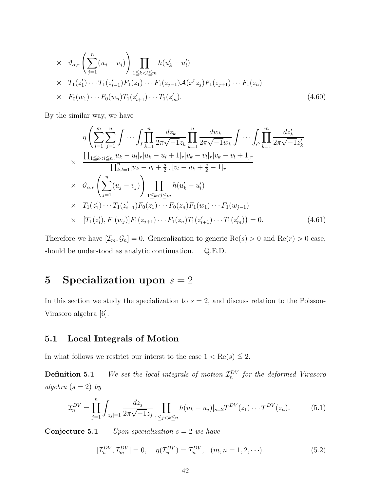$$
\times \quad \vartheta_{\alpha,r} \left( \sum_{j=1}^{n} (u_j - v_j) \right) \prod_{1 \le k < l \le m} h(u'_k - u'_l) \\
\times \quad T_1(z'_1) \cdots T_1(z'_{i-1}) F_1(z_1) \cdots F_1(z_{j-1}) \mathcal{A}(x^r z_j) F_1(z_{j+1}) \cdots F_1(z_n) \\
\times \quad F_0(w_1) \cdots F_0(w_n) T_1(z'_{i+1}) \cdots T_1(z'_m).
$$
\n
$$
(4.60)
$$

By the similar way, we have

$$
\eta \left( \sum_{i=1}^{m} \sum_{j=1}^{n} \int \cdots \int_{I} \prod_{k=1}^{n} \frac{dz_{k}}{2\pi \sqrt{-1}z_{k}} \prod_{k=1}^{n} \frac{dw_{k}}{2\pi \sqrt{-1}w_{k}} \int \cdots \int_{C} \prod_{k=1}^{m} \frac{dz'_{k}}{2\pi \sqrt{-1}z'_{k}}
$$
\n
$$
\times \frac{\prod_{1 \leq k < l \leq n} [u_{k} - u_{l}]_{r} [u_{k} - u_{l} + 1]_{r} [v_{k} - v_{l}]_{r} [v_{k} - v_{l} + 1]_{r}}{\prod_{k,l=1}^{n} [u_{k} - v_{l} + \frac{s}{2}]_{r} [v_{l} - u_{k} + \frac{s}{2} - 1]_{r}}
$$
\n
$$
\times \vartheta_{\alpha,r} \left( \sum_{j=1}^{n} (u_{j} - v_{j}) \right) \prod_{1 \leq k < l \leq m} h(u'_{k} - u'_{l})
$$
\n
$$
\times T_{1}(z'_{1}) \cdots T_{1}(z'_{i-1}) F_{0}(z_{1}) \cdots F_{0}(z_{n}) F_{1}(w_{1}) \cdots F_{1}(w_{j-1})
$$
\n
$$
\times [T_{1}(z'_{i}), F_{1}(w_{j})] F_{1}(z_{j+1}) \cdots F_{1}(z_{n}) T_{1}(z'_{i+1}) \cdots T_{1}(z'_{m})] = 0. \qquad (4.61)
$$

Therefore we have  $[\mathcal{I}_m, \mathcal{G}_n] = 0$ . Generalization to generic Re(s) > 0 and Re(r) > 0 case, should be understood as analytic continuation. Q.E.D.

## 5 Specialization upon  $s = 2$

In this section we study the specialization to  $s = 2$ , and discuss relation to the Poisson-Virasoro algebra [6].

### 5.1 Local Integrals of Motion

In what follows we restrict our interst to the case  $1 < \text{Re}(s) \leq 2$ .

**Definition 5.1** We set the local integrals of motion  $\mathcal{I}_n^{DV}$  for the deformed Virasoro algebra  $(s = 2)$  by

$$
\mathcal{I}_n^{DV} = \prod_{j=1}^n \int_{|z_j|=1} \frac{dz_j}{2\pi\sqrt{-1}z_j} \prod_{1 \le j < k \le n} h(u_k - u_j)|_{s=2} T^{DV}(z_1) \cdots T^{DV}(z_n). \tag{5.1}
$$

**Conjecture 5.1** Upon specialization  $s = 2$  we have

$$
[\mathcal{I}_n^{DV}, \mathcal{I}_m^{DV}] = 0, \quad \eta(\mathcal{I}_n^{DV}) = \mathcal{I}_n^{DV}, \quad (m, n = 1, 2, \cdots). \tag{5.2}
$$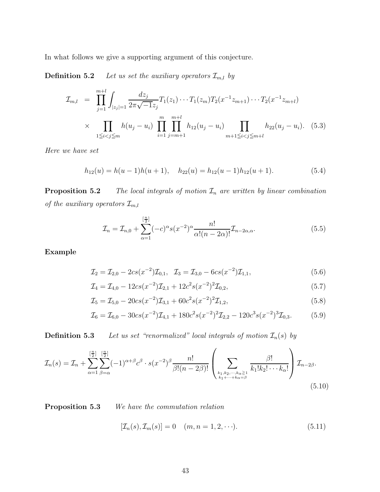In what follows we give a supporting argument of this conjecture.

**Definition 5.2** Let us set the auxiliary operators  $\mathcal{I}_{m,l}$  by

$$
\mathcal{I}_{m,l} = \prod_{j=1}^{m+l} \int_{|z_j|=1} \frac{dz_j}{2\pi\sqrt{-1}z_j} T_1(z_1) \cdots T_1(z_m) T_2(x^{-1}z_{m+1}) \cdots T_2(x^{-1}z_{m+l})
$$
\n
$$
\times \prod_{1 \le i < j \le m} h(u_j - u_i) \prod_{i=1}^{m} \prod_{j=m+1}^{m+l} h_{12}(u_j - u_i) \prod_{m+1 \le i < j \le m+l} h_{22}(u_j - u_i). \tag{5.3}
$$

Here we have set

$$
h_{12}(u) = h(u-1)h(u+1), \quad h_{22}(u) = h_{12}(u-1)h_{12}(u+1). \tag{5.4}
$$

**Proposition 5.2** The local integrals of motion  $\mathcal{I}_n$  are written by linear combination of the auxiliary operators  $\mathcal{I}_{m,l}$ 

$$
\mathcal{I}_n = \mathcal{I}_{n,0} + \sum_{\alpha=1}^{\left[\frac{n}{2}\right]} (-c)^{\alpha} s(x^{-2})^{\alpha} \frac{n!}{\alpha!(n-2\alpha)!} \mathcal{I}_{n-2\alpha,\alpha}.
$$
\n(5.5)

Example

$$
\mathcal{I}_2 = \mathcal{I}_{2,0} - 2cs(x^{-2})\mathcal{I}_{0,1}, \quad \mathcal{I}_3 = \mathcal{I}_{3,0} - 6cs(x^{-2})\mathcal{I}_{1,1},\tag{5.6}
$$

$$
\mathcal{I}_4 = \mathcal{I}_{4,0} - 12cs(x^{-2})\mathcal{I}_{2,1} + 12c^2s(x^{-2})^2\mathcal{I}_{0,2},\tag{5.7}
$$

$$
\mathcal{I}_5 = \mathcal{I}_{5,0} - 20cs(x^{-2})\mathcal{I}_{3,1} + 60c^2s(x^{-2})^2\mathcal{I}_{1,2},\tag{5.8}
$$

$$
\mathcal{I}_6 = \mathcal{I}_{6,0} - 30cs(x^{-2})\mathcal{I}_{4,1} + 180c^2s(x^{-2})^2\mathcal{I}_{2,2} - 120c^3s(x^{-2})^3\mathcal{I}_{0,3}.
$$
 (5.9)

**Definition 5.3** Let us set "renormalized" local integrals of motion  $\mathcal{I}_n(s)$  by

$$
\mathcal{I}_n(s) = \mathcal{I}_n + \sum_{\alpha=1}^{\left[\frac{n}{2}\right]} \sum_{\beta=\alpha}^{\left[\frac{n}{2}\right]} (-1)^{\alpha+\beta} c^{\beta} \cdot s(x^{-2})^{\beta} \frac{n!}{\beta!(n-2\beta)!} \left(\sum_{\substack{k_1,k_2,\dots,k_{\alpha}\geq 1\\k_1+\dots+k_{\alpha}=\beta}} \frac{\beta!}{k_1!k_2! \cdots k_{\alpha}!}\right) \mathcal{I}_{n-2\beta}.
$$
\n(5.10)

Proposition 5.3 We have the commutation relation

$$
[\mathcal{I}_n(s), \mathcal{I}_m(s)] = 0 \quad (m, n = 1, 2, \cdots). \tag{5.11}
$$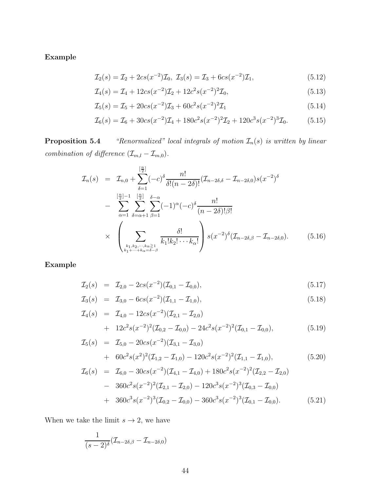Example

$$
\mathcal{I}_2(s) = \mathcal{I}_2 + 2cs(x^{-2})\mathcal{I}_0, \ \mathcal{I}_3(s) = \mathcal{I}_3 + 6cs(x^{-2})\mathcal{I}_1,\tag{5.12}
$$

$$
\mathcal{I}_4(s) = \mathcal{I}_4 + 12cs(x^{-2})\mathcal{I}_2 + 12c^2s(x^{-2})^2\mathcal{I}_0,\tag{5.13}
$$

$$
\mathcal{I}_5(s) = \mathcal{I}_5 + 20cs(x^{-2})\mathcal{I}_3 + 60c^2s(x^{-2})^2\mathcal{I}_1
$$
\n(5.14)

$$
\mathcal{I}_6(s) = \mathcal{I}_6 + 30cs(x^{-2})\mathcal{I}_4 + 180c^2s(x^{-2})^2\mathcal{I}_2 + 120c^3s(x^{-2})^3\mathcal{I}_0. \tag{5.15}
$$

**Proposition 5.4** "Renormalized" local integrals of motion  $\mathcal{I}_n(s)$  is written by linear combination of difference  $(\mathcal{I}_{m,l}-\mathcal{I}_{m,0})$ .

$$
\mathcal{I}_{n}(s) = \mathcal{I}_{n,0} + \sum_{\delta=1}^{\lfloor \frac{n}{2} \rfloor} (-c)^{\delta} \frac{n!}{\delta!(n-2\delta)!} (\mathcal{I}_{n-2\delta,\delta} - \mathcal{I}_{n-2\delta,0}) s(x^{-2})^{\delta}
$$

$$
- \sum_{\alpha=1}^{\lfloor \frac{n}{2} \rfloor - 1} \sum_{\delta=\alpha+1}^{\lfloor \frac{n}{2} \rfloor} \sum_{\beta=1}^{\delta-\alpha} (-1)^{\alpha} (-c)^{\delta} \frac{n!}{(n-2\delta)!\beta!}
$$

$$
\times \left( \sum_{\substack{k_1,k_2,\dots,k_{\alpha} \geq 1\\k_1+\dots+k_{\alpha}=\delta-\beta}} \frac{\delta!}{k_1!k_2! \cdots k_{\alpha}!} \right) s(x^{-2})^{\delta} (\mathcal{I}_{n-2\delta,\beta} - \mathcal{I}_{n-2\delta,0}). \tag{5.16}
$$

Example

$$
\mathcal{I}_2(s) = \mathcal{I}_{2,0} - 2cs(x^{-2})(\mathcal{I}_{0,1} - \mathcal{I}_{0,0}), \tag{5.17}
$$

$$
\mathcal{I}_3(s) = \mathcal{I}_{3,0} - 6cs(x^{-2})(\mathcal{I}_{1,1} - \mathcal{I}_{1,0}), \tag{5.18}
$$

$$
\mathcal{I}_4(s) = \mathcal{I}_{4,0} - 12cs(x^{-2})(\mathcal{I}_{2,1} - \mathcal{I}_{2,0}) \n+ 12c^2s(x^{-2})^2(\mathcal{I}_{0,2} - \mathcal{I}_{0,0}) - 24c^2s(x^{-2})^2(\mathcal{I}_{0,1} - \mathcal{I}_{0,0}),
$$
\n(5.19)

$$
\mathcal{I}_5(s) = \mathcal{I}_{5,0} - 20cs(x^{-2})(\mathcal{I}_{3,1} - \mathcal{I}_{3,0}) \n+ 60c^2s(x^2)^2(\mathcal{I}_{1,2} - \mathcal{I}_{1,0}) - 120c^2s(x^{-2})^2(\mathcal{I}_{1,1} - \mathcal{I}_{1,0}),
$$
\n(5.20)

$$
\mathcal{I}_{6}(s) = \mathcal{I}_{6,0} - 30cs(x^{-2})(\mathcal{I}_{4,1} - \mathcal{I}_{4,0}) + 180c^{2}s(x^{-2})^{2}(\mathcal{I}_{2,2} - \mathcal{I}_{2,0}) \n- 360c^{2}s(x^{-2})^{2}(\mathcal{I}_{2,1} - \mathcal{I}_{2,0}) - 120c^{3}s(x^{-2})^{3}(\mathcal{I}_{0,3} - \mathcal{I}_{0,0}) \n+ 360c^{3}s(x^{-2})^{3}(\mathcal{I}_{0,2} - \mathcal{I}_{0,0}) - 360c^{3}s(x^{-2})^{3}(\mathcal{I}_{0,1} - \mathcal{I}_{0,0}).
$$
\n(5.21)

When we take the limit  $s \to 2,$  we have

$$
\frac{1}{(s-2)^{\delta}}(\mathcal{I}_{n-2\delta,\beta}-\mathcal{I}_{n-2\delta,0})
$$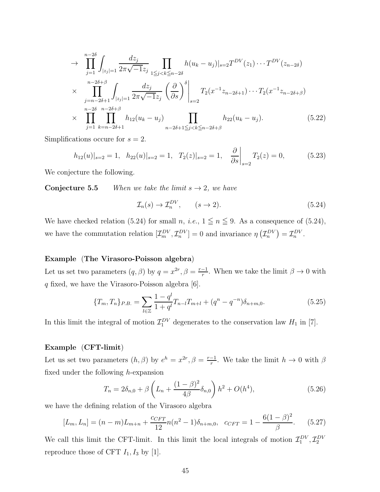$$
\rightarrow \prod_{j=1}^{n-2\delta} \int_{|z_j|=1} \frac{dz_j}{2\pi \sqrt{-1}z_j} \prod_{1 \le j < k \le n-2\delta} h(u_k - u_j)|_{s=2} T^{DV}(z_1) \cdots T^{DV}(z_{n-2\delta})
$$
\n
$$
\times \prod_{j=n-2\delta+1}^{n-2\delta+\beta} \int_{|z_j|=1} \frac{dz_j}{2\pi \sqrt{-1}z_j} \left(\frac{\partial}{\partial s}\right)^{\delta} \Big|_{s=2} T_2(x^{-1}z_{n-2\delta+1}) \cdots T_2(x^{-1}z_{n-2\delta+\beta})
$$
\n
$$
\times \prod_{j=1}^{n-2\delta} \prod_{k=n-2\delta+1}^{n-2\delta+\beta} h_{12}(u_k - u_j) \prod_{n-2\delta+1 \le j < k \le n-2\delta+\beta} h_{22}(u_k - u_j). \tag{5.22}
$$

Simplifications occure for  $s = 2$ .

$$
h_{12}(u)|_{s=2} = 1, \quad h_{22}(u)|_{s=2} = 1, \quad T_2(z)|_{s=2} = 1, \quad \frac{\partial}{\partial s}\bigg|_{s=2} T_2(z) = 0,\tag{5.23}
$$

We conjecture the following.

**Conjecture 5.5** When we take the limit  $s \rightarrow 2$ , we have

$$
\mathcal{I}_n(s) \to \mathcal{I}_n^{DV}, \qquad (s \to 2). \tag{5.24}
$$

We have checked relation (5.24) for small n, i.e.,  $1 \leq n \leq 9$ . As a consequence of (5.24), we have the commutation relation  $[\mathcal{I}_m^{DV}, \mathcal{I}_n^{DV}] = 0$  and invariance  $\eta\left(\mathcal{I}_n^{DV}\right) = \mathcal{I}_n^{DV}$ .

#### Example (The Virasoro-Poisson algebra)

Let us set two parameters  $(q, \beta)$  by  $q = x^{2r}, \beta = \frac{r-1}{r}$ . When we take the limit  $\beta \to 0$  with q fixed, we have the Virasoro-Poisson algebra [6].

$$
\{T_m, T_n\}_{P.B.} = \sum_{l \in \mathbb{Z}} \frac{1 - q^l}{1 + q^l} T_{n-l} T_{m+l} + (q^n - q^{-n}) \delta_{n+m,0}.
$$
 (5.25)

In this limit the integral of motion  $\mathcal{I}_1^{DV}$  degenerates to the conservation law  $H_1$  in [7].

#### Example (CFT-limit)

Let us set two parameters  $(h, \beta)$  by  $e^h = x^{2r}, \beta = \frac{r-1}{r}$ . We take the limit  $h \to 0$  with  $\beta$ fixed under the following  $h$ -expansion

$$
T_n = 2\delta_{n,0} + \beta \left( L_n + \frac{(1-\beta)^2}{4\beta} \delta_{n,0} \right) h^2 + O(h^4), \tag{5.26}
$$

we have the defining relation of the Virasoro algebra

$$
[L_m, L_n] = (n - m)L_{m+n} + \frac{c_{CFT}}{12}n(n^2 - 1)\delta_{n+m,0}, \quad c_{CFT} = 1 - \frac{6(1 - \beta)^2}{\beta}.
$$
 (5.27)

We call this limit the CFT-limit. In this limit the local integrals of motion  $\mathcal{I}_1^{DV}, \mathcal{I}_2^{DV}$ reproduce those of CFT  $I_1$ ,  $I_3$  by [1].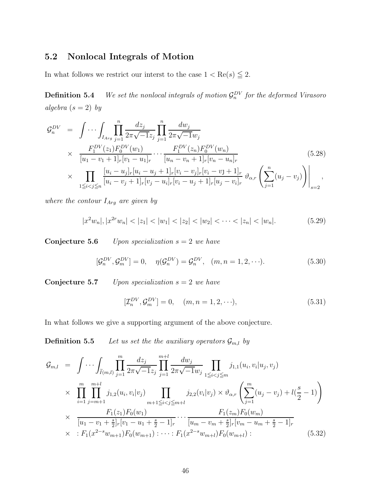### 5.2 Nonlocal Integrals of Motion

In what follows we restrict our interst to the case  $1 < \text{Re}(s) \leq 2$ .

**Definition 5.4** We set the nonlocal integrals of motion  $\mathcal{G}_n^{DV}$  for the deformed Virasoro algebra  $(s = 2)$  by

$$
\mathcal{G}_{n}^{DV} = \int \cdots \int_{I_{Arg}} \prod_{j=1}^{n} \frac{dz_{j}}{2\pi \sqrt{-1}z_{j}} \prod_{j=1}^{n} \frac{dw_{j}}{2\pi \sqrt{-1}w_{j}}
$$
\n
$$
\times \frac{F_{1}^{DV}(z_{1})F_{0}^{DV}(w_{1})}{[u_{1} - v_{1} + 1]_{r}[v_{1} - u_{1}]_{r}} \cdots \frac{F_{1}^{DV}(z_{n})F_{0}^{DV}(w_{n})}{[u_{n} - v_{n} + 1]_{r}[v_{n} - u_{n}]_{r}}
$$
\n
$$
\times \prod_{1 \leq i < j \leq n} \frac{[u_{i} - u_{j}]_{r}[u_{i} - u_{j} + 1]_{r}[v_{i} - v_{j}]_{r}[v_{i} - v_{j} + 1]_{r}}{[u_{i} - v_{j} + 1]_{r}[v_{j} - u_{i}]_{r}[v_{i} - u_{j} + 1]_{r}[u_{j} - v_{i}]_{r}} \vartheta_{\alpha,r} \left(\sum_{j=1}^{n} (u_{j} - v_{j})\right)\Big|_{s=2},
$$
\n(5.28)

where the contour  $I_{Arg}$  are given by

$$
|x^2w_n|, |x^{2r}w_n| < |z_1| < |w_1| < |z_2| < |w_2| < \cdots < |z_n| < |w_n|.\tag{5.29}
$$

**Conjecture 5.6** Upon specialization  $s = 2$  we have

$$
[\mathcal{G}_n^{DV}, \mathcal{G}_m^{DV}] = 0, \quad \eta(\mathcal{G}_n^{DV}) = \mathcal{G}_n^{DV}, \quad (m, n = 1, 2, \cdots). \tag{5.30}
$$

**Conjecture 5.7** Upon specialization  $s = 2$  we have

$$
[\mathcal{I}_n^{DV}, \mathcal{G}_m^{DV}] = 0, \quad (m, n = 1, 2, \cdots), \tag{5.31}
$$

In what follows we give a supporting argument of the above conjecture.

**Definition 5.5** Let us set the the auxiliary operators  $\mathcal{G}_{m,l}$  by

$$
\mathcal{G}_{m,l} = \int \cdots \int_{\widetilde{I}(m,l)} \prod_{j=1}^{m} \frac{dz_j}{2\pi \sqrt{-1}z_j} \prod_{j=1}^{m+l} \frac{dw_j}{2\pi \sqrt{-1}w_j} \prod_{1 \leq i < j \leq m} j_{1,1}(u_i, v_i | u_j, v_j) \times \prod_{i=1}^{m} \prod_{j=m+1}^{m+l} j_{1,2}(u_i, v_i | v_j) \prod_{m+1 \leq i < j \leq m+l} j_{2,2}(v_i | v_j) \times \vartheta_{\alpha,r} \left( \sum_{j=1}^{m} (u_j - v_j) + l(\frac{s}{2} - 1) \right) \times \frac{F_1(z_1)F_0(w_1)}{[u_1 - v_1 + \frac{s}{2}]_r[v_1 - u_1 + \frac{s}{2} - 1]_r} \cdots \frac{F_1(z_m)F_0(w_m)}{[u_m - v_m + \frac{s}{2}]_r[v_m - u_m + \frac{s}{2} - 1]_r} \times : F_1(x^{2-s}w_{m+1})F_0(w_{m+1}) : \cdots : F_1(x^{2-s}w_{m+l})F_0(w_{m+l}) : \qquad (5.32)
$$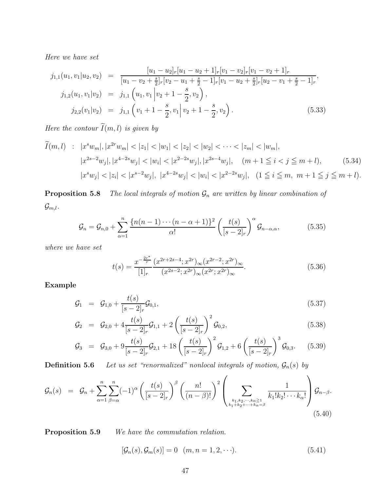Here we have set

$$
j_{1,1}(u_1, v_1|u_2, v_2) = \frac{[u_1 - u_2]_r [u_1 - u_2 + 1]_r [v_1 - v_2]_r [v_1 - v_2 + 1]_r}{[u_1 - v_2 + \frac{s}{2}]_r [v_2 - u_1 + \frac{s}{2} - 1]_r [v_1 - u_2 + \frac{s}{2}]_r [u_2 - v_1 + \frac{s}{2} - 1]_r},
$$
  
\n
$$
j_{1,2}(u_1, v_1|v_2) = j_{1,1} (u_1, v_1|v_2 + 1 - \frac{s}{2}, v_2),
$$
  
\n
$$
j_{2,2}(v_1|v_2) = j_{1,1} (v_1 + 1 - \frac{s}{2}, v_1|v_2 + 1 - \frac{s}{2}, v_2).
$$
\n(5.33)

Here the contour  $\widetilde{I}(m, l)$  is given by

$$
\widetilde{I}(m,l) \quad : \quad |x^s w_m|, |x^{2r} w_m| < |z_1| < |w_1| < |z_2| < |w_2| < \cdots < |z_m| < |w_m|, \\
 |x^{2s-2} w_j|, |x^{4-2s} w_j| < |w_i| < |x^{2-2s} w_j|, |x^{2s-4} w_j|, \quad (m+1 \le i < j \le m+1), \\
 |x^s w_j| < |z_i| < |x^{s-2} w_j|, |x^{4-2s} w_j| < |w_i| < |x^{2-2s} w_j|, \quad (1 \le i \le m, \ m+1 \le j \le m+l).
$$
\n
$$
(5.34)
$$

**Proposition 5.8** The local integrals of motion  $\mathcal{G}_n$  are written by linear combination of  $\mathcal{G}_{m,l}$ .

$$
\mathcal{G}_n = \mathcal{G}_{n,0} + \sum_{\alpha=1}^n \frac{\{n(n-1)\cdots(n-\alpha+1)\}^2}{\alpha!} \left(\frac{t(s)}{[s-2]_r}\right)^{\alpha} \mathcal{G}_{n-\alpha,\alpha},\tag{5.35}
$$

where we have set

$$
t(s) = \frac{x^{-\frac{2r^*}{r}}}{[1]_r} \frac{(x^{2r+2s-4}; x^{2r})_\infty (x^{2r-2}; x^{2r})_\infty}{(x^{2s-2}; x^{2r})_\infty (x^{2r}; x^{2r})_\infty}.
$$
\n
$$
(5.36)
$$

Example

$$
\mathcal{G}_1 = \mathcal{G}_{1,0} + \frac{t(s)}{[s-2]_r} \mathcal{G}_{0,1},\tag{5.37}
$$

$$
\mathcal{G}_2 = \mathcal{G}_{2,0} + 4 \frac{t(s)}{[s-2]_r} \mathcal{G}_{1,1} + 2 \left( \frac{t(s)}{[s-2]_r} \right)^2 \mathcal{G}_{0,2}, \tag{5.38}
$$

$$
\mathcal{G}_3 = \mathcal{G}_{3,0} + 9 \frac{t(s)}{[s-2]_r} \mathcal{G}_{2,1} + 18 \left( \frac{t(s)}{[s-2]_r} \right)^2 \mathcal{G}_{1,2} + 6 \left( \frac{t(s)}{[s-2]_r} \right)^3 \mathcal{G}_{0,3}. \tag{5.39}
$$

**Definition 5.6** Let us set "renormalized" nonlocal integrals of motion,  $\mathcal{G}_n(s)$  by

$$
\mathcal{G}_n(s) = \mathcal{G}_n + \sum_{\alpha=1}^n \sum_{\beta=\alpha}^n (-1)^{\alpha} \left( \frac{t(s)}{[s-2]_r} \right)^{\beta} \left( \frac{n!}{(n-\beta)!} \right)^2 \left( \sum_{\substack{k_1,k_2,\dots,k_{\alpha} \ge 1 \\ k_1+k_2+\dots+k_{\alpha}=\beta}} \frac{1}{k_1! k_2! \dots k_{\alpha}!} \right) \mathcal{G}_{n-\beta}.
$$
\n(5.40)

Proposition 5.9 We have the commutation relation.

$$
[\mathcal{G}_n(s), \mathcal{G}_m(s)] = 0 \quad (m, n = 1, 2, \cdots). \tag{5.41}
$$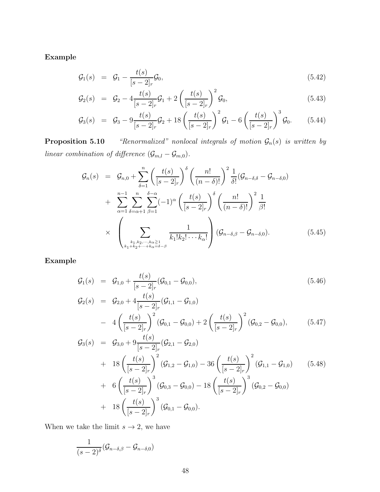Example

$$
\mathcal{G}_1(s) = \mathcal{G}_1 - \frac{t(s)}{[s-2]_r} \mathcal{G}_0, \tag{5.42}
$$

$$
\mathcal{G}_2(s) = \mathcal{G}_2 - 4 \frac{t(s)}{[s-2]_r} \mathcal{G}_1 + 2 \left( \frac{t(s)}{[s-2]_r} \right)^2 \mathcal{G}_0, \tag{5.43}
$$

$$
\mathcal{G}_3(s) = \mathcal{G}_3 - 9 \frac{t(s)}{[s-2]_r} \mathcal{G}_2 + 18 \left( \frac{t(s)}{[s-2]_r} \right)^2 \mathcal{G}_1 - 6 \left( \frac{t(s)}{[s-2]_r} \right)^3 \mathcal{G}_0.
$$
 (5.44)

**Proposition 5.10** "Renormalized" nonlocal integrals of motion  $\mathcal{G}_n(s)$  is written by linear combination of difference  $(\mathcal{G}_{m,l} - \mathcal{G}_{m,0})$ .

$$
\mathcal{G}_n(s) = \mathcal{G}_{n,0} + \sum_{\delta=1}^n \left( \frac{t(s)}{[s-2]_r} \right)^{\delta} \left( \frac{n!}{(n-\delta)!} \right)^2 \frac{1}{\delta!} (\mathcal{G}_{n-\delta,\delta} - \mathcal{G}_{n-\delta,0})
$$

$$
+ \sum_{\alpha=1}^{n-1} \sum_{\delta=\alpha+1}^n \sum_{\beta=1}^{\delta-\alpha} (-1)^{\alpha} \left( \frac{t(s)}{[s-2]_r} \right)^{\delta} \left( \frac{n!}{(n-\delta)!} \right)^2 \frac{1}{\beta!}
$$

$$
\times \left( \sum_{\substack{k_1,k_2,\dots,k_{\alpha} \geq 1\\k_1+k_2+\dots+k_{\alpha}=\delta-\beta}} \frac{1}{k_1!k_2! \cdots k_{\alpha}!} \right) (\mathcal{G}_{n-\delta,\beta} - \mathcal{G}_{n-\delta,0}). \tag{5.45}
$$

Example

$$
\mathcal{G}_1(s) = \mathcal{G}_{1,0} + \frac{t(s)}{[s-2]_r} (\mathcal{G}_{0,1} - \mathcal{G}_{0,0}), \qquad (5.46)
$$

$$
\mathcal{G}_2(s) = \mathcal{G}_{2,0} + 4 \frac{t(s)}{[s-2]_r} (\mathcal{G}_{1,1} - \mathcal{G}_{1,0}) \n- 4 \left( \frac{t(s)}{[s-2]_r} \right)^2 (\mathcal{G}_{0,1} - \mathcal{G}_{0,0}) + 2 \left( \frac{t(s)}{[s-2]_r} \right)^2 (\mathcal{G}_{0,2} - \mathcal{G}_{0,0}),
$$
\n(5.47)

$$
G_3(s) = G_{3,0} + 9 \frac{t(s)}{[s-2]_r} (G_{2,1} - G_{2,0})
$$
  
+  $18 \left( \frac{t(s)}{[s-2]_r} \right)^2 (G_{1,2} - G_{1,0}) - 36 \left( \frac{t(s)}{[s-2]_r} \right)^2 (G_{1,1} - G_{1,0})$  (5.48)  
+  $6 \left( \frac{t(s)}{[s-2]_r} \right)^3 (G_{0,3} - G_{0,0}) - 18 \left( \frac{t(s)}{[s-2]_r} \right)^3 (G_{0,2} - G_{0,0})$   
+  $18 \left( \frac{t(s)}{[s-2]_r} \right)^3 (G_{0,1} - G_{0,0}).$ 

When we take the limit  $s\to 2,$  we have

$$
\frac{1}{(s-2)^{\delta}}(\mathcal{G}_{n-\delta,\beta}-\mathcal{G}_{n-\delta,0})
$$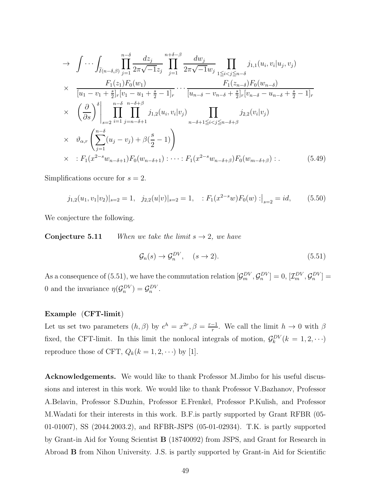$$
\rightarrow \int \cdots \int_{\tilde{I}(n-\delta,\beta)} \prod_{j=1}^{n-\delta} \frac{dz_j}{2\pi \sqrt{-1}z_j} \prod_{j=1}^{n+\delta-\beta} \frac{dw_j}{2\pi \sqrt{-1}w_j} \prod_{1 \leq i < j \leq n-\delta} j_{1,1}(u_i, v_i | u_j, v_j) \times \frac{F_1(z_1)F_0(w_1)}{[u_1 - v_1 + \frac{s}{2}]_r[v_1 - u_1 + \frac{s}{2} - 1]_r} \cdots \frac{F_1(z_{n-\delta})F_0(w_{n-\delta})}{[u_{n-\delta} - v_{n-\delta} + \frac{s}{2}]_r[v_{n-\delta} - u_{n-\delta} + \frac{s}{2} - 1]_r} \times \left(\frac{\partial}{\partial s}\right)^{\delta} \Big|_{s=2} \prod_{i=1}^{n-\delta} \prod_{j=n-\delta+1}^{n-\delta+\beta} j_{1,2}(u_i, v_i | v_j) \prod_{n-\delta+1 \leq i < j \leq n-\delta+\beta} j_{2,2}(v_i | v_j) \times \vartheta_{\alpha,r} \left(\sum_{j=1}^{n-\delta} (u_j - v_j) + \beta(\frac{s}{2} - 1)\right) \times : F_1(x^{2-s}w_{n-\delta+1})F_0(w_{n-\delta+1}) \cdots : F_1(x^{2-s}w_{n-\delta+\beta})F_0(w_{m-\delta+\beta}) : \qquad (5.49)
$$

Simplifications occure for  $s = 2$ .

$$
j_{1,2}(u_1, v_1|v_2)|_{s=2} = 1, \quad j_{2,2}(u|v)|_{s=2} = 1, \quad : F_1(x^{2-s}w)F_0(w) : \big|_{s=2} = id, \tag{5.50}
$$

We conjecture the following.

**Conjecture 5.11** When we take the limit  $s \rightarrow 2$ , we have

$$
\mathcal{G}_n(s) \to \mathcal{G}_n^{DV}, \quad (s \to 2). \tag{5.51}
$$

As a consequence of (5.51), we have the commutation relation  $[\mathcal{G}_m^{DV}, \mathcal{G}_n^{DV}] = 0$ ,  $[\mathcal{I}_m^{DV}, \mathcal{G}_n^{DV}] =$ 0 and the invariance  $\eta(\mathcal{G}_n^{DV}) = \mathcal{G}_n^{DV}$ .

#### Example (CFT-limit)

Let us set two parameters  $(h, \beta)$  by  $e^h = x^{2r}, \beta = \frac{r-1}{r}$ . We call the limit  $h \to 0$  with  $\beta$ fixed, the CFT-limit. In this limit the nonlocal integrals of motion,  $\mathcal{G}_k^{DV}(k=1,2,\cdots)$ reproduce those of CFT,  $Q_k(k = 1, 2, \cdots)$  by [1].

Acknowledgements. We would like to thank Professor M.Jimbo for his useful discussions and interest in this work. We would like to thank Professor V.Bazhanov, Professor A.Belavin, Professor S.Duzhin, Professor E.Frenkel, Professor P.Kulish, and Professor M.Wadati for their interests in this work. B.F.is partly supported by Grant RFBR (05- 01-01007), SS (2044.2003.2), and RFBR-JSPS (05-01-02934). T.K. is partly supported by Grant-in Aid for Young Scientist B (18740092) from JSPS, and Grant for Research in Abroad B from Nihon University. J.S. is partly supported by Grant-in Aid for Scientific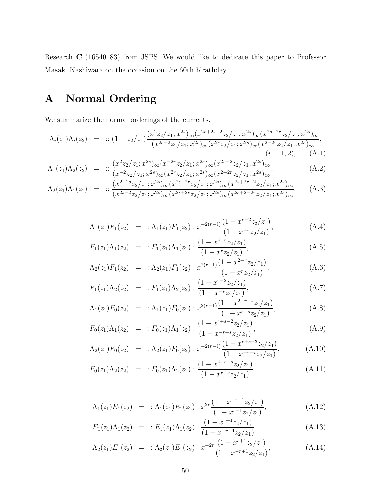Research C (16540183) from JSPS. We would like to dedicate this paper to Professor Masaki Kashiwara on the occasion on the 60th birathday.

## A Normal Ordering

We summarize the normal orderings of the currents.

$$
\Lambda_i(z_1)\Lambda_i(z_2) = :: (1-z_2/z_1) \frac{(x^2z_2/z_1; x^{2s})_\infty (x^{2r+2s-2}z_2/z_1; x^{2s})_\infty (x^{2s-2r}z_2/z_1; x^{2s})_\infty}{(x^{2s-2}z_2/z_1; x^{2s})_\infty (x^{2r}z_2/z_1; x^{2s})_\infty (x^{2-2r}z_2/z_1; x^{2s})_\infty},
$$
\n
$$
(i = 1, 2), \quad (A.1)
$$

$$
\Lambda_1(z_1)\Lambda_2(z_2) = :: \frac{(x^2z_2/z_1; x^{2s})_{\infty}(x^{-2r}z_2/z_1; x^{2s})_{\infty}(x^{2r-2}z_2/z_1; x^{2s})_{\infty}}{(x^{-2}z_2/z_1; x^{2s})_{\infty}(x^{2r}z_2/z_1; x^{2s})_{\infty}(x^{2-2r}z_2/z_1; x^{2s})_{\infty}},
$$
\n(A.2)

$$
\Lambda_2(z_1)\Lambda_1(z_2) = \; \; \cdots \; \frac{(x^{2+2s}z_2/z_1; x^{2s})_\infty (x^{2s-2r}z_2/z_1; x^{2s})_\infty (x^{2s+2r-2}z_2/z_1; x^{2s})_\infty}{(x^{2s-2}z_2/z_1; x^{2s})_\infty (x^{2s+2r}z_2/z_1; x^{2s})_\infty (x^{2s+2-2r}z_2/z_1; x^{2s})_\infty}.\tag{A.3}
$$

$$
\Lambda_1(z_1)F_1(z_2) = \Lambda_1(z_1)F_1(z_2) : x^{-2(r-1)} \frac{(1 - x^{r-2}z_2/z_1)}{(1 - x^{-r}z_2/z_1)},
$$
\n(A.4)

$$
F_1(z_1)\Lambda_1(z_2) = : F_1(z_1)\Lambda_1(z_2) : \frac{(1 - x^{2-r}z_2/z_1)}{(1 - x^rz_2/z_1)},
$$
\n(A.5)

$$
\Lambda_2(z_1)F_1(z_2) = \Lambda_2(z_1)F_1(z_2) : x^{2(r-1)} \frac{(1-x^{2-r}z_2/z_1)}{(1-x^r z_2/z_1)},
$$
\n(A.6)

$$
F_1(z_1)\Lambda_2(z_2) = : F_1(z_1)\Lambda_2(z_2) : \frac{(1 - x^{r-2}z_2/z_1)}{(1 - x^{-r}z_2/z_1)},
$$
\n(A.7)

$$
\Lambda_1(z_1)F_0(z_2) = \Lambda_1(z_1)F_0(z_2) : x^{2(r-1)} \frac{(1-x^{2-r-s}z_2/z_1)}{(1-x^{r-s}z_2/z_1)}, \tag{A.8}
$$

$$
F_0(z_1)\Lambda_1(z_2) = : F_0(z_1)\Lambda_1(z_2) : \frac{(1 - x^{r+s-2}z_2/z_1)}{(1 - x^{-r+s}z_2/z_1)},
$$
\n(A.9)

$$
\Lambda_2(z_1)F_0(z_2) = \Lambda_2(z_1)F_0(z_2) : x^{-2(r-1)} \frac{(1 - x^{r+s-2}z_2/z_1)}{(1 - x^{-r+s}z_2/z_1)},
$$
\n(A.10)

$$
F_0(z_1)\Lambda_2(z_2) = : F_0(z_1)\Lambda_2(z_2) : \frac{(1-x^{2-r-s}z_2/z_1)}{(1-x^{r-s}z_2/z_1)}.
$$
\n(A.11)

$$
\Lambda_1(z_1)E_1(z_2) = \; : \Lambda_1(z_1)E_1(z_2) : x^{2r} \frac{(1 - x^{-r-1}z_2/z_1)}{(1 - x^{r-1}z_2/z_1)}, \tag{A.12}
$$

$$
E_1(z_1)\Lambda_1(z_2) = : E_1(z_1)\Lambda_1(z_2) : \frac{(1 - x^{r+1}z_2/z_1)}{(1 - x^{-r+1}z_2/z_1)},
$$
\n(A.13)

$$
\Lambda_2(z_1)E_1(z_2) = \; : \Lambda_2(z_1)E_1(z_2) : x^{-2r} \frac{(1-x^{r+1}z_2/z_1)}{(1-x^{-r+1}z_2/z_1)}, \tag{A.14}
$$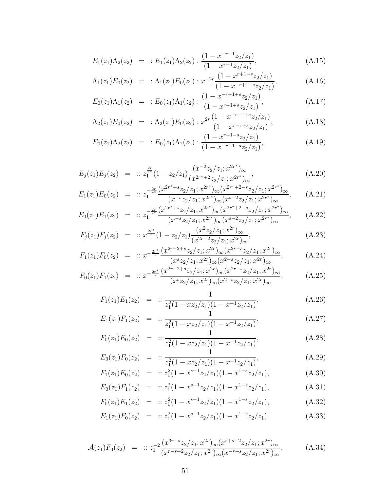$$
E_1(z_1)\Lambda_2(z_2) = : E_1(z_1)\Lambda_2(z_2) : \frac{(1 - x^{-r-1}z_2/z_1)}{(1 - x^{r-1}z_2/z_1)},
$$
\n(A.15)

$$
\Lambda_1(z_1)E_0(z_2) = \; : \Lambda_1(z_1)E_0(z_2) : x^{-2r} \frac{(1-x^{r+1-s}z_2/z_1)}{(1-x^{-r+1-s}z_2/z_1)}, \tag{A.16}
$$

$$
E_0(z_1)\Lambda_1(z_2) = : E_0(z_1)\Lambda_1(z_2) : \frac{(1 - x^{-r - 1 + s}z_2/z_1)}{(1 - x^{r - 1 + s}z_2/z_1)},
$$
(A.17)

$$
\Lambda_2(z_1)E_0(z_2) = \; : \Lambda_2(z_1)E_0(z_2) : x^{2r} \frac{(1-x^{-r-1+s}z_2/z_1)}{(1-x^{r-1+s}z_2/z_1)}, \tag{A.18}
$$

$$
E_0(z_1)\Lambda_2(z_2) = : E_0(z_1)\Lambda_2(z_2) : \frac{(1 - x^{r+1-s}z_2/z_1)}{(1 - x^{-r+1-s}z_2/z_1)},
$$
\n(A.19)

$$
E_j(z_1)E_j(z_2) = :: z_1^{\frac{2r}{r^*}}(1-z_2/z_1)\frac{(x^{-2}z_2/z_1;x^{2r^*})_{\infty}}{(x^{2r^*+2}z_2/z_1;x^{2r^*})_{\infty}},
$$
\n(A.20)

$$
E_1(z_1)E_0(z_2) = :: z_1^{-\frac{2r}{r^*}} \frac{(x^{2r^*+s}z_2/z_1; x^{2r^*})_\infty (x^{2r^*+2-s}z_2/z_1; x^{2r^*})_\infty}{(x^{-s}z_2/z_1; x^{2r^*})_\infty (x^{s-2}z_2/z_1; x^{2r^*})_\infty}, \qquad (A.21)
$$

$$
E_0(z_1)E_1(z_2) = :: z_1^{-\frac{2r}{r^*}} \frac{(x^{2r^*+s}z_2/z_1; x^{2r^*})_\infty (x^{2r^*+2-s}z_2/z_1; x^{2r^*})_\infty}{(x^{-s}z_2/z_1; x^{2r^*})_\infty (x^{s-2}z_2/z_1; x^{2r^*})_\infty}, \qquad (A.22)
$$

$$
F_j(z_1)F_j(z_2) = :: x^{\frac{2r^*}{r}}(1-z_2/z_1)\frac{(x^2z_2/z_1; x^{2r})_{\infty}}{(x^{2r-2}z_2/z_1; x^{2r})_{\infty}},
$$
\n(A.23)

$$
F_1(z_1)F_0(z_2) = :: x^{-\frac{2r^*}{r}} \frac{(x^{2r-2+s}z_2/z_1; x^{2r})_\infty (x^{2r-s}z_2/z_1; x^{2r})_\infty}{(x^s z_2/z_1; x^{2r})_\infty (x^{2-s}z_2/z_1; x^{2r})_\infty},
$$
(A.24)

$$
F_0(z_1)F_1(z_2) = :: x^{-\frac{2r^*}{r}} \frac{(x^{2r-2+s}z_2/z_1; x^{2r})_\infty (x^{2r-s}z_2/z_1; x^{2r})_\infty}{(x^s z_2/z_1; x^{2r})_\infty (x^{2-s}z_2/z_1; x^{2r})_\infty},
$$
(A.25)

$$
F_1(z_1)E_1(z_2) = :: \frac{1}{z_1^2(1 - xz_2/z_1)(1 - x^{-1}z_2/z_1)},
$$
\n(A.26)

$$
E_1(z_1)F_1(z_2) = :: \frac{1}{z_1^2(1 - xz_2/z_1)(1 - x^{-1}z_2/z_1)},
$$
\n(A.27)

$$
F_0(z_1)E_0(z_2) = :: \frac{1}{z_1^2(1 - xz_2/z_1)(1 - x^{-1}z_2/z_1)},
$$
\n(A.28)

$$
E_0(z_1)F_0(z_2) = :: \frac{1}{z_1^2(1 - xz_2/z_1)(1 - x^{-1}z_2/z_1)},
$$
\n(A.29)

$$
F_1(z_1)E_0(z_2) = :: z_1^2(1 - x^{s-1}z_2/z_1)(1 - x^{1-s}z_2/z_1),
$$
\n(A.30)  
\n
$$
F_1(z_1)F_2(z_2) = :: z_1^2(1 - x^{s-1}z_2/z_1)(1 - x^{1-s}z_2/z_1),
$$
\n(A.31)

$$
E_0(z_1)F_1(z_2) = :: z_1^2(1 - x^{s-1}z_2/z_1)(1 - x^{1-s}z_2/z_1),
$$
\n(A.31)

$$
F_0(z_1)E_1(z_2) = :: z_1^2(1 - x^{s-1}z_2/z_1)(1 - x^{1-s}z_2/z_1), \qquad (A.32)
$$

$$
E_1(z_1)F_0(z_2) = :: z_1^2(1 - x^{s-1}z_2/z_1)(1 - x^{1-s}z_2/z_1).
$$
 (A.33)

$$
\mathcal{A}(z_1)F_0(z_2) = :: z_1^{-2} \frac{(x^{3r-s}z_2/z_1; x^{2r})_{\infty}(x^{r+s-2}z_2/z_1; x^{2r})_{\infty}}{(x^{r-s+2}z_2/z_1; x^{2r})_{\infty}(x^{-r+s}z_2/z_1; x^{2r})_{\infty}},
$$
\n(A.34)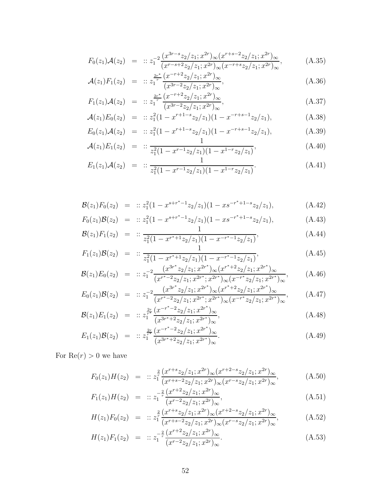$$
F_0(z_1)\mathcal{A}(z_2) = :: z_1^{-2} \frac{(x^{3r-s} z_2/z_1; x^{2r})_\infty (x^{r+s-2} z_2/z_1; x^{2r})_\infty}{(x^{r-s+2} z_2/z_1; x^{2r})_\infty (x^{-r+s} z_2/z_1; x^{2r})_\infty},
$$
(A.35)

$$
\mathcal{A}(z_1)F_1(z_2) = :: z_1^{\frac{2r^*}{r}} \frac{(x^{-r+2}z_2/z_1; x^{2r})_{\infty}}{(x^{3r-2}z_2/z_1; x^{2r})_{\infty}},
$$
\n(A.36)

$$
F_1(z_1)\mathcal{A}(z_2) = :: z_1^{\frac{2r^*}{r}} \frac{(x^{-r+2}z_2/z_1; x^{2r})_{\infty}}{(x^{3r-2}z_2/z_1; x^{2r})_{\infty}},
$$
\n(A.37)

$$
\mathcal{A}(z_1)E_0(z_2) = :: z_1^2(1 - x^{r+1-s}z_2/z_1)(1 - x^{-r+s-1}z_2/z_1), \tag{A.38}
$$

$$
E_0(z_1)\mathcal{A}(z_2) = :: z_1^2(1 - x^{r+1-s}z_2/z_1)(1 - x^{-r+s-1}z_2/z_1),
$$
\n(A.39)

$$
\mathcal{A}(z_1)E_1(z_2) = :: \frac{1}{z_1^2(1 - x^{r-1}z_2/z_1)(1 - x^{1-r}z_2/z_1)},
$$
\n(A.40)

$$
E_1(z_1)\mathcal{A}(z_2) = :: \frac{1}{z_1^2(1 - x^{r-1}z_2/z_1)(1 - x^{1-r}z_2/z_1)}.
$$
 (A.41)

$$
\mathcal{B}(z_1)F_0(z_2) = :: z_1^2(1 - x^{s+r^* - 1}z_2/z_1)(1 - x s^{-r^* + 1 - s}z_2/z_1), \tag{A.42}
$$

$$
F_0(z_1)\mathcal{B}(z_2) = :: z_1^2(1 - x^{s+r^* - 1}z_2/z_1)(1 - x s^{-r^* + 1 - s}z_2/z_1),
$$
\n(A.43)

$$
\mathcal{B}(z_1)F_1(z_2) = :: \frac{1}{z_1^2(1 - x^{r^*+1}z_2/z_1)(1 - x^{-r^*-1}z_2/z_1)},
$$
\n(A.44)

$$
F_1(z_1)\mathcal{B}(z_2) = :: \frac{1}{z_1^2(1 - x^{r^*+1}z_2/z_1)(1 - x^{-r^*-1}z_2/z_1)},
$$
\n
$$
(A.45)
$$
\n
$$
(x_1^{3r^*}z_2/z_1x_2^{r^*}) \quad (x_1^{r^*+2}z_2/z_1x_2^{r^*})
$$

$$
\mathcal{B}(z_1)E_0(z_2) = :: z_1^{-2} \frac{(x^{3r^*}z_2/z_1; x^{2r^*})_\infty(x^{r^*+2}z_2/z_1; x^{2r^*})_\infty}{(x^{r^*-2}z_2/z_1; x^{2r^*}; x^{2r^*})_\infty(x^{-r^*}z_2/z_1; x^{2r^*})_\infty}, \qquad (A.46)
$$

$$
E_0(z_1)\mathcal{B}(z_2) = :: z_1^{-2} \frac{(x^{3r^*} z_2/z_1; x^{2r^*})_\infty (x^{r^*+2} z_2/z_1; x^{2r^*})_\infty}{(x^{r^*-2} z_2/z_1; x^{2r^*}; x^{2r^*})_\infty (x^{-r^*} z_2/z_1; x^{2r^*})_\infty}, \qquad (A.47)
$$

$$
\mathcal{B}(z_1)E_1(z_2) = :: z_1^{\frac{2r}{r^*}} \frac{(x^{-r^*-2}z_2/z_1; x^{2r^*})_{\infty}}{(x^{3r^*+2}z_2/z_1; x^{2r^*})_{\infty}},
$$
\n(A.48)

$$
E_1(z_1)\mathcal{B}(z_2) = :: z_1^{\frac{2r}{r^*}} \frac{(x^{-r^*-2}z_2/z_1; x^{2r^*})_{\infty}}{(x^{3r^*+2}z_2/z_1; x^{2r^*})_{\infty}}.
$$
\n(A.49)

For  $Re(r) > 0$  we have

$$
F_0(z_1)H(z_2) = :: z_1^2 \frac{(x^{r+s}z_2/z_1; x^{2r})_{\infty}(x^{r+2-s}z_2/z_1; x^{2r})_{\infty}}{(x^{r+s-2}z_2/z_1; x^{2r})_{\infty}(x^{r-s}z_2/z_1; x^{2r})_{\infty}},
$$
(A.50)

$$
F_1(z_1)H(z_2) = :: z_1^{-\frac{2}{r}} \frac{(x^{r+2}z_2/z_1; x^{2r})_{\infty}}{(x^{r-2}z_2/z_1; x^{2r})_{\infty}},
$$
\n(A.51)

$$
H(z_1)F_0(z_2) = :: z_1^{\frac{2}{r}} \frac{(x^{r+s}z_2/z_1; x^{2r})_\infty (x^{r+2-s}z_2/z_1; x^{2r})_\infty}{(x^{r+s-2}z_2/z_1; x^{2r})_\infty (x^{r-s}z_2/z_1; x^{2r})_\infty},
$$
\n(A.52)

$$
H(z_1)F_1(z_2) = :: z_1^{-\frac{2}{r}} \frac{(x^{r+2}z_2/z_1; x^{2r})_{\infty}}{(x^{r-2}z_2/z_1; x^{2r})_{\infty}}.
$$
\n(A.53)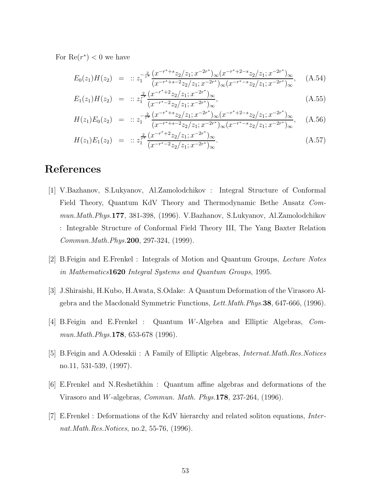For  $\text{Re}(r^*)$  < 0 we have

$$
E_0(z_1)H(z_2) = :: z_1^{-\frac{2}{r^*}} \frac{(x^{-r^*+s}z_2/z_1; x^{-2r^*})_\infty (x^{-r^*+2-s}z_2/z_1; x^{-2r^*})_\infty}{(x^{-r^*+s-2}z_2/z_1; x^{-2r^*})_\infty (x^{-r^*-s}z_2/z_1; x^{-2r^*})_\infty}, \quad (A.54)
$$

$$
E_1(z_1)H(z_2) = :: z_1^{\frac{2}{r^*}} \frac{(x^{-r^*+2}z_2/z_1; x^{-2r^*})_{\infty}}{(x^{-r^*-2}z_2/z_1; x^{-2r^*})_{\infty}},
$$
\n(A.55)

$$
H(z_1)E_0(z_2) = :: z_1^{-\frac{2}{r^*}} \frac{(x^{-r^*+s}z_2/z_1; x^{-2r^*})_\infty (x^{-r^*+2-s}z_2/z_1; x^{-2r^*})_\infty}{(x^{-r^*+s-2}z_2/z_1; x^{-2r^*})_\infty (x^{-r^*-s}z_2/z_1; x^{-2r^*})_\infty}, \quad (A.56)
$$

$$
H(z_1)E_1(z_2) = :: z_1^{\frac{2}{r^*}} \frac{(x^{-r^*+2}z_2/z_1; x^{-2r^*})_{\infty}}{(x^{-r^*-2}z_2/z_1; x^{-2r^*})_{\infty}}.
$$
\n(A.57)

## References

- [1] V.Bazhanov, S.Lukyanov, Al.Zamolodchikov : Integral Structure of Conformal Field Theory, Quantum KdV Theory and Thermodynamic Bethe Ansatz Commun.Math.Phys.177, 381-398, (1996). V.Bazhanov, S.Lukyanov, Al.Zamolodchikov : Integrable Structure of Conformal Field Theory III, The Yang Baxter Relation Commun.Math.Phys.200, 297-324, (1999).
- [2] B.Feigin and E.Frenkel : Integrals of Motion and Quantum Groups, Lecture Notes in Mathematics1620 Integral Systems and Quantum Groups, 1995.
- [3] J.Shiraishi, H.Kubo, H.Awata, S.Odake: A Quantum Deformation of the Virasoro Algebra and the Macdonald Symmetric Functions, Lett.Math.Phys.38, 647-666, (1996).
- [4] B.Feigin and E.Frenkel : Quantum W-Algebra and Elliptic Algebras, Commun. Math. Phys. **178**, 653-678 (1996).
- [5] B.Feigin and A.Odesskii : A Family of Elliptic Algebras, Internat.Math.Res.Notices no.11, 531-539, (1997).
- [6] E.Frenkel and N.Reshetikhin : Quantum affine algebras and deformations of the Virasoro and W-algebras, Commun. Math. Phys.178, 237-264, (1996).
- [7] E.Frenkel : Deformations of the KdV hierarchy and related soliton equations, Internat. Math. Res. Notices, no. 2, 55-76, (1996).